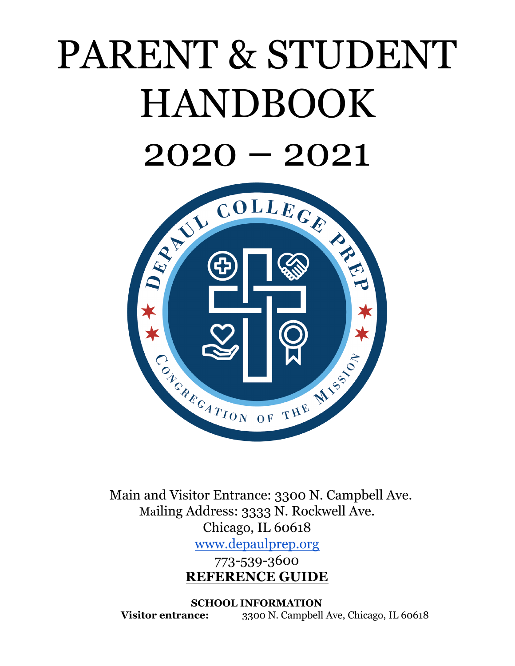# PARENT & STUDENT HANDBOOK  $2020 - 2021$



Main and Visitor Entrance: 3300 N. Campbell Ave. Mailing Address: 3333 N. Rockwell Ave. Chicago, IL 60618 [www.depaulprep.org](http://www.depaulprep.org/)

773-539-3600 **REFERENCE GUIDE**

<span id="page-0-0"></span>**SCHOOL INFORMATION Visitor entrance:** 3300 N. Campbell Ave, Chicago, IL 60618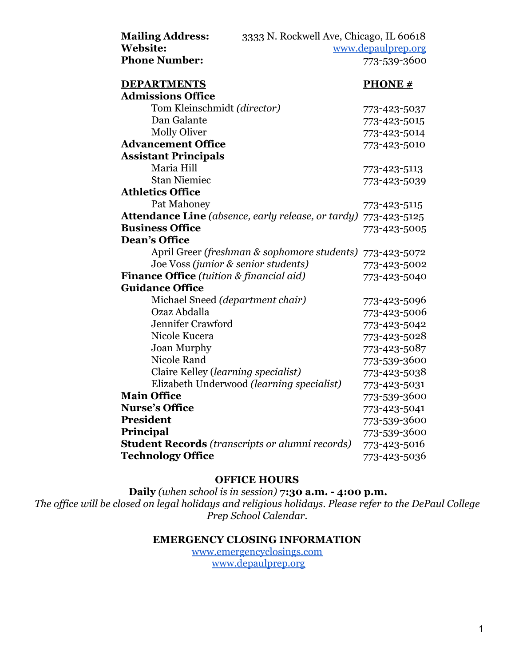| <b>Mailing Address:</b>                                   | 3333 N. Rockwell Ave, Chicago, IL 60618     |                    |
|-----------------------------------------------------------|---------------------------------------------|--------------------|
| <b>Website:</b>                                           |                                             | www.depaulprep.org |
| <b>Phone Number:</b>                                      |                                             | 773-539-3600       |
| <b>DEPARTMENTS</b>                                        |                                             | <b>PHONE#</b>      |
| <b>Admissions Office</b>                                  |                                             |                    |
| Tom Kleinschmidt (director)                               |                                             | 773-423-5037       |
| Dan Galante                                               |                                             | 773-423-5015       |
| <b>Molly Oliver</b>                                       |                                             | 773-423-5014       |
| <b>Advancement Office</b>                                 |                                             | 773-423-5010       |
| <b>Assistant Principals</b>                               |                                             |                    |
| Maria Hill                                                |                                             | 773-423-5113       |
| <b>Stan Niemiec</b>                                       |                                             | 773-423-5039       |
| <b>Athletics Office</b>                                   |                                             |                    |
| Pat Mahoney                                               |                                             | 773-423-5115       |
| <b>Attendance Line</b> (absence, early release, or tardy) |                                             | 773-423-5125       |
| <b>Business Office</b>                                    |                                             | 773-423-5005       |
| <b>Dean's Office</b>                                      |                                             |                    |
|                                                           | April Greer (freshman & sophomore students) | 773-423-5072       |
| Joe Voss (junior & senior students)                       |                                             | 773-423-5002       |
| Finance Office (tuition & financial aid)                  |                                             | 773-423-5040       |
| <b>Guidance Office</b>                                    |                                             |                    |
| Michael Sneed (department chair)                          |                                             | 773-423-5096       |
| Ozaz Abdalla                                              |                                             | 773-423-5006       |
| Jennifer Crawford                                         |                                             | 773-423-5042       |
| Nicole Kucera                                             |                                             | 773-423-5028       |
| <b>Joan Murphy</b>                                        |                                             | 773-423-5087       |
| <b>Nicole Rand</b>                                        |                                             | 773-539-3600       |
| Claire Kelley (learning specialist)                       |                                             | 773-423-5038       |
| Elizabeth Underwood (learning specialist)                 |                                             | 773-423-5031       |
| <b>Main Office</b>                                        |                                             | 773-539-3600       |
| <b>Nurse's Office</b>                                     |                                             | 773-423-5041       |
| <b>President</b>                                          |                                             | 773-539-3600       |
| Principal                                                 |                                             | 773-539-3600       |
| <b>Student Records</b> (transcripts or alumni records)    |                                             | 773-423-5016       |
| <b>Technology Office</b>                                  |                                             | 773-423-5036       |

#### **OFFICE HOURS**

<span id="page-1-1"></span><span id="page-1-0"></span> **Daily** *(when school is in session)* **7:30 a.m. - 4:00 p.m.** *The office will be closed on legal holidays and religious holidays. Please refer to the DePaul College Prep School Calendar.*

#### **EMERGENCY CLOSING INFORMATION**

[www.emergencyclosings.com](http://www.emergencyclosings.com/) [www.depaulprep.org](http://www.depaulprep.org/)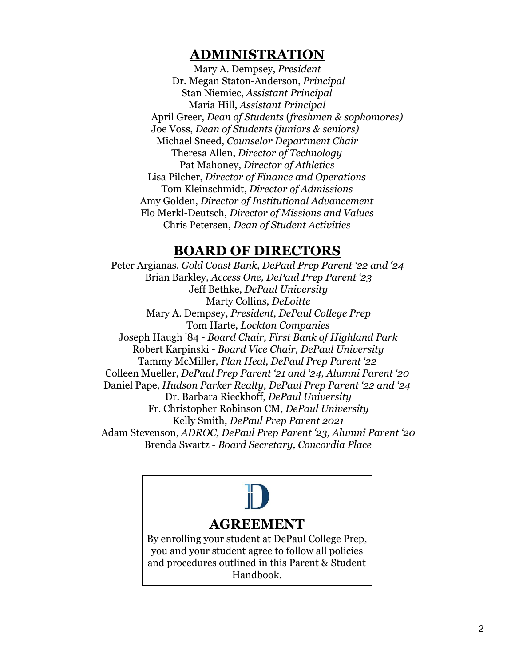# **ADMINISTRATION**

<span id="page-2-0"></span>Mary A. Dempsey, *President* Dr. Megan Staton-Anderson, *Principal* Stan Niemiec, *Assistant Principal* Maria Hill, *Assistant Principal* April Greer, *Dean of Students* (*freshmen & sophomores)* Joe Voss, *Dean of Students (juniors & seniors)* Michael Sneed, *Counselor Department Chair* Theresa Allen, *Director of Technology* Pat Mahoney, *Director of Athletics* Lisa Pilcher, *Director of Finance and Operations* Tom Kleinschmidt, *Director of Admissions* Amy Golden, *Director of Institutional Advancement* Flo Merkl-Deutsch, *Director of Missions and Values* Chris Petersen, *Dean of Student Activities*

# **BOARD OF DIRECTORS**

<span id="page-2-1"></span>Peter Argianas, *Gold Coast Bank, DePaul Prep Parent '22 and '24* Brian Barkley, *Access One, DePaul Prep Parent '23* Jeff Bethke, *DePaul University* Marty Collins, *DeLoitte* Mary A. Dempsey, *President, DePaul College Prep* Tom Harte, *Lockton Companies* Joseph Haugh '84 - *Board Chair, First Bank of Highland Park* Robert Karpinski - *Board Vice Chair, DePaul University* Tammy McMiller, *Plan Heal, DePaul Prep Parent '22* Colleen Mueller, *DePaul Prep Parent '21 and '24, Alumni Parent '20* Daniel Pape, *Hudson Parker Realty, DePaul Prep Parent '22 and '24* Dr. Barbara Rieckhoff, *DePaul University* Fr. Christopher Robinson CM, *DePaul University* Kelly Smith, *DePaul Prep Parent 2021* Adam Stevenson, *ADROC, DePaul Prep Parent '23, Alumni Parent '20* Brenda Swartz - *Board Secretary, Concordia Place*

<span id="page-2-2"></span>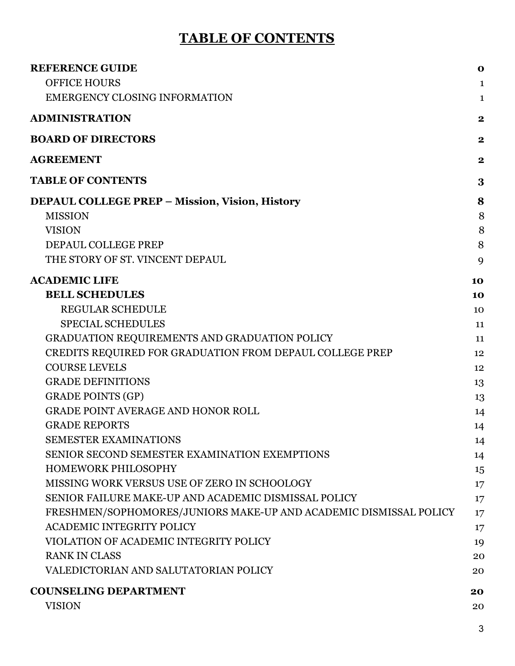# **TABLE OF CONTENTS**

<span id="page-3-0"></span>

| <b>REFERENCE GUIDE</b>                                            | $\mathbf 0$      |
|-------------------------------------------------------------------|------------------|
| <b>OFFICE HOURS</b>                                               | $\mathbf{1}$     |
| EMERGENCY CLOSING INFORMATION                                     | $\mathbf{1}$     |
| <b>ADMINISTRATION</b>                                             | $\boldsymbol{2}$ |
| <b>BOARD OF DIRECTORS</b>                                         | $\mathbf 2$      |
| <b>AGREEMENT</b>                                                  | $\mathbf{2}$     |
| <b>TABLE OF CONTENTS</b>                                          | 3                |
| <b>DEPAUL COLLEGE PREP - Mission, Vision, History</b>             | 8                |
| <b>MISSION</b>                                                    | 8                |
| <b>VISION</b>                                                     | 8                |
| DEPAUL COLLEGE PREP                                               | 8                |
| THE STORY OF ST. VINCENT DEPAUL                                   | 9                |
| <b>ACADEMIC LIFE</b>                                              | 10               |
| <b>BELL SCHEDULES</b>                                             | 10               |
| REGULAR SCHEDULE                                                  | 10               |
| <b>SPECIAL SCHEDULES</b>                                          | 11               |
| GRADUATION REQUIREMENTS AND GRADUATION POLICY                     | 11               |
| CREDITS REQUIRED FOR GRADUATION FROM DEPAUL COLLEGE PREP          | 12               |
| <b>COURSE LEVELS</b>                                              | 12               |
| <b>GRADE DEFINITIONS</b>                                          | 13               |
| <b>GRADE POINTS (GP)</b>                                          | 13               |
| <b>GRADE POINT AVERAGE AND HONOR ROLL</b>                         | 14               |
| <b>GRADE REPORTS</b>                                              | 14               |
| <b>SEMESTER EXAMINATIONS</b>                                      | 14               |
| SENIOR SECOND SEMESTER EXAMINATION EXEMPTIONS                     | 14               |
| <b>HOMEWORK PHILOSOPHY</b>                                        | 15               |
| MISSING WORK VERSUS USE OF ZERO IN SCHOOLOGY                      | $17 \,$          |
| SENIOR FAILURE MAKE-UP AND ACADEMIC DISMISSAL POLICY              | 17               |
| FRESHMEN/SOPHOMORES/JUNIORS MAKE-UP AND ACADEMIC DISMISSAL POLICY | 17               |
| <b>ACADEMIC INTEGRITY POLICY</b>                                  | 17               |
| VIOLATION OF ACADEMIC INTEGRITY POLICY                            | 19               |
| <b>RANK IN CLASS</b>                                              | 20               |
| VALEDICTORIAN AND SALUTATORIAN POLICY                             | 20               |
| <b>COUNSELING DEPARTMENT</b>                                      | 20               |
| <b>VISION</b>                                                     | 20               |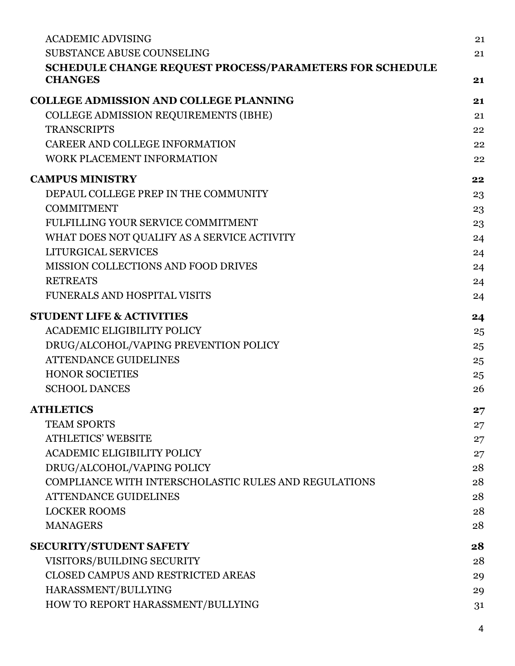| <b>ACADEMIC ADVISING</b>                                       | 21 |
|----------------------------------------------------------------|----|
| <b>SUBSTANCE ABUSE COUNSELING</b>                              | 21 |
| <b>SCHEDULE CHANGE REQUEST PROCESS/PARAMETERS FOR SCHEDULE</b> |    |
| <b>CHANGES</b>                                                 | 21 |
| <b>COLLEGE ADMISSION AND COLLEGE PLANNING</b>                  | 21 |
| COLLEGE ADMISSION REQUIREMENTS (IBHE)                          | 21 |
| <b>TRANSCRIPTS</b>                                             | 22 |
| CAREER AND COLLEGE INFORMATION                                 | 22 |
| WORK PLACEMENT INFORMATION                                     | 22 |
| <b>CAMPUS MINISTRY</b>                                         | 22 |
| DEPAUL COLLEGE PREP IN THE COMMUNITY                           | 23 |
| <b>COMMITMENT</b>                                              | 23 |
| FULFILLING YOUR SERVICE COMMITMENT                             | 23 |
| WHAT DOES NOT QUALIFY AS A SERVICE ACTIVITY                    | 24 |
| LITURGICAL SERVICES                                            | 24 |
| <b>MISSION COLLECTIONS AND FOOD DRIVES</b>                     | 24 |
| <b>RETREATS</b>                                                | 24 |
| FUNERALS AND HOSPITAL VISITS                                   | 24 |
| <b>STUDENT LIFE &amp; ACTIVITIES</b>                           | 24 |
| <b>ACADEMIC ELIGIBILITY POLICY</b>                             | 25 |
| DRUG/ALCOHOL/VAPING PREVENTION POLICY                          | 25 |
| <b>ATTENDANCE GUIDELINES</b>                                   | 25 |
| <b>HONOR SOCIETIES</b>                                         | 25 |
| <b>SCHOOL DANCES</b>                                           | 26 |
| <b>ATHLETICS</b>                                               | 27 |
| <b>TEAM SPORTS</b>                                             | 27 |
| <b>ATHLETICS' WEBSITE</b>                                      | 27 |
| <b>ACADEMIC ELIGIBILITY POLICY</b>                             | 27 |
| DRUG/ALCOHOL/VAPING POLICY                                     | 28 |
| <b>COMPLIANCE WITH INTERSCHOLASTIC RULES AND REGULATIONS</b>   | 28 |
| <b>ATTENDANCE GUIDELINES</b>                                   | 28 |
| <b>LOCKER ROOMS</b>                                            | 28 |
| <b>MANAGERS</b>                                                | 28 |
| <b>SECURITY/STUDENT SAFETY</b>                                 | 28 |
| VISITORS/BUILDING SECURITY                                     | 28 |
| CLOSED CAMPUS AND RESTRICTED AREAS                             | 29 |
| HARASSMENT/BULLYING                                            | 29 |
| HOW TO REPORT HARASSMENT/BULLYING                              | 31 |
|                                                                |    |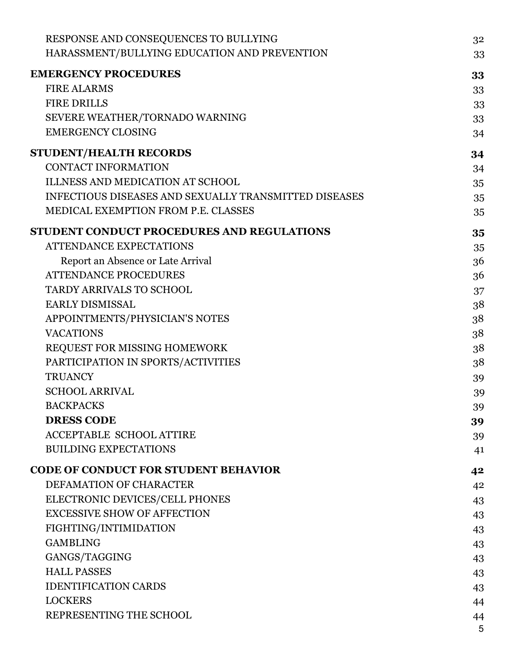| RESPONSE AND CONSEQUENCES TO BULLYING                        | 32 |
|--------------------------------------------------------------|----|
| HARASSMENT/BULLYING EDUCATION AND PREVENTION                 | 33 |
| <b>EMERGENCY PROCEDURES</b>                                  | 33 |
| <b>FIRE ALARMS</b>                                           | 33 |
| <b>FIRE DRILLS</b>                                           | 33 |
| SEVERE WEATHER/TORNADO WARNING                               | 33 |
| <b>EMERGENCY CLOSING</b>                                     | 34 |
| STUDENT/HEALTH RECORDS                                       | 34 |
| <b>CONTACT INFORMATION</b>                                   | 34 |
| <b>ILLNESS AND MEDICATION AT SCHOOL</b>                      | 35 |
| <b>INFECTIOUS DISEASES AND SEXUALLY TRANSMITTED DISEASES</b> | 35 |
| MEDICAL EXEMPTION FROM P.E. CLASSES                          | 35 |
| STUDENT CONDUCT PROCEDURES AND REGULATIONS                   | 35 |
| <b>ATTENDANCE EXPECTATIONS</b>                               | 35 |
| Report an Absence or Late Arrival                            | 36 |
| <b>ATTENDANCE PROCEDURES</b>                                 | 36 |
| TARDY ARRIVALS TO SCHOOL                                     | 37 |
| <b>EARLY DISMISSAL</b>                                       | 38 |
| APPOINTMENTS/PHYSICIAN'S NOTES                               | 38 |
| <b>VACATIONS</b>                                             | 38 |
| REQUEST FOR MISSING HOMEWORK                                 | 38 |
| PARTICIPATION IN SPORTS/ACTIVITIES                           | 38 |
| <b>TRUANCY</b>                                               | 39 |
| <b>SCHOOL ARRIVAL</b>                                        | 39 |
| <b>BACKPACKS</b>                                             | 39 |
| <b>DRESS CODE</b>                                            | 39 |
| <b>ACCEPTABLE SCHOOL ATTIRE</b>                              | 39 |
| <b>BUILDING EXPECTATIONS</b>                                 | 41 |
| <b>CODE OF CONDUCT FOR STUDENT BEHAVIOR</b>                  | 42 |
| DEFAMATION OF CHARACTER                                      | 42 |
| ELECTRONIC DEVICES/CELL PHONES                               | 43 |
| <b>EXCESSIVE SHOW OF AFFECTION</b>                           | 43 |
| FIGHTING/INTIMIDATION                                        | 43 |
| <b>GAMBLING</b>                                              | 43 |
| GANGS/TAGGING                                                | 43 |
| <b>HALL PASSES</b>                                           | 43 |
| <b>IDENTIFICATION CARDS</b>                                  | 43 |
| <b>LOCKERS</b>                                               | 44 |
| REPRESENTING THE SCHOOL                                      | 44 |
|                                                              | 5  |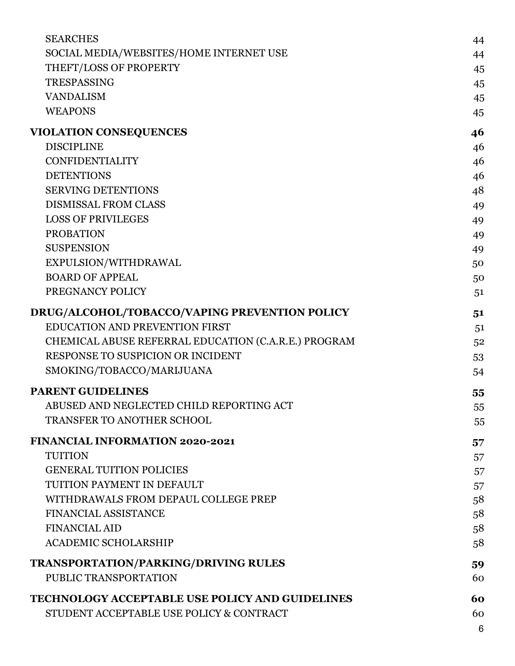|                                                                                                    | 6        |
|----------------------------------------------------------------------------------------------------|----------|
| <b>TECHNOLOGY ACCEPTABLE USE POLICY AND GUIDELINES</b><br>STUDENT ACCEPTABLE USE POLICY & CONTRACT | 60<br>60 |
| <b>TRANSPORTATION/PARKING/DRIVING RULES</b><br>PUBLIC TRANSPORTATION                               | 59<br>60 |
|                                                                                                    |          |
| <b>ACADEMIC SCHOLARSHIP</b>                                                                        | 58       |
| <b>FINANCIAL AID</b>                                                                               | 58       |
| <b>FINANCIAL ASSISTANCE</b>                                                                        | 58<br>58 |
| TUITION PAYMENT IN DEFAULT<br>WITHDRAWALS FROM DEPAUL COLLEGE PREP                                 | 57       |
| <b>GENERAL TUITION POLICIES</b>                                                                    | 57       |
| <b>TUITION</b>                                                                                     | 57       |
| <b>FINANCIAL INFORMATION 2020-2021</b>                                                             | 57       |
|                                                                                                    | 55       |
| TRANSFER TO ANOTHER SCHOOL                                                                         | 55       |
| <b>PARENT GUIDELINES</b><br>ABUSED AND NEGLECTED CHILD REPORTING ACT                               | 55       |
|                                                                                                    |          |
| SMOKING/TOBACCO/MARIJUANA                                                                          | 54       |
| RESPONSE TO SUSPICION OR INCIDENT                                                                  | 53       |
| CHEMICAL ABUSE REFERRAL EDUCATION (C.A.R.E.) PROGRAM                                               | 52       |
| EDUCATION AND PREVENTION FIRST                                                                     | 51<br>51 |
| DRUG/ALCOHOL/TOBACCO/VAPING PREVENTION POLICY                                                      |          |
| PREGNANCY POLICY                                                                                   | 51       |
| <b>BOARD OF APPEAL</b>                                                                             | 50       |
| EXPULSION/WITHDRAWAL                                                                               | 50       |
| <b>SUSPENSION</b>                                                                                  | 49       |
| <b>PROBATION</b>                                                                                   | 49<br>49 |
| <b>LOSS OF PRIVILEGES</b>                                                                          | 49       |
| <b>SERVING DETENTIONS</b><br><b>DISMISSAL FROM CLASS</b>                                           | 48       |
| <b>DETENTIONS</b>                                                                                  | 46       |
| <b>CONFIDENTIALITY</b>                                                                             | 46       |
| <b>DISCIPLINE</b>                                                                                  | 46       |
| <b>VIOLATION CONSEQUENCES</b>                                                                      | 46       |
|                                                                                                    | 45       |
| <b>VANDALISM</b><br><b>WEAPONS</b>                                                                 | 45       |
| <b>TRESPASSING</b>                                                                                 | 45       |
| THEFT/LOSS OF PROPERTY                                                                             | 45       |
| SOCIAL MEDIA/WEBSITES/HOME INTERNET USE                                                            | 44       |
| <b>SEARCHES</b>                                                                                    | 44       |
|                                                                                                    |          |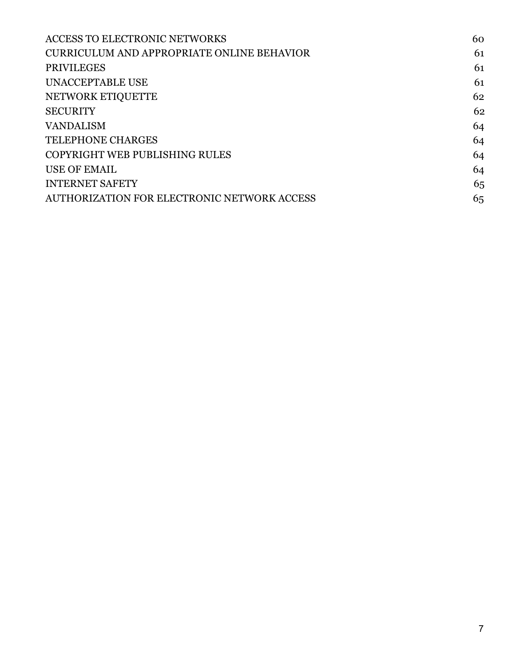| <b>ACCESS TO ELECTRONIC NETWORKS</b>        | 60 |
|---------------------------------------------|----|
| CURRICULUM AND APPROPRIATE ONLINE BEHAVIOR  | 61 |
| <b>PRIVILEGES</b>                           | 61 |
| UNACCEPTABLE USE                            | 61 |
| NETWORK ETIQUETTE                           | 62 |
| <b>SECURITY</b>                             | 62 |
| <b>VANDALISM</b>                            | 64 |
| <b>TELEPHONE CHARGES</b>                    | 64 |
| COPYRIGHT WEB PUBLISHING RULES              | 64 |
| <b>USE OF EMAIL</b>                         | 64 |
| <b>INTERNET SAFETY</b>                      | 65 |
| AUTHORIZATION FOR ELECTRONIC NETWORK ACCESS | 65 |
|                                             |    |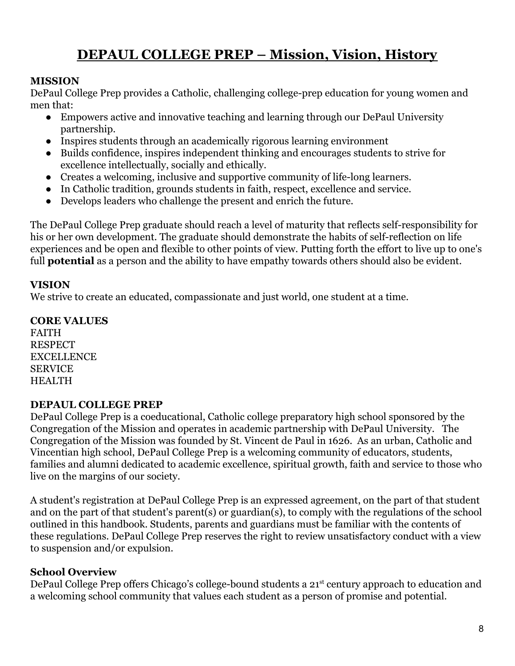# **DEPAUL COLLEGE PREP – Mission, Vision, History**

#### <span id="page-8-1"></span><span id="page-8-0"></span>**MISSION**

DePaul College Prep provides a Catholic, challenging college-prep education for young women and men that:

- Empowers active and innovative teaching and learning through our DePaul University partnership.
- Inspires students through an academically rigorous learning environment
- Builds confidence, inspires independent thinking and encourages students to strive for excellence intellectually, socially and ethically.
- Creates a welcoming, inclusive and supportive community of life-long learners.
- In Catholic tradition, grounds students in faith, respect, excellence and service.
- Develops leaders who challenge the present and enrich the future.

The DePaul College Prep graduate should reach a level of maturity that reflects self-responsibility for his or her own development. The graduate should demonstrate the habits of self-reflection on life experiences and be open and flexible to other points of view. Putting forth the effort to live up to one's full **potential** as a person and the ability to have empathy towards others should also be evident.

#### <span id="page-8-2"></span>**VISION**

We strive to create an educated, compassionate and just world, one student at a time.

# **CORE VALUES**

FAITH **RESPECT** EXCELLENCE SERVICE **HEALTH** 

#### <span id="page-8-3"></span>**DEPAUL COLLEGE PREP**

DePaul College Prep is a coeducational, Catholic college preparatory high school sponsored by the Congregation of the Mission and operates in academic partnership with DePaul University. The Congregation of the Mission was founded by St. Vincent de Paul in 1626. As an urban, Catholic and Vincentian high school, DePaul College Prep is a welcoming community of educators, students, families and alumni dedicated to academic excellence, spiritual growth, faith and service to those who live on the margins of our society.

A student's registration at DePaul College Prep is an expressed agreement, on the part of that student and on the part of that student's parent(s) or guardian(s), to comply with the regulations of the school outlined in this handbook. Students, parents and guardians must be familiar with the contents of these regulations. DePaul College Prep reserves the right to review unsatisfactory conduct with a view to suspension and/or expulsion.

# **School Overview**

DePaul College Prep offers Chicago's college-bound students a 21<sup>st</sup> century approach to education and a welcoming school community that values each student as a person of promise and potential.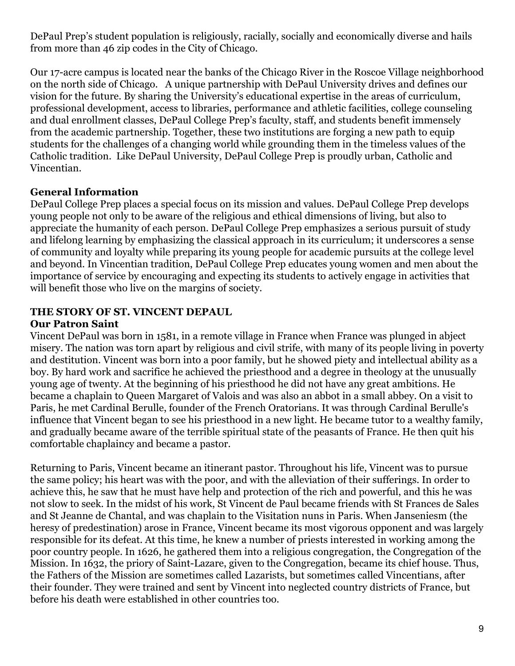DePaul Prep's student population is religiously, racially, socially and economically diverse and hails from more than 46 zip codes in the City of Chicago.

Our 17-acre campus is located near the banks of the Chicago River in the Roscoe Village neighborhood on the north side of Chicago. A unique partnership with DePaul University drives and defines our vision for the future. By sharing the University's educational expertise in the areas of curriculum, professional development, access to libraries, performance and athletic facilities, college counseling and dual enrollment classes, DePaul College Prep's faculty, staff, and students benefit immensely from the academic partnership. Together, these two institutions are forging a new path to equip students for the challenges of a changing world while grounding them in the timeless values of the Catholic tradition. Like DePaul University, DePaul College Prep is proudly urban, Catholic and Vincentian.

# **General Information**

DePaul College Prep places a special focus on its mission and values. DePaul College Prep develops young people not only to be aware of the religious and ethical dimensions of living, but also to appreciate the humanity of each person. DePaul College Prep emphasizes a serious pursuit of study and lifelong learning by emphasizing the classical approach in its curriculum; it underscores a sense of community and loyalty while preparing its young people for academic pursuits at the college level and beyond. In Vincentian tradition, DePaul College Prep educates young women and men about the importance of service by encouraging and expecting its students to actively engage in activities that will benefit those who live on the margins of society.

#### <span id="page-9-0"></span>**THE STORY OF ST. VINCENT DEPAUL Our Patron Saint**

Vincent DePaul was born in 1581, in a remote village in France when France was plunged in abject misery. The nation was torn apart by religious and civil strife, with many of its people living in poverty and destitution. Vincent was born into a poor family, but he showed piety and intellectual ability as a boy. By hard work and sacrifice he achieved the priesthood and a degree in theology at the unusually young age of twenty. At the beginning of his priesthood he did not have any great ambitions. He became a chaplain to Queen Margaret of Valois and was also an abbot in a small abbey. On a visit to Paris, he met Cardinal Berulle, founder of the French Oratorians. It was through Cardinal Berulle's influence that Vincent began to see his priesthood in a new light. He became tutor to a wealthy family, and gradually became aware of the terrible spiritual state of the peasants of France. He then quit his comfortable chaplaincy and became a pastor.

Returning to Paris, Vincent became an itinerant pastor. Throughout his life, Vincent was to pursue the same policy; his heart was with the poor, and with the alleviation of their sufferings. In order to achieve this, he saw that he must have help and protection of the rich and powerful, and this he was not slow to seek. In the midst of his work, St Vincent de Paul became friends with St Frances de Sales and St Jeanne de Chantal, and was chaplain to the Visitation nuns in Paris. When Janseniesm (the heresy of predestination) arose in France, Vincent became its most vigorous opponent and was largely responsible for its defeat. At this time, he knew a number of priests interested in working among the poor country people. In 1626, he gathered them into a religious congregation, the Congregation of the Mission. In 1632, the priory of Saint-Lazare, given to the Congregation, became its chief house. Thus, the Fathers of the Mission are sometimes called Lazarists, but sometimes called Vincentians, after their founder. They were trained and sent by Vincent into neglected country districts of France, but before his death were established in other countries too.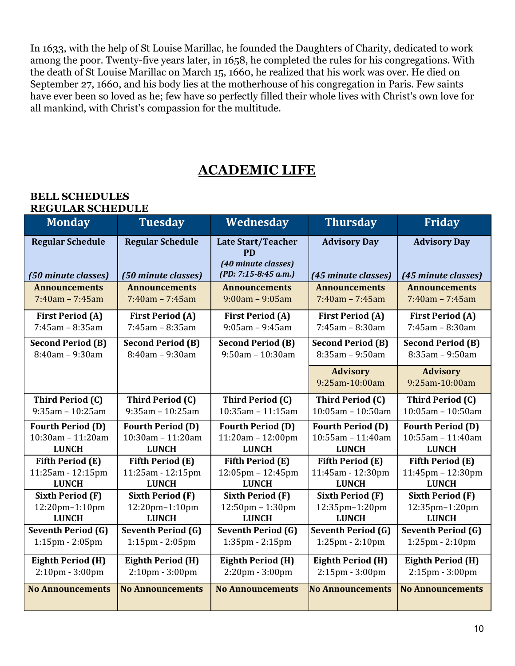In 1633, with the help of St Louise Marillac, he founded the Daughters of Charity, dedicated to work among the poor. Twenty-five years later, in 1658, he completed the rules for his congregations. With the death of St Louise Marillac on March 15, 1660, he realized that his work was over. He died on September 27, 1660, and his body lies at the motherhouse of his congregation in Paris. Few saints have ever been so loved as he; few have so perfectly filled their whole lives with Christ's own love for all mankind, with Christ's compassion for the multitude.

# **ACADEMIC LIFE**

#### <span id="page-10-1"></span><span id="page-10-0"></span>**BELL SCHEDULES REGULAR SCHEDULE**

<span id="page-10-2"></span>

| <b>Monday</b>                                  | <b>Tuesday</b>                                 | Wednesday                                                                             | <b>Thursday</b>                            | <b>Friday</b>                                 |
|------------------------------------------------|------------------------------------------------|---------------------------------------------------------------------------------------|--------------------------------------------|-----------------------------------------------|
| <b>Regular Schedule</b><br>(50 minute classes) | <b>Regular Schedule</b><br>(50 minute classes) | <b>Late Start/Teacher</b><br><b>PD</b><br>(40 minute classes)<br>(PD: 7:15-8:45 a.m.) | <b>Advisory Day</b><br>(45 minute classes) | <b>Advisory Day</b><br>(45 minute classes)    |
| <b>Announcements</b>                           | <b>Announcements</b>                           | <b>Announcements</b>                                                                  | <b>Announcements</b>                       | <b>Announcements</b>                          |
| $7:40am - 7:45am$                              | $7:40am - 7:45am$                              | $9:00am - 9:05am$                                                                     | $7:40am - 7:45am$                          | $7:40am - 7:45am$                             |
| <b>First Period (A)</b><br>$7:45$ am - 8:35am  | <b>First Period (A)</b><br>$7:45$ am - 8:35am  | <b>First Period (A)</b><br>$9:05$ am - $9:45$ am                                      | <b>First Period (A)</b><br>7:45am - 8:30am | <b>First Period (A)</b><br>$7:45$ am - 8:30am |
| <b>Second Period (B)</b>                       | <b>Second Period (B)</b>                       | <b>Second Period (B)</b>                                                              | <b>Second Period (B)</b>                   | <b>Second Period (B)</b>                      |
| $8:40am - 9:30am$                              | $8:40am - 9:30am$                              | $9:50$ am - 10:30am                                                                   | $8:35am - 9:50am$                          | $8:35am - 9:50am$                             |
|                                                |                                                |                                                                                       | <b>Advisory</b>                            | <b>Advisory</b>                               |
|                                                |                                                |                                                                                       | 9:25am-10:00am                             | 9:25am-10:00am                                |
| <b>Third Period (C)</b>                        | Third Period (C)                               | Third Period (C)                                                                      | Third Period (C)                           | Third Period (C)                              |
| $9:35am - 10:25am$                             | $9:35$ am - 10:25am                            | $10:35$ am - $11:15$ am                                                               | $10:05$ am - 10:50am                       | $10:05$ am - 10:50am                          |
| <b>Fourth Period (D)</b>                       | <b>Fourth Period (D)</b>                       | <b>Fourth Period (D)</b>                                                              | <b>Fourth Period (D)</b>                   | <b>Fourth Period (D)</b>                      |
| $10:30$ am - $11:20$ am                        | 10:30am - 11:20am                              | $11:20am - 12:00pm$                                                                   | 10:55am - 11:40am                          | 10:55am - 11:40am                             |
| <b>LUNCH</b>                                   | <b>LUNCH</b>                                   | <b>LUNCH</b>                                                                          | <b>LUNCH</b>                               | <b>LUNCH</b>                                  |
| <b>Fifth Period (E)</b>                        | <b>Fifth Period (E)</b>                        | <b>Fifth Period (E)</b>                                                               | <b>Fifth Period (E)</b>                    | <b>Fifth Period (E)</b>                       |
| 11:25am - 12:15pm<br><b>LUNCH</b>              | 11:25am - 12:15pm<br><b>LUNCH</b>              | $12:05 \text{pm} - 12:45 \text{pm}$<br><b>LUNCH</b>                                   | 11:45am - 12:30pm<br><b>LUNCH</b>          | $11:45$ pm – $12:30$ pm<br><b>LUNCH</b>       |
| <b>Sixth Period (F)</b>                        | <b>Sixth Period (F)</b>                        | <b>Sixth Period (F)</b>                                                               | <b>Sixth Period (F)</b>                    | <b>Sixth Period (F)</b>                       |
| 12:20pm-1:10pm                                 | 12:20pm-1:10pm                                 | 12:50pm - 1:30pm                                                                      | 12:35pm-1:20pm                             | 12:35pm-1:20pm                                |
| <b>LUNCH</b>                                   | <b>LUNCH</b>                                   | <b>LUNCH</b>                                                                          | <b>LUNCH</b>                               | <b>LUNCH</b>                                  |
| <b>Seventh Period (G)</b>                      | <b>Seventh Period (G)</b>                      | <b>Seventh Period (G)</b>                                                             | <b>Seventh Period (G)</b>                  | <b>Seventh Period (G)</b>                     |
| $1:15$ pm - $2:05$ pm                          | $1:15$ pm - $2:05$ pm                          | 1:35pm - 2:15pm                                                                       | 1:25pm - 2:10pm                            | 1:25pm - 2:10pm                               |
| <b>Eighth Period (H)</b>                       | <b>Eighth Period (H)</b>                       | <b>Eighth Period (H)</b>                                                              | <b>Eighth Period (H)</b>                   | <b>Eighth Period (H)</b>                      |
| 2:10pm - 3:00pm                                | $2:10$ pm - $3:00$ pm                          | 2:20pm - 3:00pm                                                                       | 2:15pm - 3:00pm                            | 2:15pm - 3:00pm                               |
| <b>No Announcements</b>                        | <b>No Announcements</b>                        | <b>No Announcements</b>                                                               | <b>No Announcements</b>                    | <b>No Announcements</b>                       |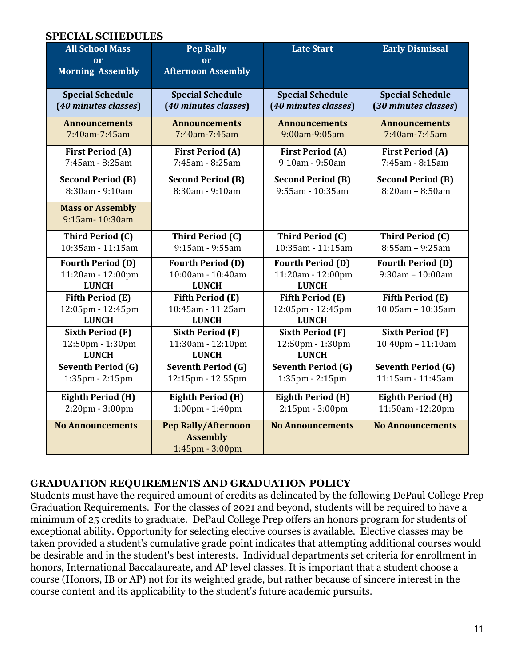#### <span id="page-11-0"></span> **SPECIAL SCHEDULES**

| <b>All School Mass</b><br>or                                  | <b>Pep Rally</b><br>or                                           | <b>Late Start</b>                                             | <b>Early Dismissal</b>                          |
|---------------------------------------------------------------|------------------------------------------------------------------|---------------------------------------------------------------|-------------------------------------------------|
| <b>Morning Assembly</b>                                       | <b>Afternoon Assembly</b>                                        |                                                               |                                                 |
| <b>Special Schedule</b>                                       | <b>Special Schedule</b>                                          | <b>Special Schedule</b>                                       | <b>Special Schedule</b>                         |
| (40 minutes classes)                                          | (40 minutes classes)                                             | (40 minutes classes)                                          | (30 minutes classes)                            |
| <b>Announcements</b>                                          | <b>Announcements</b>                                             | <b>Announcements</b>                                          | <b>Announcements</b>                            |
| 7:40am-7:45am                                                 | 7:40am-7:45am                                                    | 9:00am-9:05am                                                 | 7:40am-7:45am                                   |
| <b>First Period (A)</b>                                       | <b>First Period (A)</b>                                          | <b>First Period (A)</b>                                       | <b>First Period (A)</b>                         |
| 7:45am - 8:25am                                               | 7:45am - 8:25am                                                  | 9:10am - 9:50am                                               | 7:45am - 8:15am                                 |
| <b>Second Period (B)</b>                                      | <b>Second Period (B)</b>                                         | <b>Second Period (B)</b>                                      | <b>Second Period (B)</b>                        |
| 8:30am - 9:10am                                               | 8:30am - 9:10am                                                  | 9:55am - 10:35am                                              | $8:20am - 8:50am$                               |
| <b>Mass or Assembly</b><br>9:15am-10:30am                     |                                                                  |                                                               |                                                 |
| Third Period (C)                                              | Third Period (C)                                                 | Third Period (C)                                              | Third Period (C)                                |
| 10:35am - 11:15am                                             | $9:15am - 9:55am$                                                | 10:35am - 11:15am                                             | $8:55am - 9:25am$                               |
| <b>Fourth Period (D)</b><br>11:20am - 12:00pm<br><b>LUNCH</b> | <b>Fourth Period (D)</b><br>10:00am - 10:40am<br><b>LUNCH</b>    | <b>Fourth Period (D)</b><br>11:20am - 12:00pm<br><b>LUNCH</b> | <b>Fourth Period (D)</b><br>$9:30am - 10:00am$  |
| <b>Fifth Period (E)</b><br>12:05pm - 12:45pm<br><b>LUNCH</b>  | <b>Fifth Period (E)</b><br>10:45am - 11:25am<br><b>LUNCH</b>     | <b>Fifth Period (E)</b><br>12:05pm - 12:45pm<br><b>LUNCH</b>  | <b>Fifth Period (E)</b><br>$10:05$ am - 10:35am |
| <b>Sixth Period (F)</b><br>12:50pm - 1:30pm<br><b>LUNCH</b>   | <b>Sixth Period (F)</b><br>11:30am - 12:10pm<br><b>LUNCH</b>     | <b>Sixth Period (F)</b><br>12:50pm - 1:30pm<br><b>LUNCH</b>   | <b>Sixth Period (F)</b><br>10:40pm - 11:10am    |
| <b>Seventh Period (G)</b>                                     | <b>Seventh Period (G)</b>                                        | <b>Seventh Period (G)</b>                                     | <b>Seventh Period (G)</b>                       |
| 1:35pm - 2:15pm                                               | 12:15pm - 12:55pm                                                | 1:35pm - 2:15pm                                               | 11:15am - 11:45am                               |
| <b>Eighth Period (H)</b>                                      | <b>Eighth Period (H)</b>                                         | <b>Eighth Period (H)</b>                                      | <b>Eighth Period (H)</b>                        |
| 2:20pm - 3:00pm                                               | 1:00pm - 1:40pm                                                  | 2:15pm - 3:00pm                                               | 11:50am -12:20pm                                |
| <b>No Announcements</b>                                       | <b>Pep Rally/Afternoon</b><br><b>Assembly</b><br>1:45pm - 3:00pm | <b>No Announcements</b>                                       | <b>No Announcements</b>                         |

#### <span id="page-11-1"></span>**GRADUATION REQUIREMENTS AND GRADUATION POLICY**

Students must have the required amount of credits as delineated by the following DePaul College Prep Graduation Requirements. For the classes of 2021 and beyond, students will be required to have a minimum of 25 credits to graduate. DePaul College Prep offers an honors program for students of exceptional ability. Opportunity for selecting elective courses is available. Elective classes may be taken provided a student's cumulative grade point indicates that attempting additional courses would be desirable and in the student's best interests. Individual departments set criteria for enrollment in honors, International Baccalaureate, and AP level classes. It is important that a student choose a course (Honors, IB or AP) not for its weighted grade, but rather because of sincere interest in the course content and its applicability to the student's future academic pursuits.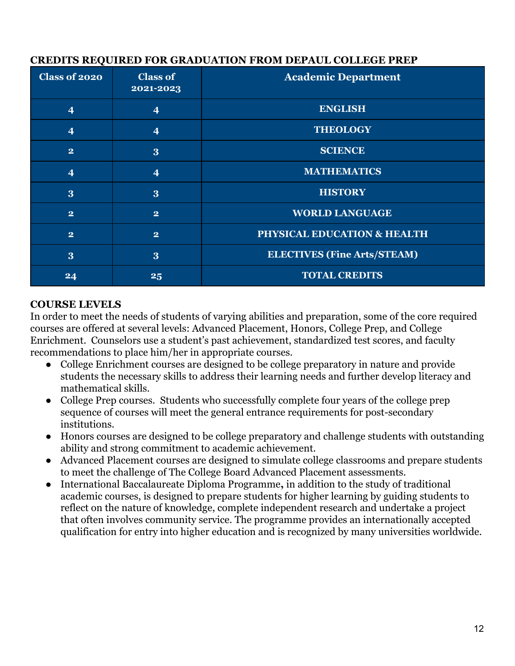| ◟                       |                              |                                    |
|-------------------------|------------------------------|------------------------------------|
| <b>Class of 2020</b>    | <b>Class of</b><br>2021-2023 | <b>Academic Department</b>         |
| $\overline{\mathbf{4}}$ | $\overline{4}$               | <b>ENGLISH</b>                     |
| $\overline{\mathbf{4}}$ | $\overline{\mathbf{4}}$      | <b>THEOLOGY</b>                    |
| $\overline{2}$          | 3                            | <b>SCIENCE</b>                     |
| $\overline{\mathbf{4}}$ | $\overline{\mathbf{4}}$      | <b>MATHEMATICS</b>                 |
| 3                       | 3                            | <b>HISTORY</b>                     |
| $\mathbf{2}$            | $\mathbf{2}$                 | <b>WORLD LANGUAGE</b>              |
| $\overline{2}$          | $\overline{2}$               | PHYSICAL EDUCATION & HEALTH        |
| 3                       | 3                            | <b>ELECTIVES (Fine Arts/STEAM)</b> |
| 24                      | 25                           | <b>TOTAL CREDITS</b>               |

# <span id="page-12-0"></span>**CREDITS REQUIRED FOR GRADUATION FROM DEPAUL COLLEGE PREP**

#### <span id="page-12-1"></span>**COURSE LEVELS**

In order to meet the needs of students of varying abilities and preparation, some of the core required courses are offered at several levels: Advanced Placement, Honors, College Prep, and College Enrichment. Counselors use a student's past achievement, standardized test scores, and faculty recommendations to place him/her in appropriate courses.

- College Enrichment courses are designed to be college preparatory in nature and provide students the necessary skills to address their learning needs and further develop literacy and mathematical skills.
- College Prep courses. Students who successfully complete four years of the college prep sequence of courses will meet the general entrance requirements for post-secondary institutions.
- Honors courses are designed to be college preparatory and challenge students with outstanding ability and strong commitment to academic achievement.
- Advanced Placement courses are designed to simulate college classrooms and prepare students to meet the challenge of The College Board Advanced Placement assessments.
- International Baccalaureate Diploma Programme**,** in addition to the study of traditional academic courses, is designed to prepare students for higher learning by guiding students to reflect on the nature of knowledge, complete independent research and undertake a project that often involves community service. The programme provides an internationally accepted qualification for entry into higher education and is recognized by many universities worldwide.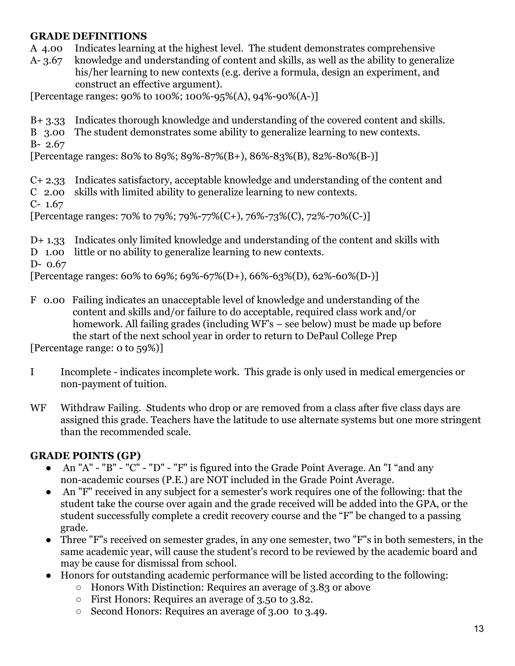#### <span id="page-13-0"></span>**GRADE DEFINITIONS**

A 4.00 Indicates learning at the highest level. The student demonstrates comprehensive

A- 3.67 knowledge and understanding of content and skills, as well as the ability to generalize his/her learning to new contexts (e.g. derive a formula, design an experiment, and construct an effective argument).

[Percentage ranges:  $90\%$  to  $100\%$ ;  $100\%$ -95%(A),  $94\%$ -90%(A-)]

B+ 3.33 Indicates thorough knowledge and understanding of the covered content and skills.

B 3.00 The student demonstrates some ability to generalize learning to new contexts.

B- 2.67

[Percentage ranges: 80% to 89%; 89%-87%(B+), 86%-83%(B), 82%-80%(B-)]

C+ 2.33 Indicates satisfactory, acceptable knowledge and understanding of the content and C 2.00 skills with limited ability to generalize learning to new contexts. C- 1.67

[Percentage ranges: 70% to 79%; 79%-77% $(C+), 76%$ -73% $(C), 72%$ -70% $(C-)$ ]

D+ 1.33 Indicates only limited knowledge and understanding of the content and skills with D 1.00 little or no ability to generalize learning to new contexts. D- 0.67 [Percentage ranges: 60% to 69%; 69%-67%(D+), 66%-63%(D), 62%-60%(D-)]

F 0.00 Failing indicates an unacceptable level of knowledge and understanding of the content and skills and/or failure to do acceptable, required class work and/or homework. All failing grades (including WF's – see below) must be made up before the start of the next school year in order to return to DePaul College Prep

[Percentage range: 0 to 59%)]

- I Incomplete indicates incomplete work. This grade is only used in medical emergencies or non-payment of tuition.
- W<sub>F</sub> Withdraw Failing. Students who drop or are removed from a class after five class days are assigned this grade. Teachers have the latitude to use alternate systems but one more stringent than the recommended scale.

#### <span id="page-13-1"></span>**GRADE POINTS (GP)**

- An "A" "B" "C" "D" "F" is figured into the Grade Point Average. An "I "and any non-academic courses (P.E.) are NOT included in the Grade Point Average.
- An "F" received in any subject for a semester's work requires one of the following: that the student take the course over again and the grade received will be added into the GPA, or the student successfully complete a credit recovery course and the "F" be changed to a passing grade.
- Three "F"s received on semester grades, in any one semester, two "F"s in both semesters, in the same academic year, will cause the student's record to be reviewed by the academic board and may be cause for dismissal from school.
- Honors for outstanding academic performance will be listed according to the following:
	- Honors With Distinction: Requires an average of 3.83 or above
	- First Honors: Requires an average of 3.50 to 3.82.
	- Second Honors: Requires an average of 3.00 to 3.49.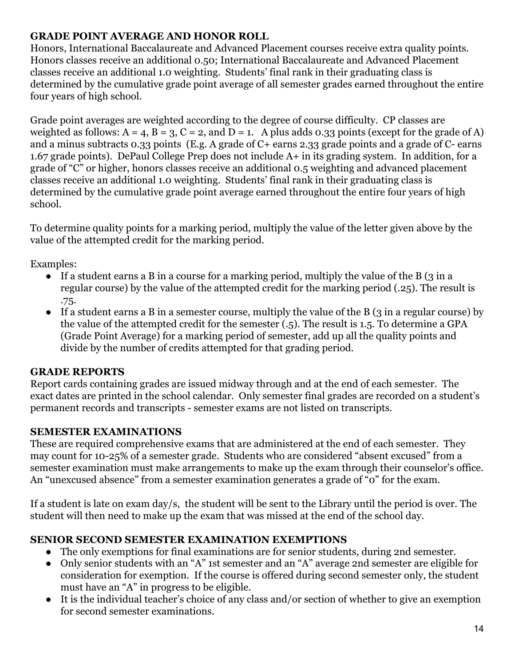# <span id="page-14-0"></span>**GRADE POINT AVERAGE AND HONOR ROLL**

Honors, International Baccalaureate and Advanced Placement courses receive extra quality points. Honors classes receive an additional 0.50; International Baccalaureate and Advanced Placement classes receive an additional 1.0 weighting. Students' final rank in their graduating class is determined by the cumulative grade point average of all semester grades earned throughout the entire four years of high school.

Grade point averages are weighted according to the degree of course difficulty. CP classes are weighted as follows:  $A = 4$ ,  $B = 3$ ,  $C = 2$ , and  $D = 1$ . A plus adds 0.33 points (except for the grade of A) and a minus subtracts 0.33 points (E.g. A grade of C+ earns 2.33 grade points and a grade of C- earns 1.67 grade points). DePaul College Prep does not include A+ in its grading system. In addition, for a grade of "C" or higher, honors classes receive an additional 0.5 weighting and advanced placement classes receive an additional 1.0 weighting. Students' final rank in their graduating class is determined by the cumulative grade point average earned throughout the entire four years of high school.

To determine quality points for a marking period, multiply the value of the letter given above by the value of the attempted credit for the marking period.

Examples:

- If a student earns a B in a course for a marking period, multiply the value of the B (3 in a regular course) by the value of the attempted credit for the marking period (.25). The result is .75.
- If a student earns a B in a semester course, multiply the value of the B (3 in a regular course) by the value of the attempted credit for the semester (.5). The result is 1.5. To determine a GPA (Grade Point Average) for a marking period of semester, add up all the quality points and divide by the number of credits attempted for that grading period.

#### <span id="page-14-1"></span>**GRADE REPORTS**

Report cards containing grades are issued midway through and at the end of each semester. The exact dates are printed in the school calendar. Only semester final grades are recorded on a student's permanent records and transcripts - semester exams are not listed on transcripts.

#### <span id="page-14-2"></span>**SEMESTER EXAMINATIONS**

These are required comprehensive exams that are administered at the end of each semester. They may count for 10-25% of a semester grade. Students who are considered "absent excused" from a semester examination must make arrangements to make up the exam through their counselor's office. An "unexcused absence" from a semester examination generates a grade of "0" for the exam.

If a student is late on exam day/s, the student will be sent to the Library until the period is over. The student will then need to make up the exam that was missed at the end of the school day.

#### <span id="page-14-3"></span>**SENIOR SECOND SEMESTER EXAMINATION EXEMPTIONS**

- The only exemptions for final examinations are for senior students, during 2nd semester.
- Only senior students with an "A" 1st semester and an "A" average 2nd semester are eligible for consideration for exemption. If the course is offered during second semester only, the student must have an "A" in progress to be eligible.
- It is the individual teacher's choice of any class and/or section of whether to give an exemption for second semester examinations.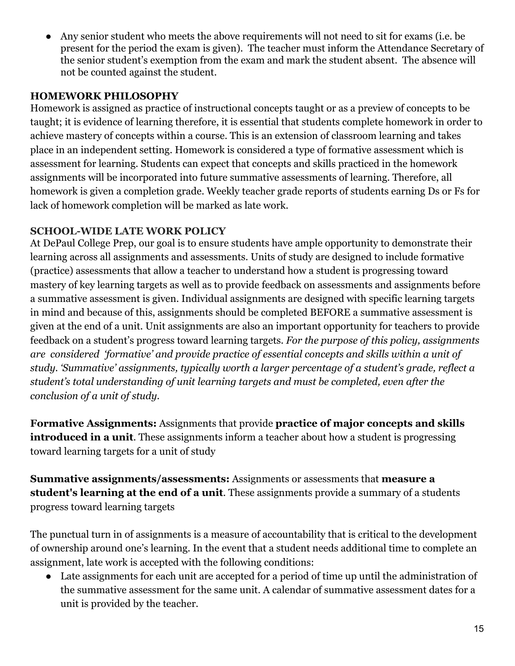Any senior student who meets the above requirements will not need to sit for exams (i.e. be present for the period the exam is given). The teacher must inform the Attendance Secretary of the senior student's exemption from the exam and mark the student absent. The absence will not be counted against the student.

#### <span id="page-15-0"></span>**HOMEWORK PHILOSOPHY**

Homework is assigned as practice of instructional concepts taught or as a preview of concepts to be taught; it is evidence of learning therefore, it is essential that students complete homework in order to achieve mastery of concepts within a course. This is an extension of classroom learning and takes place in an independent setting. Homework is considered a type of formative assessment which is assessment for learning. Students can expect that concepts and skills practiced in the homework assignments will be incorporated into future summative assessments of learning. Therefore, all homework is given a completion grade. Weekly teacher grade reports of students earning Ds or Fs for lack of homework completion will be marked as late work.

# **SCHOOL-WIDE LATE WORK POLICY**

At DePaul College Prep, our goal is to ensure students have ample opportunity to demonstrate their learning across all assignments and assessments. Units of study are designed to include formative (practice) assessments that allow a teacher to understand how a student is progressing toward mastery of key learning targets as well as to provide feedback on assessments and assignments before a summative assessment is given. Individual assignments are designed with specific learning targets in mind and because of this, assignments should be completed BEFORE a summative assessment is given at the end of a unit. Unit assignments are also an important opportunity for teachers to provide feedback on a student's progress toward learning targets. *For the purpose of this policy, assignments are considered 'formative' and provide practice of essential concepts and skills within a unit of study. 'Summative' assignments, typically worth a larger percentage of a student's grade, reflect a student's total understanding of unit learning targets and must be completed, even after the conclusion of a unit of study.*

**Formative Assignments:** Assignments that provide **practice of major concepts and skills introduced in a unit**. These assignments inform a teacher about how a student is progressing toward learning targets for a unit of study

**Summative assignments/assessments:** Assignments or assessments that **measure a student's learning at the end of a unit**. These assignments provide a summary of a students progress toward learning targets

The punctual turn in of assignments is a measure of accountability that is critical to the development of ownership around one's learning. In the event that a student needs additional time to complete an assignment, late work is accepted with the following conditions:

● Late assignments for each unit are accepted for a period of time up until the administration of the summative assessment for the same unit. A calendar of summative assessment dates for a unit is provided by the teacher.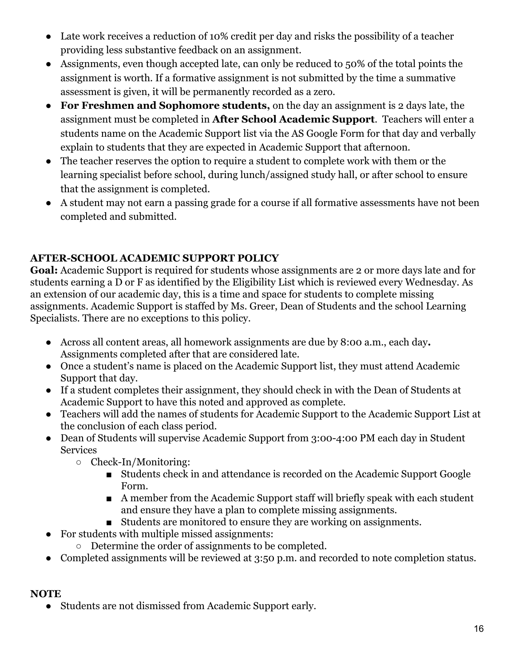- Late work receives a reduction of 10% credit per day and risks the possibility of a teacher providing less substantive feedback on an assignment.
- Assignments, even though accepted late, can only be reduced to 50% of the total points the assignment is worth. If a formative assignment is not submitted by the time a summative assessment is given, it will be permanently recorded as a zero.
- **For Freshmen and Sophomore students,** on the day an assignment is 2 days late, the assignment must be completed in **After School Academic Support**. Teachers will enter a students name on the Academic Support list via the AS Google Form for that day and verbally explain to students that they are expected in Academic Support that afternoon.
- The teacher reserves the option to require a student to complete work with them or the learning specialist before school, during lunch/assigned study hall, or after school to ensure that the assignment is completed.
- A student may not earn a passing grade for a course if all formative assessments have not been completed and submitted.

# **AFTER-SCHOOL ACADEMIC SUPPORT POLICY**

**Goal:** Academic Support is required for students whose assignments are 2 or more days late and for students earning a D or F as identified by the Eligibility List which is reviewed every Wednesday. As an extension of our academic day, this is a time and space for students to complete missing assignments. Academic Support is staffed by Ms. Greer, Dean of Students and the school Learning Specialists. There are no exceptions to this policy.

- Across all content areas, all homework assignments are due by 8:00 a.m., each day**.** Assignments completed after that are considered late.
- Once a student's name is placed on the Academic Support list, they must attend Academic Support that day.
- If a student completes their assignment, they should check in with the Dean of Students at Academic Support to have this noted and approved as complete.
- Teachers will add the names of students for Academic Support to the Academic Support List at the conclusion of each class period.
- Dean of Students will supervise Academic Support from 3:00-4:00 PM each day in Student **Services** 
	- Check-In/Monitoring:
		- Students check in and attendance is recorded on the Academic Support Google Form.
		- A member from the Academic Support staff will briefly speak with each student and ensure they have a plan to complete missing assignments.
		- Students are monitored to ensure they are working on assignments.
- For students with multiple missed assignments:
	- Determine the order of assignments to be completed.
- Completed assignments will be reviewed at 3:50 p.m. and recorded to note completion status.

#### **NOTE**

Students are not dismissed from Academic Support early.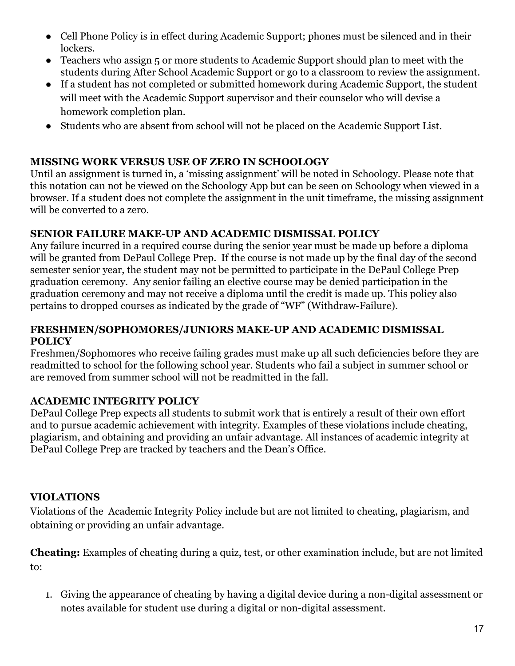- Cell Phone Policy is in effect during Academic Support; phones must be silenced and in their lockers.
- Teachers who assign 5 or more students to Academic Support should plan to meet with the students during After School Academic Support or go to a classroom to review the assignment.
- If a student has not completed or submitted homework during Academic Support, the student will meet with the Academic Support supervisor and their counselor who will devise a homework completion plan.
- Students who are absent from school will not be placed on the Academic Support List.

# <span id="page-17-0"></span>**MISSING WORK VERSUS USE OF ZERO IN SCHOOLOGY**

Until an assignment is turned in, a 'missing assignment' will be noted in Schoology. Please note that this notation can not be viewed on the Schoology App but can be seen on Schoology when viewed in a browser. If a student does not complete the assignment in the unit timeframe, the missing assignment will be converted to a zero.

#### <span id="page-17-1"></span>**SENIOR FAILURE MAKE-UP AND ACADEMIC DISMISSAL POLICY**

Any failure incurred in a required course during the senior year must be made up before a diploma will be granted from DePaul College Prep. If the course is not made up by the final day of the second semester senior year, the student may not be permitted to participate in the DePaul College Prep graduation ceremony. Any senior failing an elective course may be denied participation in the graduation ceremony and may not receive a diploma until the credit is made up. This policy also pertains to dropped courses as indicated by the grade of "WF" (Withdraw-Failure).

#### <span id="page-17-2"></span>**FRESHMEN/SOPHOMORES/JUNIORS MAKE-UP AND ACADEMIC DISMISSAL POLICY**

Freshmen/Sophomores who receive failing grades must make up all such deficiencies before they are readmitted to school for the following school year. Students who fail a subject in summer school or are removed from summer school will not be readmitted in the fall.

#### <span id="page-17-3"></span>**ACADEMIC INTEGRITY POLICY**

DePaul College Prep expects all students to submit work that is entirely a result of their own effort and to pursue academic achievement with integrity. Examples of these violations include cheating, plagiarism, and obtaining and providing an unfair advantage. All instances of academic integrity at DePaul College Prep are tracked by teachers and the Dean's Office.

# **VIOLATIONS**

Violations of the Academic Integrity Policy include but are not limited to cheating, plagiarism, and obtaining or providing an unfair advantage.

**Cheating:** Examples of cheating during a quiz, test, or other examination include, but are not limited to:

1. Giving the appearance of cheating by having a digital device during a non-digital assessment or notes available for student use during a digital or non-digital assessment.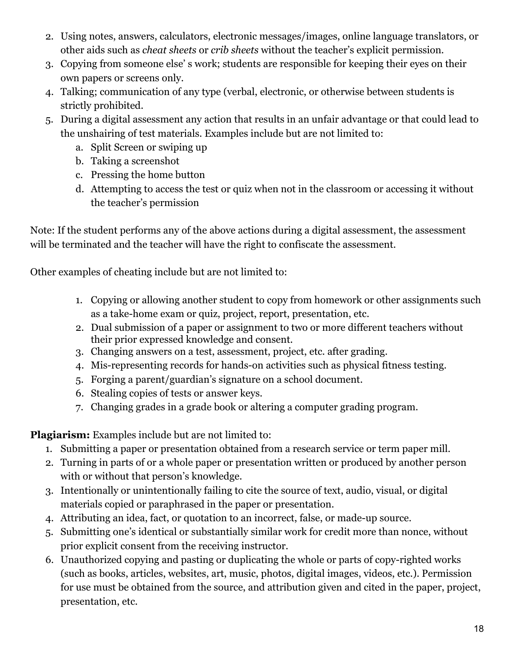- 2. Using notes, answers, calculators, electronic messages/images, online language translators, or other aids such as *cheat sheets* or *crib sheets* without the teacher's explicit permission.
- 3. Copying from someone else' s work; students are responsible for keeping their eyes on their own papers or screens only.
- 4. Talking; communication of any type (verbal, electronic, or otherwise between students is strictly prohibited.
- 5. During a digital assessment any action that results in an unfair advantage or that could lead to the unshairing of test materials. Examples include but are not limited to:
	- a. Split Screen or swiping up
	- b. Taking a screenshot
	- c. Pressing the home button
	- d. Attempting to access the test or quiz when not in the classroom or accessing it without the teacher's permission

Note: If the student performs any of the above actions during a digital assessment, the assessment will be terminated and the teacher will have the right to confiscate the assessment.

Other examples of cheating include but are not limited to:

- 1. Copying or allowing another student to copy from homework or other assignments such as a take-home exam or quiz, project, report, presentation, etc.
- 2. Dual submission of a paper or assignment to two or more different teachers without their prior expressed knowledge and consent.
- 3. Changing answers on a test, assessment, project, etc. after grading.
- 4. Mis-representing records for hands-on activities such as physical fitness testing.
- 5. Forging a parent/guardian's signature on a school document.
- 6. Stealing copies of tests or answer keys.
- 7. Changing grades in a grade book or altering a computer grading program.

**Plagiarism:** Examples include but are not limited to:

- 1. Submitting a paper or presentation obtained from a research service or term paper mill.
- 2. Turning in parts of or a whole paper or presentation written or produced by another person with or without that person's knowledge.
- 3. Intentionally or unintentionally failing to cite the source of text, audio, visual, or digital materials copied or paraphrased in the paper or presentation.
- 4. Attributing an idea, fact, or quotation to an incorrect, false, or made-up source.
- 5. Submitting one's identical or substantially similar work for credit more than nonce, without prior explicit consent from the receiving instructor.
- 6. Unauthorized copying and pasting or duplicating the whole or parts of copy-righted works (such as books, articles, websites, art, music, photos, digital images, videos, etc.). Permission for use must be obtained from the source, and attribution given and cited in the paper, project, presentation, etc.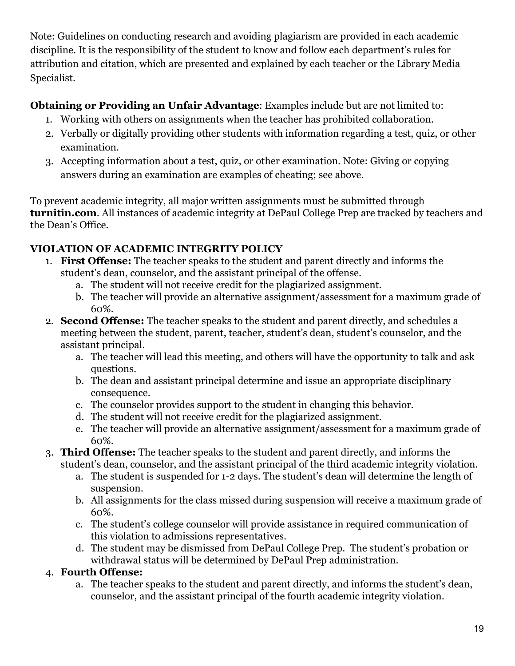Note: Guidelines on conducting research and avoiding plagiarism are provided in each academic discipline. It is the responsibility of the student to know and follow each department's rules for attribution and citation, which are presented and explained by each teacher or the Library Media Specialist.

# **Obtaining or Providing an Unfair Advantage**: Examples include but are not limited to:

- 1. Working with others on assignments when the teacher has prohibited collaboration.
- 2. Verbally or digitally providing other students with information regarding a test, quiz, or other examination.
- 3. Accepting information about a test, quiz, or other examination. Note: Giving or copying answers during an examination are examples of cheating; see above.

To prevent academic integrity, all major written assignments must be submitted through **turnitin.com**. All instances of academic integrity at DePaul College Prep are tracked by teachers and the Dean's Office.

# <span id="page-19-0"></span>**VIOLATION OF ACADEMIC INTEGRITY POLICY**

- 1. **First Offense:** The teacher speaks to the student and parent directly and informs the student's dean, counselor, and the assistant principal of the offense.
	- a. The student will not receive credit for the plagiarized assignment.
	- b. The teacher will provide an alternative assignment/assessment for a maximum grade of 60%.
- 2. **Second Offense:** The teacher speaks to the student and parent directly, and schedules a meeting between the student, parent, teacher, student's dean, student's counselor, and the assistant principal.
	- a. The teacher will lead this meeting, and others will have the opportunity to talk and ask questions.
	- b. The dean and assistant principal determine and issue an appropriate disciplinary consequence.
	- c. The counselor provides support to the student in changing this behavior.
	- d. The student will not receive credit for the plagiarized assignment.
	- e. The teacher will provide an alternative assignment/assessment for a maximum grade of 60%.
- 3. **Third Offense:** The teacher speaks to the student and parent directly, and informs the student's dean, counselor, and the assistant principal of the third academic integrity violation.
	- a. The student is suspended for 1-2 days. The student's dean will determine the length of suspension.
	- b. All assignments for the class missed during suspension will receive a maximum grade of 60%.
	- c. The student's college counselor will provide assistance in required communication of this violation to admissions representatives.
	- d. The student may be dismissed from DePaul College Prep. The student's probation or withdrawal status will be determined by DePaul Prep administration.

# 4. **Fourth Offense:**

a. The teacher speaks to the student and parent directly, and informs the student's dean, counselor, and the assistant principal of the fourth academic integrity violation.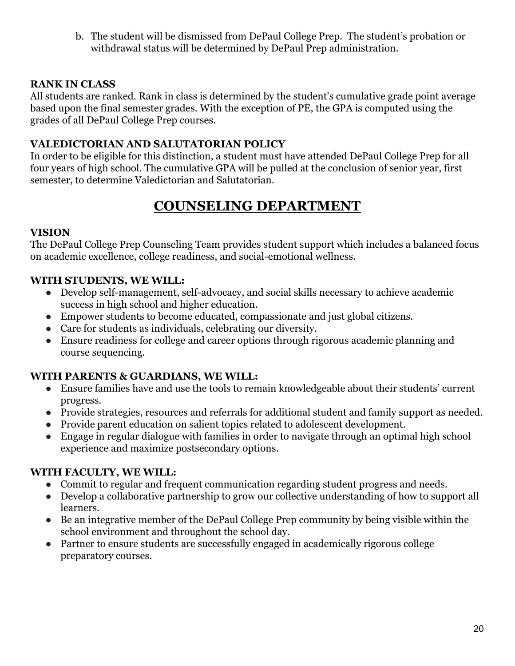b. The student will be dismissed from DePaul College Prep. The student's probation or withdrawal status will be determined by DePaul Prep administration.

#### <span id="page-20-0"></span>**RANK IN CLASS**

All students are ranked. Rank in class is determined by the student's cumulative grade point average based upon the final semester grades. With the exception of PE, the GPA is computed using the grades of all DePaul College Prep courses.

#### <span id="page-20-1"></span>**VALEDICTORIAN AND SALUTATORIAN POLICY**

In order to be eligible for this distinction, a student must have attended DePaul College Prep for all four years of high school. The cumulative GPA will be pulled at the conclusion of senior year, first semester, to determine Valedictorian and Salutatorian.

# **COUNSELING DEPARTMENT**

#### <span id="page-20-3"></span><span id="page-20-2"></span>**VISION**

The DePaul College Prep Counseling Team provides student support which includes a balanced focus on academic excellence, college readiness, and social-emotional wellness.

#### **WITH STUDENTS, WE WILL:**

- Develop self-management, self-advocacy, and social skills necessary to achieve academic success in high school and higher education.
- Empower students to become educated, compassionate and just global citizens.
- Care for students as individuals, celebrating our diversity.
- Ensure readiness for college and career options through rigorous academic planning and course sequencing.

#### **WITH PARENTS & GUARDIANS, WE WILL:**

- Ensure families have and use the tools to remain knowledgeable about their students' current progress.
- Provide strategies, resources and referrals for additional student and family support as needed.
- Provide parent education on salient topics related to adolescent development.
- Engage in regular dialogue with families in order to navigate through an optimal high school experience and maximize postsecondary options.

#### **WITH FACULTY, WE WILL:**

- Commit to regular and frequent communication regarding student progress and needs.
- Develop a collaborative partnership to grow our collective understanding of how to support all learners.
- Be an integrative member of the DePaul College Prep community by being visible within the school environment and throughout the school day.
- Partner to ensure students are successfully engaged in academically rigorous college preparatory courses.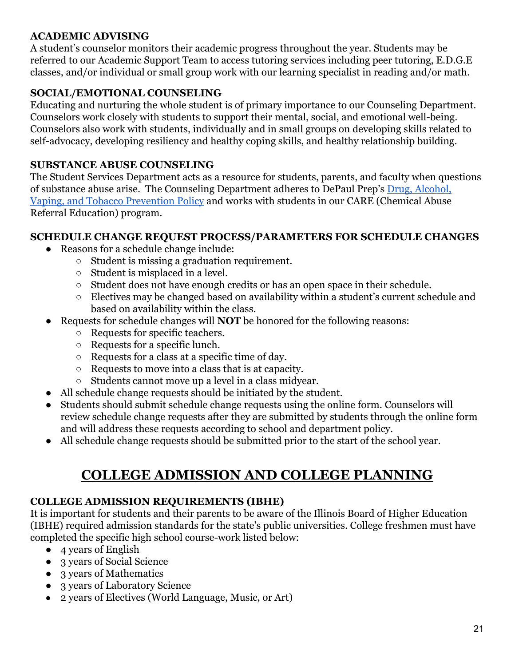#### <span id="page-21-0"></span>**ACADEMIC ADVISING**

A student's counselor monitors their academic progress throughout the year. Students may be referred to our Academic Support Team to access tutoring services including peer tutoring, E.D.G.E classes, and/or individual or small group work with our learning specialist in reading and/or math.

# **SOCIAL/EMOTIONAL COUNSELING**

Educating and nurturing the whole student is of primary importance to our Counseling Department. Counselors work closely with students to support their mental, social, and emotional well-being. Counselors also work with students, individually and in small groups on developing skills related to self-advocacy, developing resiliency and healthy coping skills, and healthy relationship building.

#### <span id="page-21-1"></span>**SUBSTANCE ABUSE COUNSELING**

The Student Services Department acts as a resource for students, parents, and faculty when questions of substance abuse arise. The Counseling Department adheres to DePaul Prep's [Drug, Alcohol,](https://docs.google.com/document/d/1I-LK3RrakHLtv0wVWIvg_cuFt9JpgJ3sFGBdSJP0K0I/edit?usp=sharing) [Vaping, and Tobacco Prevention Policy](https://docs.google.com/document/d/1I-LK3RrakHLtv0wVWIvg_cuFt9JpgJ3sFGBdSJP0K0I/edit?usp=sharing) and works with students in our CARE (Chemical Abuse Referral Education) program.

#### <span id="page-21-2"></span>**SCHEDULE CHANGE REQUEST PROCESS/PARAMETERS FOR SCHEDULE CHANGES**

- Reasons for a schedule change include:
	- Student is missing a graduation requirement.
	- Student is misplaced in a level.
	- Student does not have enough credits or has an open space in their schedule.
	- Electives may be changed based on availability within a student's current schedule and based on availability within the class.
- Requests for schedule changes will **NOT** be honored for the following reasons:
	- Requests for specific teachers.
	- Requests for a specific lunch.
	- Requests for a class at a specific time of day.
	- Requests to move into a class that is at capacity.
	- Students cannot move up a level in a class midyear.
- All schedule change requests should be initiated by the student.
- Students should submit schedule change requests using the online form. Counselors will review schedule change requests after they are submitted by students through the online form and will address these requests according to school and department policy.
- All schedule change requests should be submitted prior to the start of the school year.

# **COLLEGE ADMISSION AND COLLEGE PLANNING**

#### <span id="page-21-4"></span><span id="page-21-3"></span>**COLLEGE ADMISSION REQUIREMENTS (IBHE)**

It is important for students and their parents to be aware of the Illinois Board of Higher Education (IBHE) required admission standards for the state's public universities. College freshmen must have completed the specific high school course-work listed below:

- 4 years of English
- 3 years of Social Science
- 3 years of Mathematics
- 3 years of Laboratory Science
- 2 years of Electives (World Language, Music, or Art)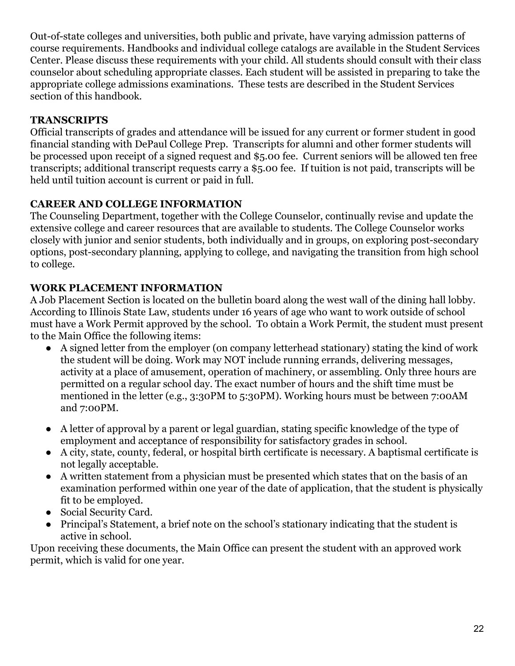Out-of-state colleges and universities, both public and private, have varying admission patterns of course requirements. Handbooks and individual college catalogs are available in the Student Services Center. Please discuss these requirements with your child. All students should consult with their class counselor about scheduling appropriate classes. Each student will be assisted in preparing to take the appropriate college admissions examinations. These tests are described in the Student Services section of this handbook.

# <span id="page-22-0"></span>**TRANSCRIPTS**

Official transcripts of grades and attendance will be issued for any current or former student in good financial standing with DePaul College Prep. Transcripts for alumni and other former students will be processed upon receipt of a signed request and \$5.00 fee. Current seniors will be allowed ten free transcripts; additional transcript requests carry a \$5.00 fee. If tuition is not paid, transcripts will be held until tuition account is current or paid in full.

# <span id="page-22-1"></span>**CAREER AND COLLEGE INFORMATION**

The Counseling Department, together with the College Counselor, continually revise and update the extensive college and career resources that are available to students. The College Counselor works closely with junior and senior students, both individually and in groups, on exploring post-secondary options, post-secondary planning, applying to college, and navigating the transition from high school to college.

#### <span id="page-22-2"></span>**WORK PLACEMENT INFORMATION**

A Job Placement Section is located on the bulletin board along the west wall of the dining hall lobby. According to Illinois State Law, students under 16 years of age who want to work outside of school must have a Work Permit approved by the school. To obtain a Work Permit, the student must present to the Main Office the following items:

- A signed letter from the employer (on company letterhead stationary) stating the kind of work the student will be doing. Work may NOT include running errands, delivering messages, activity at a place of amusement, operation of machinery, or assembling. Only three hours are permitted on a regular school day. The exact number of hours and the shift time must be mentioned in the letter (e.g., 3:30PM to 5:30PM). Working hours must be between 7:00AM and 7:00PM.
- A letter of approval by a parent or legal guardian, stating specific knowledge of the type of employment and acceptance of responsibility for satisfactory grades in school.
- A city, state, county, federal, or hospital birth certificate is necessary. A baptismal certificate is not legally acceptable.
- A written statement from a physician must be presented which states that on the basis of an examination performed within one year of the date of application, that the student is physically fit to be employed.
- Social Security Card.
- Principal's Statement, a brief note on the school's stationary indicating that the student is active in school.

Upon receiving these documents, the Main Office can present the student with an approved work permit, which is valid for one year.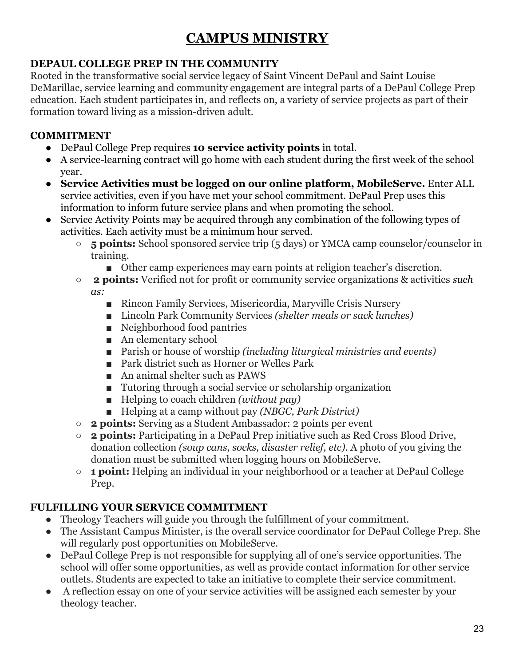# **CAMPUS MINISTRY**

# <span id="page-23-1"></span><span id="page-23-0"></span>**DEPAUL COLLEGE PREP IN THE COMMUNITY**

Rooted in the transformative social service legacy of Saint Vincent DePaul and Saint Louise DeMarillac, service learning and community engagement are integral parts of a DePaul College Prep education. Each student participates in, and reflects on, a variety of service projects as part of their formation toward living as a mission-driven adult.

# <span id="page-23-2"></span>**COMMITMENT**

- DePaul College Prep requires **10 service activity points** in total.
- A service-learning contract will go home with each student during the first week of the school year.
- **Service Activities must be logged on our online platform, MobileServe.** Enter ALL service activities, even if you have met your school commitment. DePaul Prep uses this information to inform future service plans and when promoting the school.
- Service Activity Points may be acquired through any combination of the following types of activities. Each activity must be a minimum hour served.
	- **5 points:** School sponsored service trip (5 days) or YMCA camp counselor/counselor in training.
		- Other camp experiences may earn points at religion teacher's discretion.
	- ○ **2 points:** Verified not for profit or community service organizations & activities *such as:*
		- Rincon Family Services, Misericordia, Maryville Crisis Nursery
		- Lincoln Park Community Services *(shelter meals or sack lunches)*
		- Neighborhood food pantries
		- An elementary school
		- Parish or house of worship *(including liturgical ministries and events)*
		- Park district such as Horner or Welles Park
		- An animal shelter such as PAWS
		- Tutoring through a social service or scholarship organization
		- Helping to coach children *(without pay)*
		- Helping at a camp without pay *(NBGC, Park District)*
	- **2 points:** Serving as a Student Ambassador: 2 points per event
	- **2 points:** Participating in a DePaul Prep initiative such as Red Cross Blood Drive, donation collection *(soup cans, socks, disaster relief, etc)*. A photo of you giving the donation must be submitted when logging hours on MobileServe.
	- **1 point:** Helping an individual in your neighborhood or a teacher at DePaul College Prep.

# <span id="page-23-3"></span>**FULFILLING YOUR SERVICE COMMITMENT**

- Theology Teachers will guide you through the fulfillment of your commitment.
- The Assistant Campus Minister, is the overall service coordinator for DePaul College Prep. She will regularly post opportunities on MobileServe.
- DePaul College Prep is not responsible for supplying all of one's service opportunities. The school will offer some opportunities, as well as provide contact information for other service outlets. Students are expected to take an initiative to complete their service commitment.
- A reflection essay on one of your service activities will be assigned each semester by your theology teacher.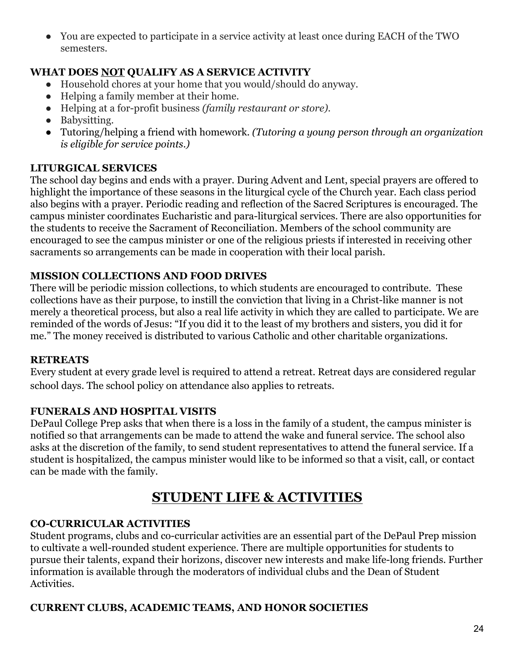● You are expected to participate in a service activity at least once during EACH of the TWO semesters.

# <span id="page-24-0"></span>**WHAT DOES NOT QUALIFY AS A SERVICE ACTIVITY**

- Household chores at your home that you would/should do anyway.
- Helping a family member at their home.
- Helping at a for-profit business *(family restaurant or store).*
- Babysitting.
- Tutoring/helping a friend with homework. *(Tutoring a young person through an organization is eligible for service points.)*

# <span id="page-24-1"></span>**LITURGICAL SERVICES**

The school day begins and ends with a prayer. During Advent and Lent, special prayers are offered to highlight the importance of these seasons in the liturgical cycle of the Church year. Each class period also begins with a prayer. Periodic reading and reflection of the Sacred Scriptures is encouraged. The campus minister coordinates Eucharistic and para-liturgical services. There are also opportunities for the students to receive the Sacrament of Reconciliation. Members of the school community are encouraged to see the campus minister or one of the religious priests if interested in receiving other sacraments so arrangements can be made in cooperation with their local parish.

# <span id="page-24-2"></span>**MISSION COLLECTIONS AND FOOD DRIVES**

There will be periodic mission collections, to which students are encouraged to contribute. These collections have as their purpose, to instill the conviction that living in a Christ-like manner is not merely a theoretical process, but also a real life activity in which they are called to participate. We are reminded of the words of Jesus: "If you did it to the least of my brothers and sisters, you did it for me." The money received is distributed to various Catholic and other charitable organizations.

#### <span id="page-24-3"></span>**RETREATS**

Every student at every grade level is required to attend a retreat. Retreat days are considered regular school days. The school policy on attendance also applies to retreats.

#### <span id="page-24-4"></span>**FUNERALS AND HOSPITAL VISITS**

DePaul College Prep asks that when there is a loss in the family of a student, the campus minister is notified so that arrangements can be made to attend the wake and funeral service. The school also asks at the discretion of the family, to send student representatives to attend the funeral service. If a student is hospitalized, the campus minister would like to be informed so that a visit, call, or contact can be made with the family.

# **STUDENT LIFE & ACTIVITIES**

#### <span id="page-24-5"></span>**CO-CURRICULAR ACTIVITIES**

Student programs, clubs and co-curricular activities are an essential part of the DePaul Prep mission to cultivate a well-rounded student experience. There are multiple opportunities for students to pursue their talents, expand their horizons, discover new interests and make life-long friends. Further information is available through the moderators of individual clubs and the Dean of Student Activities.

#### **CURRENT CLUBS, ACADEMIC TEAMS, AND HONOR SOCIETIES**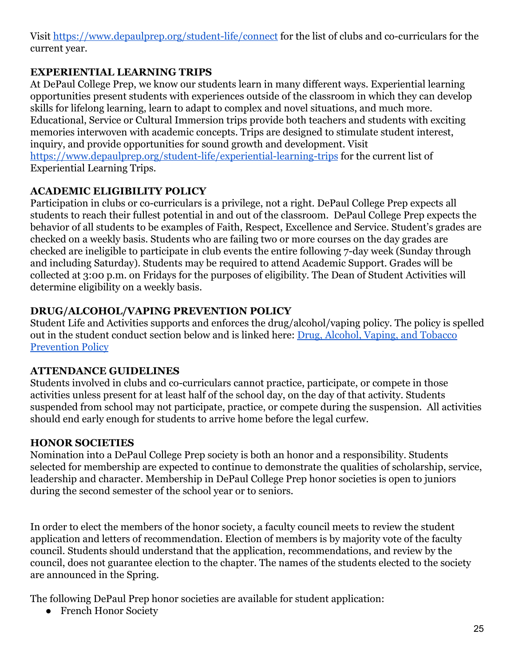Visit<https://www.depaulprep.org/student-life/connect>for the list of clubs and co-curriculars for the current year.

# **EXPERIENTIAL LEARNING TRIPS**

At DePaul College Prep, we know our students learn in many different ways. Experiential learning opportunities present students with experiences outside of the classroom in which they can develop skills for lifelong learning, learn to adapt to complex and novel situations, and much more. Educational, Service or Cultural Immersion trips provide both teachers and students with exciting memories interwoven with academic concepts. Trips are designed to stimulate student interest, inquiry, and provide opportunities for sound growth and development. Visit <https://www.depaulprep.org/student-life/experiential-learning-trips> for the current list of Experiential Learning Trips.

# <span id="page-25-0"></span>**ACADEMIC ELIGIBILITY POLICY**

Participation in clubs or co-curriculars is a privilege, not a right. DePaul College Prep expects all students to reach their fullest potential in and out of the classroom. DePaul College Prep expects the behavior of all students to be examples of Faith, Respect, Excellence and Service. Student's grades are checked on a weekly basis. Students who are failing two or more courses on the day grades are checked are ineligible to participate in club events the entire following 7-day week (Sunday through and including Saturday). Students may be required to attend Academic Support. Grades will be collected at 3:00 p.m. on Fridays for the purposes of eligibility. The Dean of Student Activities will determine eligibility on a weekly basis.

#### <span id="page-25-1"></span>**DRUG/ALCOHOL/VAPING PREVENTION POLICY**

Student Life and Activities supports and enforces the drug/alcohol/vaping policy. The policy is spelled out in the student conduct section below and is linked here: [Drug, Alcohol, Vaping, and Tobacco](https://docs.google.com/document/d/1I-LK3RrakHLtv0wVWIvg_cuFt9JpgJ3sFGBdSJP0K0I/edit?usp=sharing) [Prevention Policy](https://docs.google.com/document/d/1I-LK3RrakHLtv0wVWIvg_cuFt9JpgJ3sFGBdSJP0K0I/edit?usp=sharing)

#### <span id="page-25-2"></span>**ATTENDANCE GUIDELINES**

Students involved in clubs and co-curriculars cannot practice, participate, or compete in those activities unless present for at least half of the school day, on the day of that activity. Students suspended from school may not participate, practice, or compete during the suspension. All activities should end early enough for students to arrive home before the legal curfew.

#### <span id="page-25-3"></span>**HONOR SOCIETIES**

Nomination into a DePaul College Prep society is both an honor and a responsibility. Students selected for membership are expected to continue to demonstrate the qualities of scholarship, service, leadership and character. Membership in DePaul College Prep honor societies is open to juniors during the second semester of the school year or to seniors.

In order to elect the members of the honor society, a faculty council meets to review the student application and letters of recommendation. Election of members is by majority vote of the faculty council. Students should understand that the application, recommendations, and review by the council, does not guarantee election to the chapter. The names of the students elected to the society are announced in the Spring.

The following DePaul Prep honor societies are available for student application:

● French Honor Society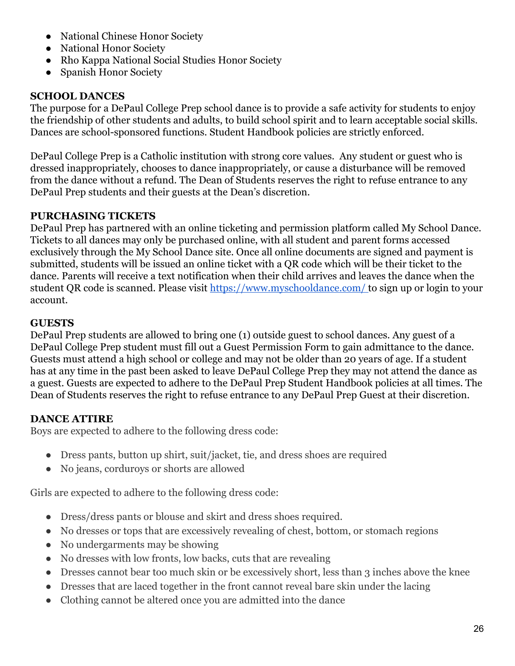- National Chinese Honor Society
- National Honor Society
- Rho Kappa National Social Studies Honor Society
- Spanish Honor Society

#### <span id="page-26-0"></span>**SCHOOL DANCES**

The purpose for a DePaul College Prep school dance is to provide a safe activity for students to enjoy the friendship of other students and adults, to build school spirit and to learn acceptable social skills. Dances are school-sponsored functions. Student Handbook policies are strictly enforced.

DePaul College Prep is a Catholic institution with strong core values. Any student or guest who is dressed inappropriately, chooses to dance inappropriately, or cause a disturbance will be removed from the dance without a refund. The Dean of Students reserves the right to refuse entrance to any DePaul Prep students and their guests at the Dean's discretion.

#### **PURCHASING TICKETS**

DePaul Prep has partnered with an online ticketing and permission platform called My School Dance. Tickets to all dances may only be purchased online, with all student and parent forms accessed exclusively through the My School Dance site. Once all online documents are signed and payment is submitted, students will be issued an online ticket with a QR code which will be their ticket to the dance. Parents will receive a text notification when their child arrives and leaves the dance when the student QR code is scanned. Please visit [https://www.myschooldance.com/ t](https://www.myschooldance.com/)o sign up or login to your account.

#### **GUESTS**

DePaul Prep students are allowed to bring one (1) outside guest to school dances. Any guest of a DePaul College Prep student must fill out a Guest Permission Form to gain admittance to the dance. Guests must attend a high school or college and may not be older than 20 years of age. If a student has at any time in the past been asked to leave DePaul College Prep they may not attend the dance as a guest. Guests are expected to adhere to the DePaul Prep Student Handbook policies at all times. The Dean of Students reserves the right to refuse entrance to any DePaul Prep Guest at their discretion.

#### **DANCE ATTIRE**

Boys are expected to adhere to the following dress code:

- Dress pants, button up shirt, suit/jacket, tie, and dress shoes are required
- No jeans, corduroys or shorts are allowed

Girls are expected to adhere to the following dress code:

- Dress/dress pants or blouse and skirt and dress shoes required.
- No dresses or tops that are excessively revealing of chest, bottom, or stomach regions
- No undergarments may be showing
- No dresses with low fronts, low backs, cuts that are revealing
- Dresses cannot bear too much skin or be excessively short, less than 3 inches above the knee
- Dresses that are laced together in the front cannot reveal bare skin under the lacing
- Clothing cannot be altered once you are admitted into the dance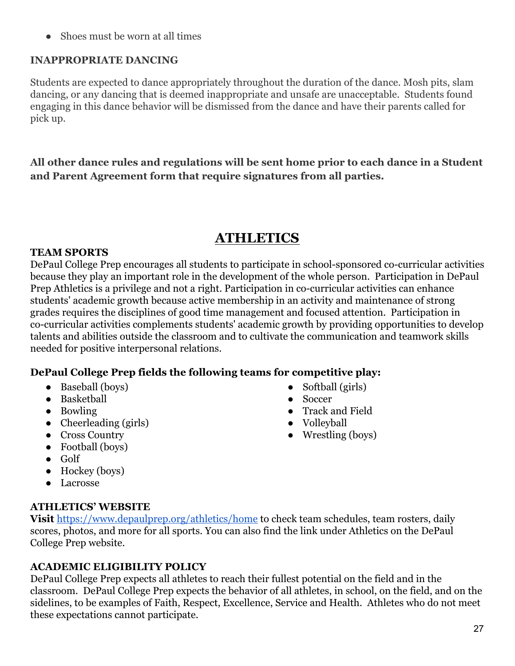• Shoes must be worn at all times

#### **INAPPROPRIATE DANCING**

Students are expected to dance appropriately throughout the duration of the dance. Mosh pits, slam dancing, or any dancing that is deemed inappropriate and unsafe are unacceptable. Students found engaging in this dance behavior will be dismissed from the dance and have their parents called for pick up.

**All other dance rules and regulations will be sent home prior to each dance in a Student and Parent Agreement form that require signatures from all parties.**

# **ATHLETICS**

#### <span id="page-27-1"></span><span id="page-27-0"></span>**TEAM SPORTS**

DePaul College Prep encourages all students to participate in school-sponsored co-curricular activities because they play an important role in the development of the whole person. Participation in DePaul Prep Athletics is a privilege and not a right. Participation in co-curricular activities can enhance students' academic growth because active membership in an activity and maintenance of strong grades requires the disciplines of good time management and focused attention. Participation in co-curricular activities complements students' academic growth by providing opportunities to develop talents and abilities outside the classroom and to cultivate the communication and teamwork skills needed for positive interpersonal relations.

#### **DePaul College Prep fields the following teams for competitive play:**

- Baseball (boys)
- Basketball
- Bowling
- $\bullet$  Cheerleading (girls)
- Cross Country
- Football (boys)
- Golf
- $\bullet$  Hockey (boys)
- Lacrosse

#### <span id="page-27-2"></span>**ATHLETICS' WEBSITE**

**Visi[t](http://www.athletics2000.com/DePaul%20Prep.org)** <https://www.depaulprep.org/athletics/home>to check team schedules, team rosters, daily scores, photos, and more for all sports. You can also find the link under Athletics on the DePaul College Prep website.

#### <span id="page-27-3"></span>**ACADEMIC ELIGIBILITY POLICY**

DePaul College Prep expects all athletes to reach their fullest potential on the field and in the classroom. DePaul College Prep expects the behavior of all athletes, in school, on the field, and on the sidelines, to be examples of Faith, Respect, Excellence, Service and Health. Athletes who do not meet these expectations cannot participate.

- Softball (girls)
- Soccer
- Track and Field
- Volleyball
- Wrestling (boys)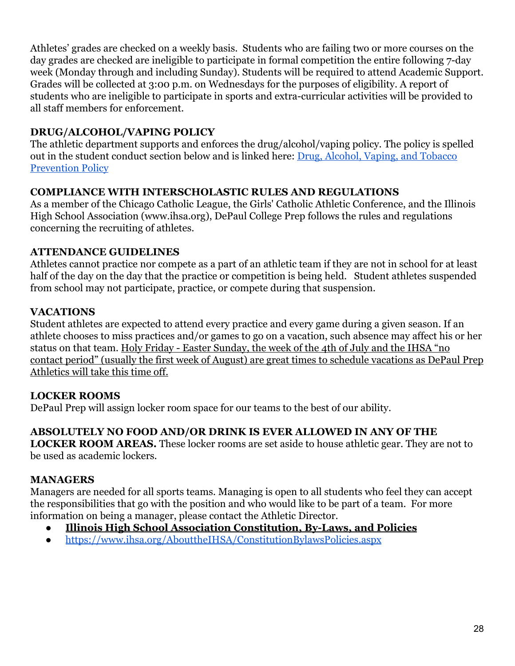Athletes' grades are checked on a weekly basis. Students who are failing two or more courses on the day grades are checked are ineligible to participate in formal competition the entire following 7-day week (Monday through and including Sunday). Students will be required to attend Academic Support. Grades will be collected at 3:00 p.m. on Wednesdays for the purposes of eligibility. A report of students who are ineligible to participate in sports and extra-curricular activities will be provided to all staff members for enforcement.

# <span id="page-28-0"></span>**DRUG/ALCOHOL/VAPING POLICY**

The athletic department supports and enforces the drug/alcohol/vaping policy. The policy is spelled out in the student conduct section below and is linked here: [Drug, Alcohol, Vaping, and Tobacco](https://docs.google.com/document/d/1I-LK3RrakHLtv0wVWIvg_cuFt9JpgJ3sFGBdSJP0K0I/edit?usp=sharing) [Prevention Policy](https://docs.google.com/document/d/1I-LK3RrakHLtv0wVWIvg_cuFt9JpgJ3sFGBdSJP0K0I/edit?usp=sharing)

# <span id="page-28-1"></span>**COMPLIANCE WITH INTERSCHOLASTIC RULES AND REGULATIONS**

As a member of the Chicago Catholic League, the Girls' Catholic Athletic Conference, and the Illinois High School Association (www.ihsa.org), DePaul College Prep follows the rules and regulations concerning the recruiting of athletes.

#### <span id="page-28-2"></span>**ATTENDANCE GUIDELINES**

Athletes cannot practice nor compete as a part of an athletic team if they are not in school for at least half of the day on the day that the practice or competition is being held. Student athletes suspended from school may not participate, practice, or compete during that suspension.

# **VACATIONS**

Student athletes are expected to attend every practice and every game during a given season. If an athlete chooses to miss practices and/or games to go on a vacation, such absence may affect his or her status on that team. Holy Friday - Easter Sunday, the week of the 4th of July and the IHSA "no contact period" (usually the first week of August) are great times to schedule vacations as DePaul Prep Athletics will take this time off.

# <span id="page-28-3"></span>**LOCKER ROOMS**

DePaul Prep will assign locker room space for our teams to the best of our ability.

# **ABSOLUTELY NO FOOD AND/OR DRINK IS EVER ALLOWED IN ANY OF THE**

**LOCKER ROOM AREAS.** These locker rooms are set aside to house athletic gear. They are not to be used as academic lockers.

#### <span id="page-28-4"></span>**MANAGERS**

Managers are needed for all sports teams. Managing is open to all students who feel they can accept the responsibilities that go with the position and who would like to be part of a team. For more information on being a manager, please contact the Athletic Director.

- **Illinois High School Association Constitution, By-Laws, and Policies**
- <https://www.ihsa.org/AbouttheIHSA/ConstitutionBylawsPolicies.aspx>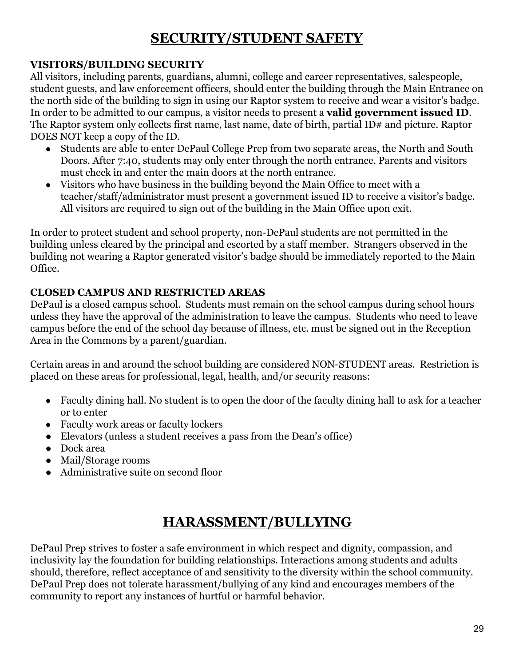# **SECURITY/STUDENT SAFETY**

#### <span id="page-29-1"></span><span id="page-29-0"></span>**VISITORS/BUILDING SECURITY**

All visitors, including parents, guardians, alumni, college and career representatives, salespeople, student guests, and law enforcement officers, should enter the building through the Main Entrance on the north side of the building to sign in using our Raptor system to receive and wear a visitor's badge. In order to be admitted to our campus, a visitor needs to present a **valid government issued ID**. The Raptor system only collects first name, last name, date of birth, partial ID# and picture. Raptor DOES NOT keep a copy of the ID.

- Students are able to enter DePaul College Prep from two separate areas, the North and South Doors. After 7:40, students may only enter through the north entrance. Parents and visitors must check in and enter the main doors at the north entrance.
- Visitors who have business in the building beyond the Main Office to meet with a teacher/staff/administrator must present a government issued ID to receive a visitor's badge. All visitors are required to sign out of the building in the Main Office upon exit.

In order to protect student and school property, non-DePaul students are not permitted in the building unless cleared by the principal and escorted by a staff member. Strangers observed in the building not wearing a Raptor generated visitor's badge should be immediately reported to the Main Office.

# <span id="page-29-2"></span>**CLOSED CAMPUS AND RESTRICTED AREAS**

DePaul is a closed campus school. Students must remain on the school campus during school hours unless they have the approval of the administration to leave the campus. Students who need to leave campus before the end of the school day because of illness, etc. must be signed out in the Reception Area in the Commons by a parent/guardian.

Certain areas in and around the school building are considered NON-STUDENT areas. Restriction is placed on these areas for professional, legal, health, and/or security reasons:

- Faculty dining hall. No student is to open the door of the faculty dining hall to ask for a teacher or to enter
- Faculty work areas or faculty lockers
- Elevators (unless a student receives a pass from the Dean's office)
- Dock area
- Mail/Storage rooms
- Administrative suite on second floor

# **HARASSMENT/BULLYING**

<span id="page-29-3"></span>DePaul Prep strives to foster a safe environment in which respect and dignity, compassion, and inclusivity lay the foundation for building relationships. Interactions among students and adults should, therefore, reflect acceptance of and sensitivity to the diversity within the school community. DePaul Prep does not tolerate harassment/bullying of any kind and encourages members of the community to report any instances of hurtful or harmful behavior.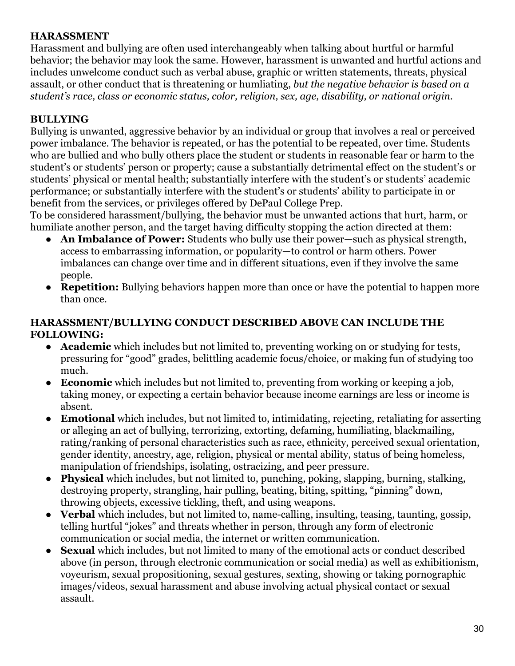#### **HARASSMENT**

Harassment and bullying are often used interchangeably when talking about hurtful or harmful behavior; the behavior may look the same. However, harassment is unwanted and hurtful actions and includes unwelcome conduct such as verbal abuse, graphic or written statements, threats, physical assault, or other conduct that is threatening or humliating, *but the negative behavior is based on a student's race, class or economic status, color, religion, sex, age, disability, or national origin*.

# **BULLYING**

Bullying is unwanted, aggressive behavior by an individual or group that involves a real or perceived power imbalance. The behavior is repeated, or has the potential to be repeated, over time. Students who are bullied and who bully others place the student or students in reasonable fear or harm to the student's or students' person or property; cause a substantially detrimental effect on the student's or students' physical or mental health; substantially interfere with the student's or students' academic performance; or substantially interfere with the student's or students' ability to participate in or benefit from the services, or privileges offered by DePaul College Prep.

To be considered harassment/bullying, the behavior must be unwanted actions that hurt, harm, or humiliate another person, and the target having difficulty stopping the action directed at them:

- An Imbalance of Power: Students who bully use their power—such as physical strength, access to embarrassing information, or popularity—to control or harm others. Power imbalances can change over time and in different situations, even if they involve the same people.
- **Repetition:** Bullying behaviors happen more than once or have the potential to happen more than once.

#### **HARASSMENT/BULLYING CONDUCT DESCRIBED ABOVE CAN INCLUDE THE FOLLOWING:**

- **● Academic** which includes but not limited to, preventing working on or studying for tests, pressuring for "good" grades, belittling academic focus/choice, or making fun of studying too much.
- **Economic** which includes but not limited to, preventing from working or keeping a job, taking money, or expecting a certain behavior because income earnings are less or income is absent.
- **Emotional** which includes, but not limited to, intimidating, rejecting, retaliating for asserting or alleging an act of bullying, terrorizing, extorting, defaming, humiliating, blackmailing, rating/ranking of personal characteristics such as race, ethnicity, perceived sexual orientation, gender identity, ancestry, age, religion, physical or mental ability, status of being homeless, manipulation of friendships, isolating, ostracizing, and peer pressure.
- **● Physical** which includes, but not limited to, punching, poking, slapping, burning, stalking, destroying property, strangling, hair pulling, beating, biting, spitting, "pinning" down, throwing objects, excessive tickling, theft, and using weapons.
- **● Verbal** which includes, but not limited to, name-calling, insulting, teasing, taunting, gossip, telling hurtful "jokes" and threats whether in person, through any form of electronic communication or social media, the internet or written communication.
- **Sexual** which includes, but not limited to many of the emotional acts or conduct described above (in person, through electronic communication or social media) as well as exhibitionism, voyeurism, sexual propositioning, sexual gestures, sexting, showing or taking pornographic images/videos, sexual harassment and abuse involving actual physical contact or sexual assault.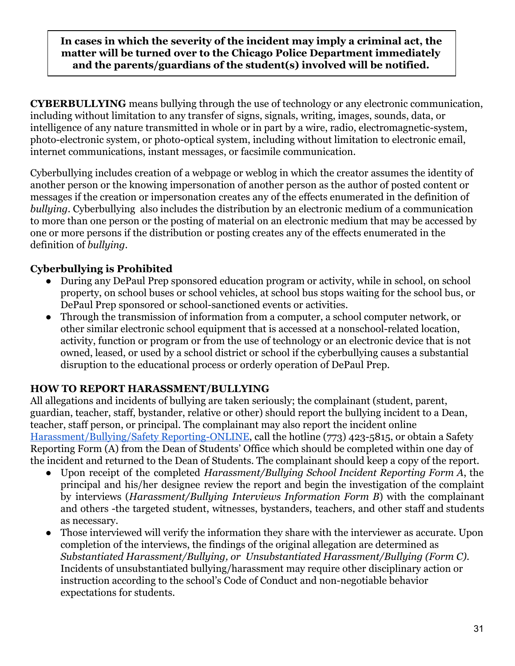**In cases in which the severity of the incident may imply a criminal act, the matter will be turned over to the Chicago Police Department immediately and the parents/guardians of the student(s) involved will be notified.**

**CYBERBULLYING** means bullying through the use of technology or any electronic communication, including without limitation to any transfer of signs, signals, writing, images, sounds, data, or intelligence of any nature transmitted in whole or in part by a wire, radio, electromagnetic-system, photo-electronic system, or photo-optical system, including without limitation to electronic email, internet communications, instant messages, or facsimile communication.

Cyberbullying includes creation of a webpage or weblog in which the creator assumes the identity of another person or the knowing impersonation of another person as the author of posted content or messages if the creation or impersonation creates any of the effects enumerated in the definition of *bullying*. Cyberbullying also includes the distribution by an electronic medium of a communication to more than one person or the posting of material on an electronic medium that may be accessed by one or more persons if the distribution or posting creates any of the effects enumerated in the definition of *bullying*.

# **Cyberbullying is Prohibited**

- During any DePaul Prep sponsored education program or activity, while in school, on school property, on school buses or school vehicles, at school bus stops waiting for the school bus, or DePaul Prep sponsored or school-sanctioned events or activities.
- Through the transmission of information from a computer, a school computer network, or other similar electronic school equipment that is accessed at a nonschool-related location, activity, function or program or from the use of technology or an electronic device that is not owned, leased, or used by a school district or school if the cyberbullying causes a substantial disruption to the educational process or orderly operation of DePaul Prep.

#### <span id="page-31-0"></span>**HOW TO REPORT HARASSMENT/BULLYING**

All allegations and incidents of bullying are taken seriously; the complainant (student, parent, guardian, teacher, staff, bystander, relative or other) should report the bullying incident to a Dean, teacher, staff person, or principal. The complainant may also report the incident online [Harassment/Bullying/Safety Reporting-ONLINE](https://www.depaulprep.org/student-life/deans-office/safety-reporting-form), call the hotline (773) 423-5815, or obtain a Safety Reporting Form (A) from the Dean of Students' Office which should be completed within one day of the incident and returned to the Dean of Students. The complainant should keep a copy of the report.

- Upon receipt of the completed *Harassment/Bullying School Incident Reporting Form A*, the principal and his/her designee review the report and begin the investigation of the complaint by interviews (*Harassment/Bullying Interviews Information Form B*) with the complainant and others -the targeted student, witnesses, bystanders, teachers, and other staff and students as necessary.
- Those interviewed will verify the information they share with the interviewer as accurate. Upon completion of the interviews, the findings of the original allegation are determined as *Substantiated Harassment/Bullying, or Unsubstantiated Harassment/Bullying (Form C)*. Incidents of unsubstantiated bullying/harassment may require other disciplinary action or instruction according to the school's Code of Conduct and non-negotiable behavior expectations for students.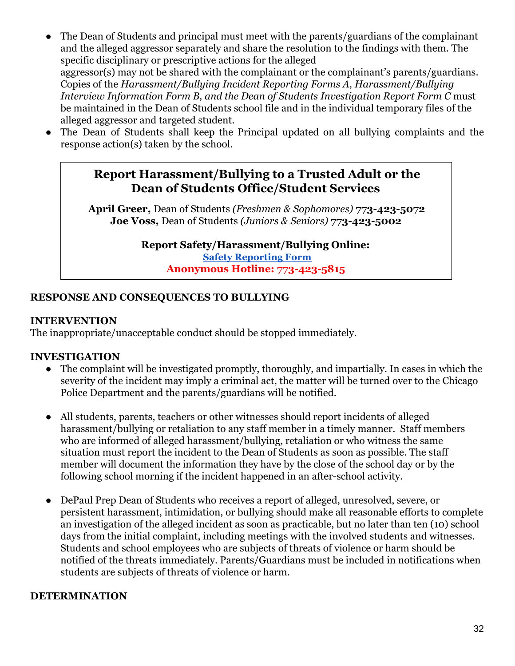- The Dean of Students and principal must meet with the parents/guardians of the complainant and the alleged aggressor separately and share the resolution to the findings with them. The specific disciplinary or prescriptive actions for the alleged aggressor(s) may not be shared with the complainant or the complainant's parents/guardians. Copies of the *Harassment/Bullying Incident Reporting Forms A, Harassment/Bullying Interview Information Form B, and the Dean of Students Investigation Report Form C* must be maintained in the Dean of Students school file and in the individual temporary files of the alleged aggressor and targeted student.
- The Dean of Students shall keep the Principal updated on all bullying complaints and the response action(s) taken by the school.

# **Report Harassment/Bullying to a Trusted Adult or the Dean of Students Office/Student Services**

 **April Greer,** Dean of Students *(Freshmen & Sophomores)* **773-423-5072 Joe Voss,** Dean of Students *(Juniors & Seniors)* **773-423-5002**

> **Report Safety/Harassment/Bullying Online: Safety [Reporting](https://www.depaulprep.org/student-life/deans-office/safety-reporting-form) Form Anonymous Hotline: 773-423-5815**

#### <span id="page-32-0"></span>**RESPONSE AND CONSEQUENCES TO BULLYING**

#### **INTERVENTION**

The inappropriate/unacceptable conduct should be stopped immediately.

#### **INVESTIGATION**

- The complaint will be investigated promptly, thoroughly, and impartially. In cases in which the severity of the incident may imply a criminal act, the matter will be turned over to the Chicago Police Department and the parents/guardians will be notified.
- All students, parents, teachers or other witnesses should report incidents of alleged harassment/bullying or retaliation to any staff member in a timely manner. Staff members who are informed of alleged harassment/bullying, retaliation or who witness the same situation must report the incident to the Dean of Students as soon as possible. The staff member will document the information they have by the close of the school day or by the following school morning if the incident happened in an after-school activity.
- DePaul Prep Dean of Students who receives a report of alleged, unresolved, severe, or persistent harassment, intimidation, or bullying should make all reasonable efforts to complete an investigation of the alleged incident as soon as practicable, but no later than ten (10) school days from the initial complaint, including meetings with the involved students and witnesses. Students and school employees who are subjects of threats of violence or harm should be notified of the threats immediately. Parents/Guardians must be included in notifications when students are subjects of threats of violence or harm.

#### **DETERMINATION**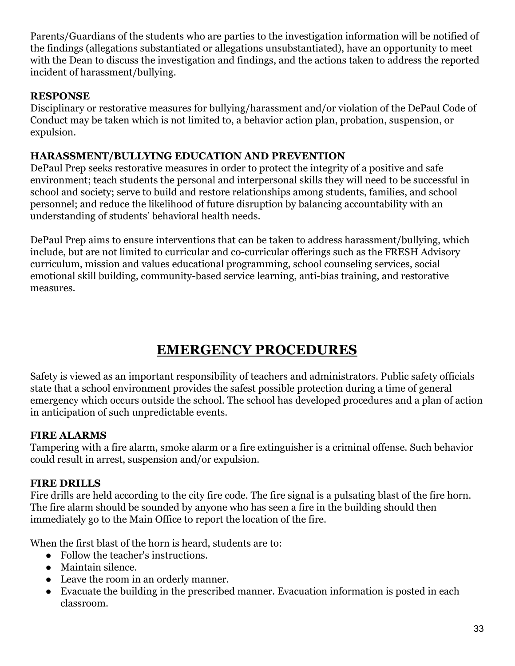Parents/Guardians of the students who are parties to the investigation information will be notified of the findings (allegations substantiated or allegations unsubstantiated), have an opportunity to meet with the Dean to discuss the investigation and findings, and the actions taken to address the reported incident of harassment/bullying.

#### **RESPONSE**

Disciplinary or restorative measures for bullying/harassment and/or violation of the DePaul Code of Conduct may be taken which is not limited to, a behavior action plan, probation, suspension, or expulsion.

#### <span id="page-33-0"></span>**HARASSMENT/BULLYING EDUCATION AND PREVENTION**

DePaul Prep seeks restorative measures in order to protect the integrity of a positive and safe environment; teach students the personal and interpersonal skills they will need to be successful in school and society; serve to build and restore relationships among students, families, and school personnel; and reduce the likelihood of future disruption by balancing accountability with an understanding of students' behavioral health needs.

DePaul Prep aims to ensure interventions that can be taken to address harassment/bullying, which include, but are not limited to curricular and co-curricular offerings such as the FRESH Advisory curriculum, mission and values educational programming, school counseling services, social emotional skill building, community-based service learning, anti-bias training, and restorative measures.

# **EMERGENCY PROCEDURES**

<span id="page-33-1"></span>Safety is viewed as an important responsibility of teachers and administrators. Public safety officials state that a school environment provides the safest possible protection during a time of general emergency which occurs outside the school. The school has developed procedures and a plan of action in anticipation of such unpredictable events.

#### <span id="page-33-2"></span>**FIRE ALARMS**

Tampering with a fire alarm, smoke alarm or a fire extinguisher is a criminal offense. Such behavior could result in arrest, suspension and/or expulsion.

# <span id="page-33-3"></span>**FIRE DRILLS**

Fire drills are held according to the city fire code. The fire signal is a pulsating blast of the fire horn. The fire alarm should be sounded by anyone who has seen a fire in the building should then immediately go to the Main Office to report the location of the fire.

When the first blast of the horn is heard, students are to:

- Follow the teacher's instructions.
- Maintain silence.
- Leave the room in an orderly manner.
- Evacuate the building in the prescribed manner. Evacuation information is posted in each classroom.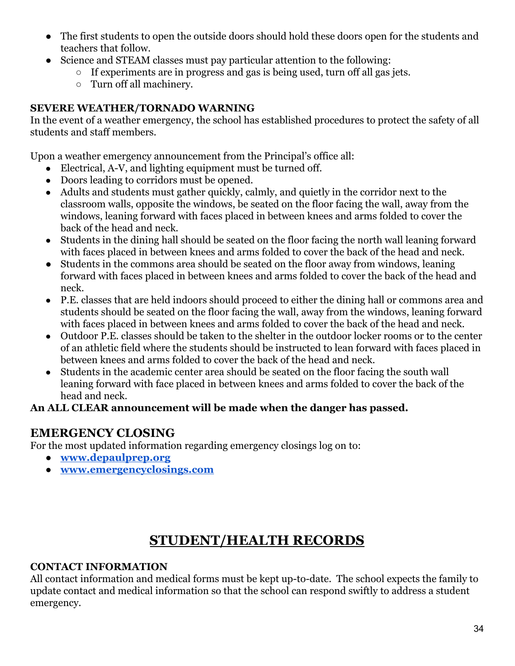- The first students to open the outside doors should hold these doors open for the students and teachers that follow.
- Science and STEAM classes must pay particular attention to the following:
	- If experiments are in progress and gas is being used, turn off all gas jets.
	- Turn off all machinery.

#### <span id="page-34-0"></span>**SEVERE WEATHER/TORNADO WARNING**

In the event of a weather emergency, the school has established procedures to protect the safety of all students and staff members.

Upon a weather emergency announcement from the Principal's office all:

- Electrical, A-V, and lighting equipment must be turned off.
- Doors leading to corridors must be opened.
- Adults and students must gather quickly, calmly, and quietly in the corridor next to the classroom walls, opposite the windows, be seated on the floor facing the wall, away from the windows, leaning forward with faces placed in between knees and arms folded to cover the back of the head and neck.
- Students in the dining hall should be seated on the floor facing the north wall leaning forward with faces placed in between knees and arms folded to cover the back of the head and neck.
- Students in the commons area should be seated on the floor away from windows, leaning forward with faces placed in between knees and arms folded to cover the back of the head and neck.
- P.E. classes that are held indoors should proceed to either the dining hall or commons area and students should be seated on the floor facing the wall, away from the windows, leaning forward with faces placed in between knees and arms folded to cover the back of the head and neck.
- Outdoor P.E. classes should be taken to the shelter in the outdoor locker rooms or to the center of an athletic field where the students should be instructed to lean forward with faces placed in between knees and arms folded to cover the back of the head and neck.
- Students in the academic center area should be seated on the floor facing the south wall leaning forward with face placed in between knees and arms folded to cover the back of the head and neck.

#### **An ALL CLEAR announcement will be made when the danger has passed.**

# <span id="page-34-1"></span>**EMERGENCY CLOSING**

For the most updated information regarding emergency closings log on to:

- **● [www.depaulprep.org](http://www.depaulprep.org/)**
- **● [www.emergencyclosings.com](http://www.emergencyclosings.com/)**

# **STUDENT/HEALTH RECORDS**

#### <span id="page-34-3"></span><span id="page-34-2"></span>**CONTACT INFORMATION**

All contact information and medical forms must be kept up-to-date. The school expects the family to update contact and medical information so that the school can respond swiftly to address a student emergency.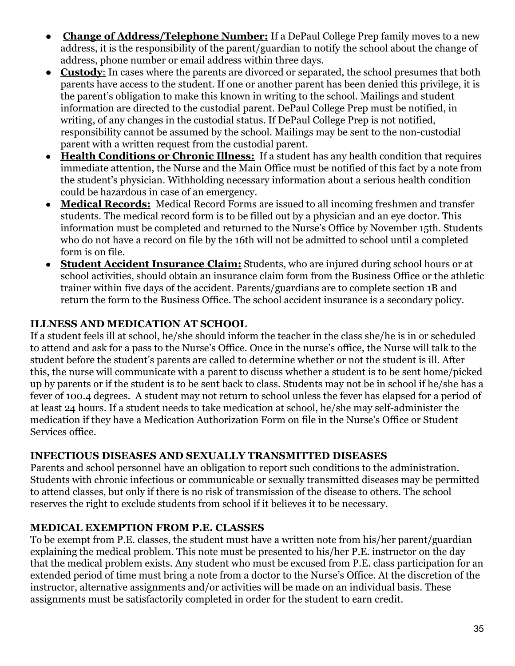- **Change of Address/Telephone Number:** If a DePaul College Prep family moves to a new address, it is the responsibility of the parent/guardian to notify the school about the change of address, phone number or email address within three days.
- **Custody**: In cases where the parents are divorced or separated, the school presumes that both parents have access to the student. If one or another parent has been denied this privilege, it is the parent's obligation to make this known in writing to the school. Mailings and student information are directed to the custodial parent. DePaul College Prep must be notified, in writing, of any changes in the custodial status. If DePaul College Prep is not notified, responsibility cannot be assumed by the school. Mailings may be sent to the non-custodial parent with a written request from the custodial parent.
- **Health Conditions or Chronic Illness:** If a student has any health condition that requires immediate attention, the Nurse and the Main Office must be notified of this fact by a note from the student's physician. Withholding necessary information about a serious health condition could be hazardous in case of an emergency.
- **Medical Records:** Medical Record Forms are issued to all incoming freshmen and transfer students. The medical record form is to be filled out by a physician and an eye doctor. This information must be completed and returned to the Nurse's Office by November 15th. Students who do not have a record on file by the 16th will not be admitted to school until a completed form is on file.
- **Student Accident Insurance Claim:** Students, who are injured during school hours or at school activities, should obtain an insurance claim form from the Business Office or the athletic trainer within five days of the accident. Parents/guardians are to complete section 1B and return the form to the Business Office. The school accident insurance is a secondary policy.

#### <span id="page-35-0"></span>**ILLNESS AND MEDICATION AT SCHOOL**

If a student feels ill at school, he/she should inform the teacher in the class she/he is in or scheduled to attend and ask for a pass to the Nurse's Office. Once in the nurse's office, the Nurse will talk to the student before the student's parents are called to determine whether or not the student is ill. After this, the nurse will communicate with a parent to discuss whether a student is to be sent home/picked up by parents or if the student is to be sent back to class. Students may not be in school if he/she has a fever of 100.4 degrees. A student may not return to school unless the fever has elapsed for a period of at least 24 hours. If a student needs to take medication at school, he/she may self-administer the medication if they have a Medication Authorization Form on file in the Nurse's Office or Student Services office.

#### <span id="page-35-1"></span>**INFECTIOUS DISEASES AND SEXUALLY TRANSMITTED DISEASES**

Parents and school personnel have an obligation to report such conditions to the administration. Students with chronic infectious or communicable or sexually transmitted diseases may be permitted to attend classes, but only if there is no risk of transmission of the disease to others. The school reserves the right to exclude students from school if it believes it to be necessary.

#### <span id="page-35-2"></span>**MEDICAL EXEMPTION FROM P.E. CLASSES**

To be exempt from P.E. classes, the student must have a written note from his/her parent/guardian explaining the medical problem. This note must be presented to his/her P.E. instructor on the day that the medical problem exists. Any student who must be excused from P.E. class participation for an extended period of time must bring a note from a doctor to the Nurse's Office. At the discretion of the instructor, alternative assignments and/or activities will be made on an individual basis. These assignments must be satisfactorily completed in order for the student to earn credit.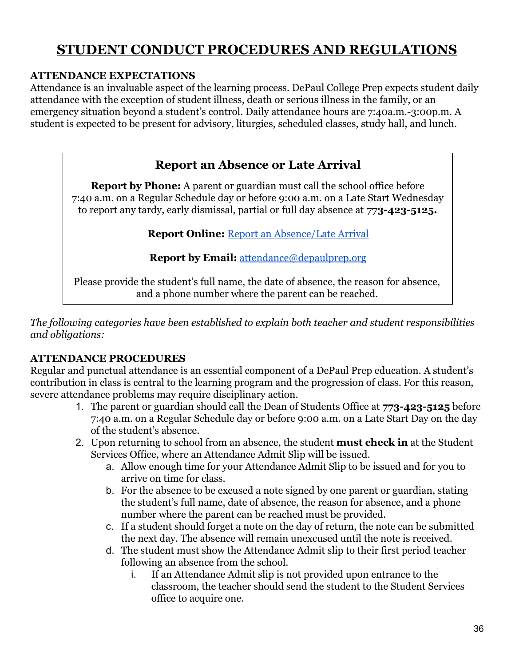# <span id="page-36-0"></span>**STUDENT CONDUCT PROCEDURES AND REGULATIONS**

#### <span id="page-36-1"></span>**ATTENDANCE EXPECTATIONS**

Attendance is an invaluable aspect of the learning process. DePaul College Prep expects student daily attendance with the exception of student illness, death or serious illness in the family, or an emergency situation beyond a student's control. Daily attendance hours are 7:40a.m.-3:00p.m. A student is expected to be present for advisory, liturgies, scheduled classes, study hall, and lunch.

# **Report an Absence or Late Arrival**

<span id="page-36-2"></span>**Report by Phone:** A parent or guardian must call the school office before 7:40 a.m. on a Regular Schedule day or before 9:00 a.m. on a Late Start Wednesday to report any tardy, early dismissal, partial or full day absence at **773-423-5125.**

**Report Online:** [Report an Absence/Late Arrival](https://www.depaulprep.org/student-life/deans-office)

**Report by Email:** [attendance@depaulprep.org](mailto:attendance@depaulprep.org)

Please provide the student's full name, the date of absence, the reason for absence, and a phone number where the parent can be reached.

*The following categories have been established to explain both teacher and student responsibilities and obligations:*

#### <span id="page-36-3"></span>**ATTENDANCE PROCEDURES**

Regular and punctual attendance is an essential component of a DePaul Prep education. A student's contribution in class is central to the learning program and the progression of class. For this reason, severe attendance problems may require disciplinary action.

- 1. The parent or guardian should call the Dean of Students Office at **773-423-5125** before 7:40 a.m. on a Regular Schedule day or before 9:00 a.m. on a Late Start Day on the day of the student's absence.
- 2. Upon returning to school from an absence, the student **must check in** at the Student Services Office, where an Attendance Admit Slip will be issued.
	- a. Allow enough time for your Attendance Admit Slip to be issued and for you to arrive on time for class.
	- b. For the absence to be excused a note signed by one parent or guardian, stating the student's full name, date of absence, the reason for absence, and a phone number where the parent can be reached must be provided.
	- c. If a student should forget a note on the day of return, the note can be submitted the next day. The absence will remain unexcused until the note is received.
	- d. The student must show the Attendance Admit slip to their first period teacher following an absence from the school.
		- i. If an Attendance Admit slip is not provided upon entrance to the classroom, the teacher should send the student to the Student Services office to acquire one.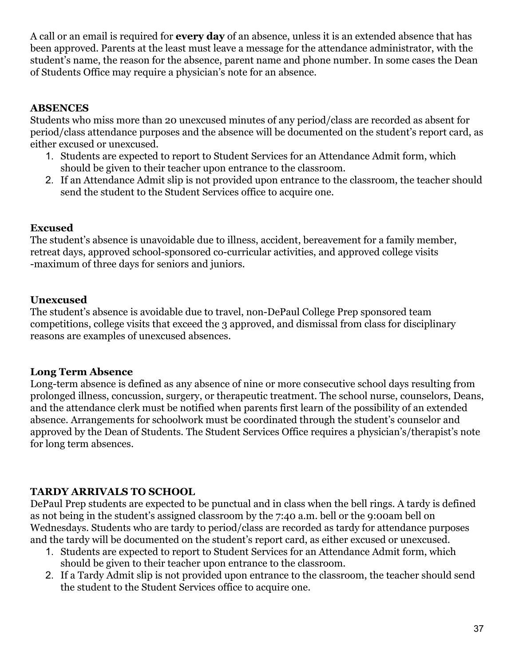A call or an email is required for **every day** of an absence, unless it is an extended absence that has been approved. Parents at the least must leave a message for the attendance administrator, with the student's name, the reason for the absence, parent name and phone number. In some cases the Dean of Students Office may require a physician's note for an absence.

#### **ABSENCES**

Students who miss more than 20 unexcused minutes of any period/class are recorded as absent for period/class attendance purposes and the absence will be documented on the student's report card, as either excused or unexcused.

- 1. Students are expected to report to Student Services for an Attendance Admit form, which should be given to their teacher upon entrance to the classroom.
- 2. If an Attendance Admit slip is not provided upon entrance to the classroom, the teacher should send the student to the Student Services office to acquire one.

# **Excused**

The student's absence is unavoidable due to illness, accident, bereavement for a family member, retreat days, approved school-sponsored co-curricular activities, and approved college visits -maximum of three days for seniors and juniors.

# **Unexcused**

The student's absence is avoidable due to travel, non-DePaul College Prep sponsored team competitions, college visits that exceed the 3 approved, and dismissal from class for disciplinary reasons are examples of unexcused absences.

#### **Long Term Absence**

Long-term absence is defined as any absence of nine or more consecutive school days resulting from prolonged illness, concussion, surgery, or therapeutic treatment. The school nurse, counselors, Deans, and the attendance clerk must be notified when parents first learn of the possibility of an extended absence. Arrangements for schoolwork must be coordinated through the student's counselor and approved by the Dean of Students. The Student Services Office requires a physician's/therapist's note for long term absences.

#### <span id="page-37-0"></span>**TARDY ARRIVALS TO SCHOOL**

DePaul Prep students are expected to be punctual and in class when the bell rings. A tardy is defined as not being in the student's assigned classroom by the 7:40 a.m. bell or the 9:00am bell on Wednesdays. Students who are tardy to period/class are recorded as tardy for attendance purposes and the tardy will be documented on the student's report card, as either excused or unexcused.

- 1. Students are expected to report to Student Services for an Attendance Admit form, which should be given to their teacher upon entrance to the classroom.
- 2. If a Tardy Admit slip is not provided upon entrance to the classroom, the teacher should send the student to the Student Services office to acquire one.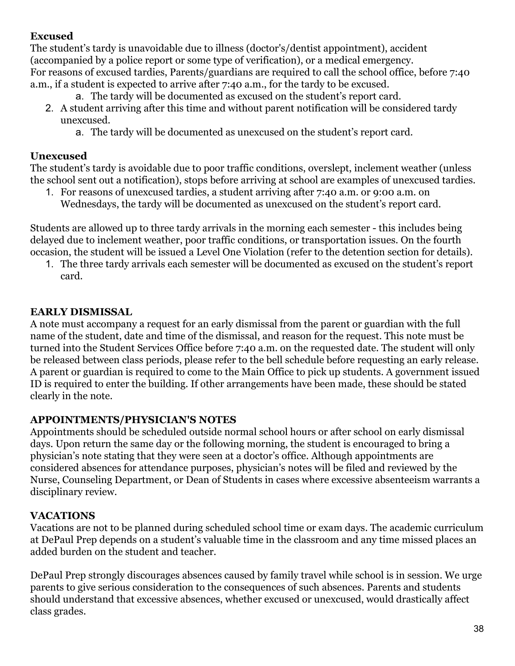# **Excused**

The student's tardy is unavoidable due to illness (doctor's/dentist appointment), accident (accompanied by a police report or some type of verification), or a medical emergency. For reasons of excused tardies, Parents/guardians are required to call the school office, before 7:40 a.m., if a student is expected to arrive after 7:40 a.m., for the tardy to be excused.

- a. The tardy will be documented as excused on the student's report card.
- 2. A student arriving after this time and without parent notification will be considered tardy unexcused.
	- a. The tardy will be documented as unexcused on the student's report card.

#### **Unexcused**

The student's tardy is avoidable due to poor traffic conditions, overslept, inclement weather (unless the school sent out a notification), stops before arriving at school are examples of unexcused tardies.

1. For reasons of unexcused tardies, a student arriving after 7:40 a.m. or 9:00 a.m. on Wednesdays, the tardy will be documented as unexcused on the student's report card.

Students are allowed up to three tardy arrivals in the morning each semester - this includes being delayed due to inclement weather, poor traffic conditions, or transportation issues. On the fourth occasion, the student will be issued a Level One Violation (refer to the detention section for details).

1. The three tardy arrivals each semester will be documented as excused on the student's report card.

#### <span id="page-38-0"></span>**EARLY DISMISSAL**

A note must accompany a request for an early dismissal from the parent or guardian with the full name of the student, date and time of the dismissal, and reason for the request. This note must be turned into the Student Services Office before 7:40 a.m. on the requested date. The student will only be released between class periods, please refer to the bell schedule before requesting an early release. A parent or guardian is required to come to the Main Office to pick up students. A government issued ID is required to enter the building. If other arrangements have been made, these should be stated clearly in the note.

#### <span id="page-38-1"></span>**APPOINTMENTS/PHYSICIAN'S NOTES**

Appointments should be scheduled outside normal school hours or after school on early dismissal days. Upon return the same day or the following morning, the student is encouraged to bring a physician's note stating that they were seen at a doctor's office. Although appointments are considered absences for attendance purposes, physician's notes will be filed and reviewed by the Nurse, Counseling Department, or Dean of Students in cases where excessive absenteeism warrants a disciplinary review.

#### <span id="page-38-2"></span>**VACATIONS**

Vacations are not to be planned during scheduled school time or exam days. The academic curriculum at DePaul Prep depends on a student's valuable time in the classroom and any time missed places an added burden on the student and teacher.

DePaul Prep strongly discourages absences caused by family travel while school is in session. We urge parents to give serious consideration to the consequences of such absences. Parents and students should understand that excessive absences, whether excused or unexcused, would drastically affect class grades.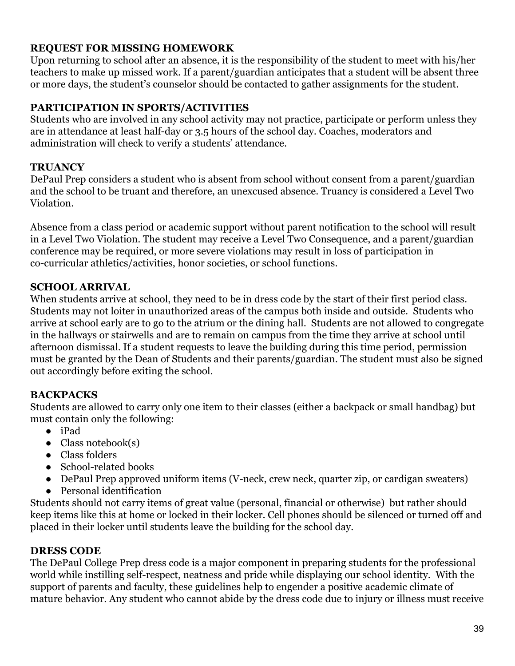#### <span id="page-39-0"></span>**REQUEST FOR MISSING HOMEWORK**

Upon returning to school after an absence, it is the responsibility of the student to meet with his/her teachers to make up missed work. If a parent/guardian anticipates that a student will be absent three or more days, the student's counselor should be contacted to gather assignments for the student.

# <span id="page-39-1"></span>**PARTICIPATION IN SPORTS/ACTIVITIES**

Students who are involved in any school activity may not practice, participate or perform unless they are in attendance at least half-day or 3.5 hours of the school day. Coaches, moderators and administration will check to verify a students' attendance.

#### <span id="page-39-2"></span>**TRUANCY**

DePaul Prep considers a student who is absent from school without consent from a parent/guardian and the school to be truant and therefore, an unexcused absence. Truancy is considered a Level Two Violation.

Absence from a class period or academic support without parent notification to the school will result in a Level Two Violation. The student may receive a Level Two Consequence, and a parent/guardian conference may be required, or more severe violations may result in loss of participation in co-curricular athletics/activities, honor societies, or school functions.

#### <span id="page-39-3"></span>**SCHOOL ARRIVAL**

When students arrive at school, they need to be in dress code by the start of their first period class. Students may not loiter in unauthorized areas of the campus both inside and outside. Students who arrive at school early are to go to the atrium or the dining hall. Students are not allowed to congregate in the hallways or stairwells and are to remain on campus from the time they arrive at school until afternoon dismissal. If a student requests to leave the building during this time period, permission must be granted by the Dean of Students and their parents/guardian. The student must also be signed out accordingly before exiting the school.

#### <span id="page-39-4"></span>**BACKPACKS**

Students are allowed to carry only one item to their classes (either a backpack or small handbag) but must contain only the following:

- iPad
- Class notebook(s)
- Class folders
- School-related books
- DePaul Prep approved uniform items (V-neck, crew neck, quarter zip, or cardigan sweaters)
- Personal identification

Students should not carry items of great value (personal, financial or otherwise) but rather should keep items like this at home or locked in their locker. Cell phones should be silenced or turned off and placed in their locker until students leave the building for the school day.

#### <span id="page-39-5"></span>**DRESS CODE**

The DePaul College Prep dress code is a major component in preparing students for the professional world while instilling self-respect, neatness and pride while displaying our school identity. With the support of parents and faculty, these guidelines help to engender a positive academic climate of mature behavior. Any student who cannot abide by the dress code due to injury or illness must receive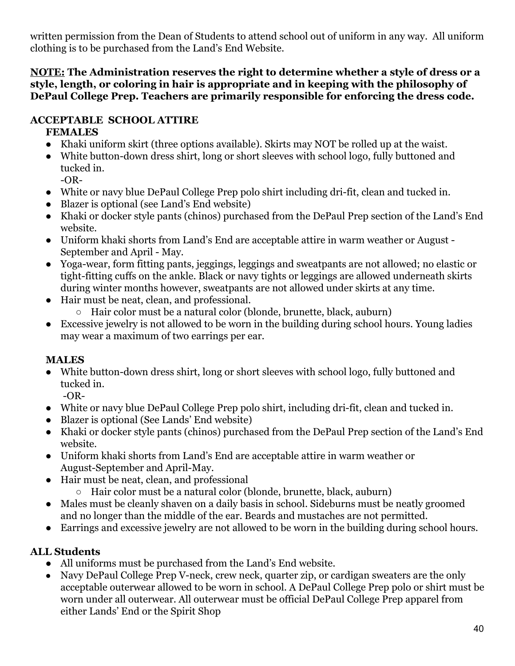written permission from the Dean of Students to attend school out of uniform in any way. All uniform clothing is to be purchased from the Land's End Website.

**NOTE: The Administration reserves the right to determine whether a style of dress or a style, length, or coloring in hair is appropriate and in keeping with the philosophy of DePaul College Prep. Teachers are primarily responsible for enforcing the dress code.**

# <span id="page-40-0"></span>**ACCEPTABLE SCHOOL ATTIRE**

# **FEMALES**

- Khaki uniform skirt (three options available). Skirts may NOT be rolled up at the waist.
- White button-down dress shirt, long or short sleeves with school logo, fully buttoned and tucked in.
	- -OR-
- White or navy blue DePaul College Prep polo shirt including dri-fit, clean and tucked in.
- Blazer is optional (see Land's End website)
- Khaki or docker style pants (chinos) purchased from the DePaul Prep section of the Land's End website.
- Uniform khaki shorts from Land's End are acceptable attire in warm weather or August September and April - May.
- Yoga-wear, form fitting pants, jeggings, leggings and sweatpants are not allowed; no elastic or tight-fitting cuffs on the ankle. Black or navy tights or leggings are allowed underneath skirts during winter months however, sweatpants are not allowed under skirts at any time.
- Hair must be neat, clean, and professional.
	- Hair color must be a natural color (blonde, brunette, black, auburn)
- Excessive jewelry is not allowed to be worn in the building during school hours. Young ladies may wear a maximum of two earrings per ear.

# **MALES**

● White button-down dress shirt, long or short sleeves with school logo, fully buttoned and tucked in.

-OR-

- White or navy blue DePaul College Prep polo shirt, including dri-fit, clean and tucked in.
- Blazer is optional (See Lands' End website)
- Khaki or docker style pants (chinos) purchased from the DePaul Prep section of the Land's End website.
- Uniform khaki shorts from Land's End are acceptable attire in warm weather or August-September and April-May.
- Hair must be neat, clean, and professional
	- Hair color must be a natural color (blonde, brunette, black, auburn)
- Males must be cleanly shaven on a daily basis in school. Sideburns must be neatly groomed and no longer than the middle of the ear. Beards and mustaches are not permitted.
- Earrings and excessive jewelry are not allowed to be worn in the building during school hours.

# **ALL Students**

- All uniforms must be purchased from the Land's End website.
- Navy DePaul College Prep V-neck, crew neck, quarter zip, or cardigan sweaters are the only acceptable outerwear allowed to be worn in school. A DePaul College Prep polo or shirt must be worn under all outerwear. All outerwear must be official DePaul College Prep apparel from either Lands' End or the Spirit Shop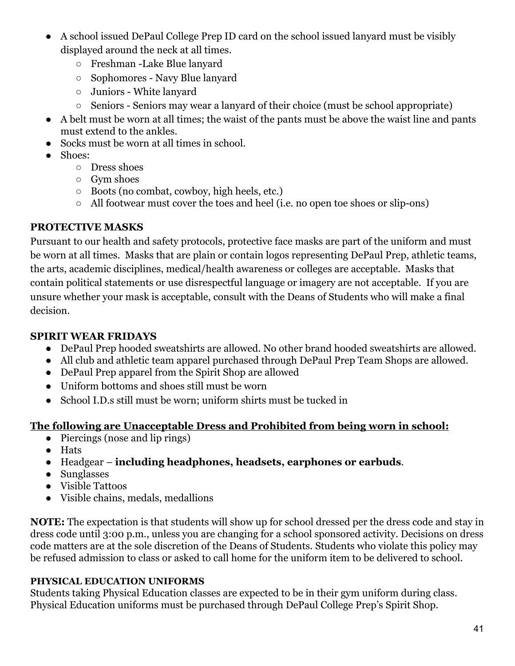- A school issued DePaul College Prep ID card on the school issued lanyard must be visibly displayed around the neck at all times.
	- Freshman -Lake Blue lanyard
	- Sophomores Navy Blue lanyard
	- Juniors White lanyard
	- Seniors Seniors may wear a lanyard of their choice (must be school appropriate)
- A belt must be worn at all times; the waist of the pants must be above the waist line and pants must extend to the ankles.
- Socks must be worn at all times in school.
- Shoes:
	- Dress shoes
	- Gym shoes
	- Boots (no combat, cowboy, high heels, etc.)
	- All footwear must cover the toes and heel (i.e. no open toe shoes or slip-ons)

#### **PROTECTIVE MASKS**

Pursuant to our health and safety protocols, protective face masks are part of the uniform and must be worn at all times. Masks that are plain or contain logos representing DePaul Prep, athletic teams, the arts, academic disciplines, medical/health awareness or colleges are acceptable. Masks that contain political statements or use disrespectful language or imagery are not acceptable. If you are unsure whether your mask is acceptable, consult with the Deans of Students who will make a final decision.

#### **SPIRIT WEAR FRIDAYS**

- DePaul Prep hooded sweatshirts are allowed. No other brand hooded sweatshirts are allowed.
- All club and athletic team apparel purchased through DePaul Prep Team Shops are allowed.
- DePaul Prep apparel from the Spirit Shop are allowed
- Uniform bottoms and shoes still must be worn
- School I.D.s still must be worn; uniform shirts must be tucked in

#### **The following are Unacceptable Dress and Prohibited from being worn in school:**

- Piercings (nose and lip rings)
- Hats
- Headgear **including headphones, headsets, earphones or earbuds**.
- Sunglasses
- Visible Tattoos
- Visible chains, medals, medallions

**NOTE:** The expectation is that students will show up for school dressed per the dress code and stay in dress code until 3:00 p.m., unless you are changing for a school sponsored activity. Decisions on dress code matters are at the sole discretion of the Deans of Students. Students who violate this policy may be refused admission to class or asked to call home for the uniform item to be delivered to school.

#### **PHYSICAL EDUCATION UNIFORMS**

Students taking Physical Education classes are expected to be in their gym uniform during class. Physical Education uniforms must be purchased through DePaul College Prep's Spirit Shop.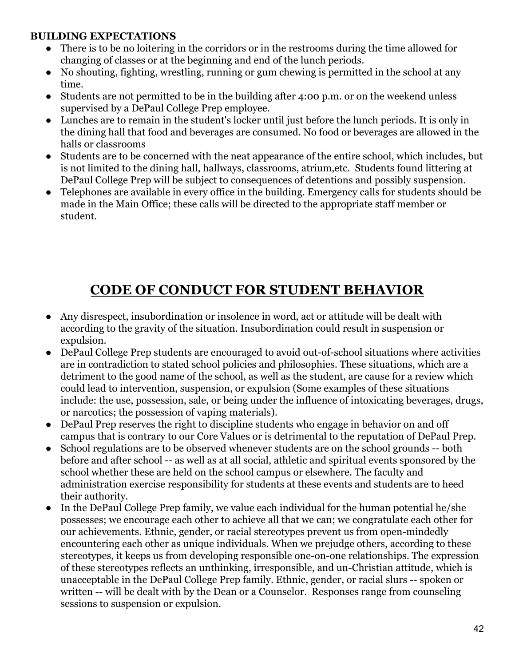#### <span id="page-42-0"></span>**BUILDING EXPECTATIONS**

- There is to be no loitering in the corridors or in the restrooms during the time allowed for changing of classes or at the beginning and end of the lunch periods.
- No shouting, fighting, wrestling, running or gum chewing is permitted in the school at any time.
- Students are not permitted to be in the building after 4:00 p.m. or on the weekend unless supervised by a DePaul College Prep employee.
- Lunches are to remain in the student's locker until just before the lunch periods. It is only in the dining hall that food and beverages are consumed. No food or beverages are allowed in the halls or classrooms
- Students are to be concerned with the neat appearance of the entire school, which includes, but is not limited to the dining hall, hallways, classrooms, atrium,etc. Students found littering at DePaul College Prep will be subject to consequences of detentions and possibly suspension.
- Telephones are available in every office in the building. Emergency calls for students should be made in the Main Office; these calls will be directed to the appropriate staff member or student.

# **CODE OF CONDUCT FOR STUDENT BEHAVIOR**

- <span id="page-42-1"></span>● Any disrespect, insubordination or insolence in word, act or attitude will be dealt with according to the gravity of the situation. Insubordination could result in suspension or expulsion.
- DePaul College Prep students are encouraged to avoid out-of-school situations where activities are in contradiction to stated school policies and philosophies. These situations, which are a detriment to the good name of the school, as well as the student, are cause for a review which could lead to intervention, suspension, or expulsion (Some examples of these situations include: the use, possession, sale, or being under the influence of intoxicating beverages, drugs, or narcotics; the possession of vaping materials).
- DePaul Prep reserves the right to discipline students who engage in behavior on and off campus that is contrary to our Core Values or is detrimental to the reputation of DePaul Prep.
- School regulations are to be observed whenever students are on the school grounds -- both before and after school -- as well as at all social, athletic and spiritual events sponsored by the school whether these are held on the school campus or elsewhere. The faculty and administration exercise responsibility for students at these events and students are to heed their authority.
- In the DePaul College Prep family, we value each individual for the human potential he/she possesses; we encourage each other to achieve all that we can; we congratulate each other for our achievements. Ethnic, gender, or racial stereotypes prevent us from open-mindedly encountering each other as unique individuals. When we prejudge others, according to these stereotypes, it keeps us from developing responsible one-on-one relationships. The expression of these stereotypes reflects an unthinking, irresponsible, and un-Christian attitude, which is unacceptable in the DePaul College Prep family. Ethnic, gender, or racial slurs -- spoken or written -- will be dealt with by the Dean or a Counselor. Responses range from counseling sessions to suspension or expulsion.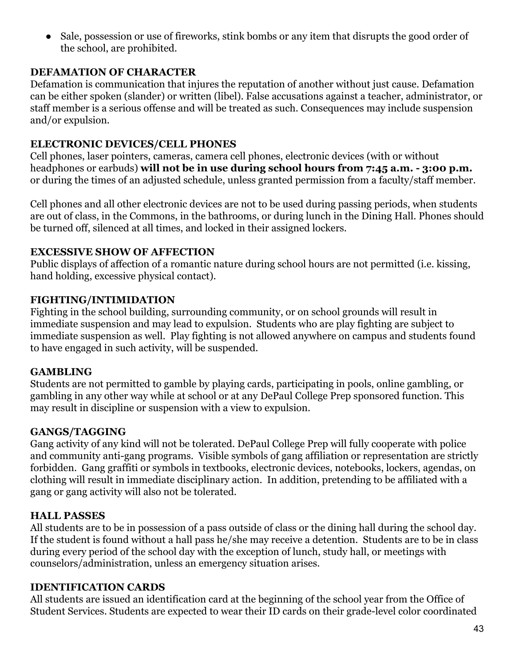• Sale, possession or use of fireworks, stink bombs or any item that disrupts the good order of the school, are prohibited.

#### <span id="page-43-0"></span>**DEFAMATION OF CHARACTER**

Defamation is communication that injures the reputation of another without just cause. Defamation can be either spoken (slander) or written (libel). False accusations against a teacher, administrator, or staff member is a serious offense and will be treated as such. Consequences may include suspension and/or expulsion.

#### <span id="page-43-1"></span>**ELECTRONIC DEVICES/CELL PHONES**

Cell phones, laser pointers, cameras, camera cell phones, electronic devices (with or without headphones or earbuds) **will not be in use during school hours from 7:45 a.m. - 3:00 p.m.** or during the times of an adjusted schedule, unless granted permission from a faculty/staff member.

Cell phones and all other electronic devices are not to be used during passing periods, when students are out of class, in the Commons, in the bathrooms, or during lunch in the Dining Hall. Phones should be turned off, silenced at all times, and locked in their assigned lockers.

#### <span id="page-43-2"></span>**EXCESSIVE SHOW OF AFFECTION**

Public displays of affection of a romantic nature during school hours are not permitted (i.e. kissing, hand holding, excessive physical contact).

#### <span id="page-43-3"></span>**FIGHTING/INTIMIDATION**

Fighting in the school building, surrounding community, or on school grounds will result in immediate suspension and may lead to expulsion. Students who are play fighting are subject to immediate suspension as well. Play fighting is not allowed anywhere on campus and students found to have engaged in such activity, will be suspended.

#### <span id="page-43-4"></span>**GAMBLING**

Students are not permitted to gamble by playing cards, participating in pools, online gambling, or gambling in any other way while at school or at any DePaul College Prep sponsored function. This may result in discipline or suspension with a view to expulsion.

#### <span id="page-43-5"></span>**GANGS/TAGGING**

Gang activity of any kind will not be tolerated. DePaul College Prep will fully cooperate with police and community anti-gang programs. Visible symbols of gang affiliation or representation are strictly forbidden. Gang graffiti or symbols in textbooks, electronic devices, notebooks, lockers, agendas, on clothing will result in immediate disciplinary action. In addition, pretending to be affiliated with a gang or gang activity will also not be tolerated.

#### <span id="page-43-6"></span>**HALL PASSES**

All students are to be in possession of a pass outside of class or the dining hall during the school day. If the student is found without a hall pass he/she may receive a detention. Students are to be in class during every period of the school day with the exception of lunch, study hall, or meetings with counselors/administration, unless an emergency situation arises.

#### <span id="page-43-7"></span>**IDENTIFICATION CARDS**

All students are issued an identification card at the beginning of the school year from the Office of Student Services. Students are expected to wear their ID cards on their grade-level color coordinated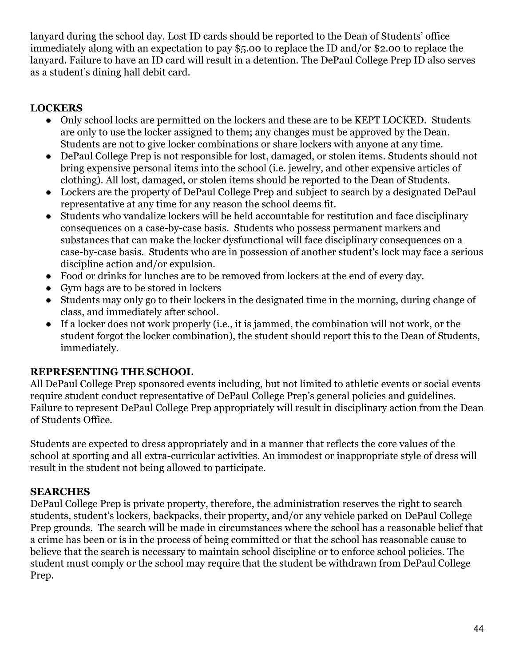lanyard during the school day. Lost ID cards should be reported to the Dean of Students' office immediately along with an expectation to pay \$5.00 to replace the ID and/or \$2.00 to replace the lanyard. Failure to have an ID card will result in a detention. The DePaul College Prep ID also serves as a student's dining hall debit card.

# <span id="page-44-0"></span>**LOCKERS**

- Only school locks are permitted on the lockers and these are to be KEPT LOCKED. Students are only to use the locker assigned to them; any changes must be approved by the Dean. Students are not to give locker combinations or share lockers with anyone at any time.
- DePaul College Prep is not responsible for lost, damaged, or stolen items. Students should not bring expensive personal items into the school (i.e. jewelry, and other expensive articles of clothing). All lost, damaged, or stolen items should be reported to the Dean of Students.
- Lockers are the property of DePaul College Prep and subject to search by a designated DePaul representative at any time for any reason the school deems fit.
- Students who vandalize lockers will be held accountable for restitution and face disciplinary consequences on a case-by-case basis. Students who possess permanent markers and substances that can make the locker dysfunctional will face disciplinary consequences on a case-by-case basis. Students who are in possession of another student's lock may face a serious discipline action and/or expulsion.
- Food or drinks for lunches are to be removed from lockers at the end of every day.
- Gym bags are to be stored in lockers
- Students may only go to their lockers in the designated time in the morning, during change of class, and immediately after school.
- If a locker does not work properly (i.e., it is jammed, the combination will not work, or the student forgot the locker combination), the student should report this to the Dean of Students, immediately.

# <span id="page-44-1"></span>**REPRESENTING THE SCHOOL**

All DePaul College Prep sponsored events including, but not limited to athletic events or social events require student conduct representative of DePaul College Prep's general policies and guidelines. Failure to represent DePaul College Prep appropriately will result in disciplinary action from the Dean of Students Office.

Students are expected to dress appropriately and in a manner that reflects the core values of the school at sporting and all extra-curricular activities. An immodest or inappropriate style of dress will result in the student not being allowed to participate.

#### <span id="page-44-2"></span>**SEARCHES**

DePaul College Prep is private property, therefore, the administration reserves the right to search students, student's lockers, backpacks, their property, and/or any vehicle parked on DePaul College Prep grounds. The search will be made in circumstances where the school has a reasonable belief that a crime has been or is in the process of being committed or that the school has reasonable cause to believe that the search is necessary to maintain school discipline or to enforce school policies. The student must comply or the school may require that the student be withdrawn from DePaul College Prep.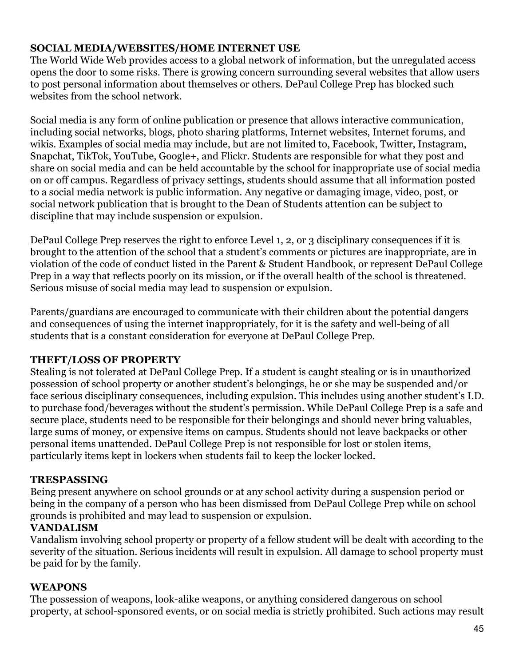#### <span id="page-45-0"></span>**SOCIAL MEDIA/WEBSITES/HOME INTERNET USE**

The World Wide Web provides access to a global network of information, but the unregulated access opens the door to some risks. There is growing concern surrounding several websites that allow users to post personal information about themselves or others. DePaul College Prep has blocked such websites from the school network.

Social media is any form of online publication or presence that allows interactive communication, including social networks, blogs, photo sharing platforms, Internet websites, Internet forums, and wikis. Examples of social media may include, but are not limited to, Facebook, Twitter, Instagram, Snapchat, TikTok, YouTube, Google+, and Flickr. Students are responsible for what they post and share on social media and can be held accountable by the school for inappropriate use of social media on or off campus. Regardless of privacy settings, students should assume that all information posted to a social media network is public information. Any negative or damaging image, video, post, or social network publication that is brought to the Dean of Students attention can be subject to discipline that may include suspension or expulsion.

DePaul College Prep reserves the right to enforce Level 1, 2, or 3 disciplinary consequences if it is brought to the attention of the school that a student's comments or pictures are inappropriate, are in violation of the code of conduct listed in the Parent & Student Handbook, or represent DePaul College Prep in a way that reflects poorly on its mission, or if the overall health of the school is threatened. Serious misuse of social media may lead to suspension or expulsion.

Parents/guardians are encouraged to communicate with their children about the potential dangers and consequences of using the internet inappropriately, for it is the safety and well-being of all students that is a constant consideration for everyone at DePaul College Prep.

# <span id="page-45-1"></span>**THEFT/LOSS OF PROPERTY**

Stealing is not tolerated at DePaul College Prep. If a student is caught stealing or is in unauthorized possession of school property or another student's belongings, he or she may be suspended and/or face serious disciplinary consequences, including expulsion. This includes using another student's I.D. to purchase food/beverages without the student's permission. While DePaul College Prep is a safe and secure place, students need to be responsible for their belongings and should never bring valuables, large sums of money, or expensive items on campus. Students should not leave backpacks or other personal items unattended. DePaul College Prep is not responsible for lost or stolen items, particularly items kept in lockers when students fail to keep the locker locked.

#### <span id="page-45-2"></span>**TRESPASSING**

Being present anywhere on school grounds or at any school activity during a suspension period or being in the company of a person who has been dismissed from DePaul College Prep while on school grounds is prohibited and may lead to suspension or expulsion.

# <span id="page-45-3"></span>**VANDALISM**

Vandalism involving school property or property of a fellow student will be dealt with according to the severity of the situation. Serious incidents will result in expulsion. All damage to school property must be paid for by the family.

#### <span id="page-45-4"></span>**WEAPONS**

The possession of weapons, look-alike weapons, or anything considered dangerous on school property, at school-sponsored events, or on social media is strictly prohibited. Such actions may result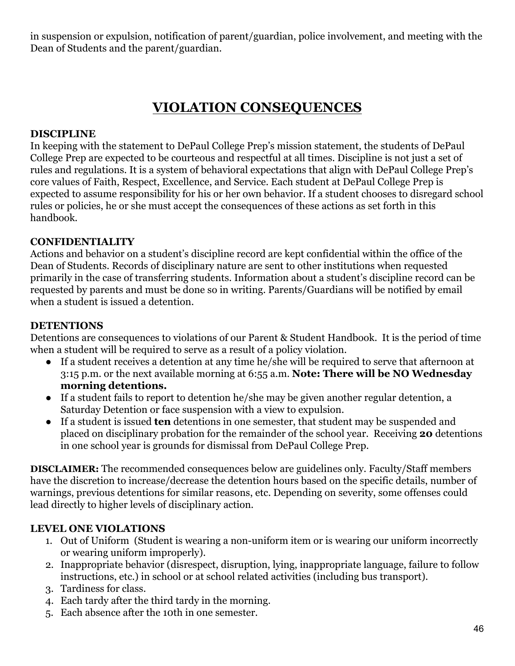in suspension or expulsion, notification of parent/guardian, police involvement, and meeting with the Dean of Students and the parent/guardian.

# **VIOLATION CONSEQUENCES**

#### <span id="page-46-1"></span><span id="page-46-0"></span>**DISCIPLINE**

In keeping with the statement to DePaul College Prep's mission statement, the students of DePaul College Prep are expected to be courteous and respectful at all times. Discipline is not just a set of rules and regulations. It is a system of behavioral expectations that align with DePaul College Prep's core values of Faith, Respect, Excellence, and Service. Each student at DePaul College Prep is expected to assume responsibility for his or her own behavior. If a student chooses to disregard school rules or policies, he or she must accept the consequences of these actions as set forth in this handbook.

#### <span id="page-46-2"></span>**CONFIDENTIALITY**

Actions and behavior on a student's discipline record are kept confidential within the office of the Dean of Students. Records of disciplinary nature are sent to other institutions when requested primarily in the case of transferring students. Information about a student's discipline record can be requested by parents and must be done so in writing. Parents/Guardians will be notified by email when a student is issued a detention.

#### <span id="page-46-3"></span>**DETENTIONS**

Detentions are consequences to violations of our Parent & Student Handbook. It is the period of time when a student will be required to serve as a result of a policy violation.

- If a student receives a detention at any time he/she will be required to serve that afternoon at 3:15 p.m. or the next available morning at 6:55 a.m. **Note: There will be NO Wednesday morning detentions.**
- If a student fails to report to detention he/she may be given another regular detention, a Saturday Detention or face suspension with a view to expulsion.
- If a student is issued **ten** detentions in one semester, that student may be suspended and placed on disciplinary probation for the remainder of the school year. Receiving **20** detentions in one school year is grounds for dismissal from DePaul College Prep.

**DISCLAIMER:** The recommended consequences below are guidelines only. Faculty/Staff members have the discretion to increase/decrease the detention hours based on the specific details, number of warnings, previous detentions for similar reasons, etc. Depending on severity, some offenses could lead directly to higher levels of disciplinary action.

#### **LEVEL ONE VIOLATIONS**

- 1. Out of Uniform (Student is wearing a non-uniform item or is wearing our uniform incorrectly or wearing uniform improperly).
- 2. Inappropriate behavior (disrespect, disruption, lying, inappropriate language, failure to follow instructions, etc.) in school or at school related activities (including bus transport).
- 3. Tardiness for class.
- 4. Each tardy after the third tardy in the morning.
- 5. Each absence after the 10th in one semester.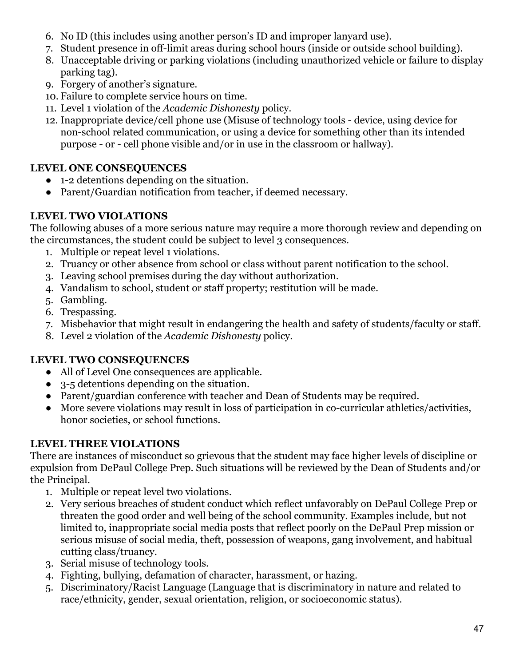- 6. No ID (this includes using another person's ID and improper lanyard use).
- 7. Student presence in off-limit areas during school hours (inside or outside school building).
- 8. Unacceptable driving or parking violations (including unauthorized vehicle or failure to display parking tag).
- 9. Forgery of another's signature.
- 10. Failure to complete service hours on time.
- 11. Level 1 violation of the *Academic Dishonesty* policy.
- 12. Inappropriate device/cell phone use (Misuse of technology tools device, using device for non-school related communication, or using a device for something other than its intended purpose - or - cell phone visible and/or in use in the classroom or hallway).

# **LEVEL ONE CONSEQUENCES**

- 1-2 detentions depending on the situation.
- Parent/Guardian notification from teacher, if deemed necessary.

# **LEVEL TWO VIOLATIONS**

The following abuses of a more serious nature may require a more thorough review and depending on the circumstances, the student could be subject to level 3 consequences.

- 1. Multiple or repeat level 1 violations.
- 2. Truancy or other absence from school or class without parent notification to the school.
- 3. Leaving school premises during the day without authorization.
- 4. Vandalism to school, student or staff property; restitution will be made.
- 5. Gambling.
- 6. Trespassing.
- 7. Misbehavior that might result in endangering the health and safety of students/faculty or staff.
- 8. Level 2 violation of the *Academic Dishonesty* policy.

# **LEVEL TWO CONSEQUENCES**

- All of Level One consequences are applicable.
- 3-5 detentions depending on the situation.
- Parent/guardian conference with teacher and Dean of Students may be required.
- More severe violations may result in loss of participation in co-curricular athletics/activities, honor societies, or school functions.

# **LEVEL THREE VIOLATIONS**

There are instances of misconduct so grievous that the student may face higher levels of discipline or expulsion from DePaul College Prep. Such situations will be reviewed by the Dean of Students and/or the Principal.

- 1. Multiple or repeat level two violations.
- 2. Very serious breaches of student conduct which reflect unfavorably on DePaul College Prep or threaten the good order and well being of the school community. Examples include, but not limited to, inappropriate social media posts that reflect poorly on the DePaul Prep mission or serious misuse of social media, theft, possession of weapons, gang involvement, and habitual cutting class/truancy.
- 3. Serial misuse of technology tools.
- 4. Fighting, bullying, defamation of character, harassment, or hazing.
- 5. Discriminatory/Racist Language (Language that is discriminatory in nature and related to race/ethnicity, gender, sexual orientation, religion, or socioeconomic status).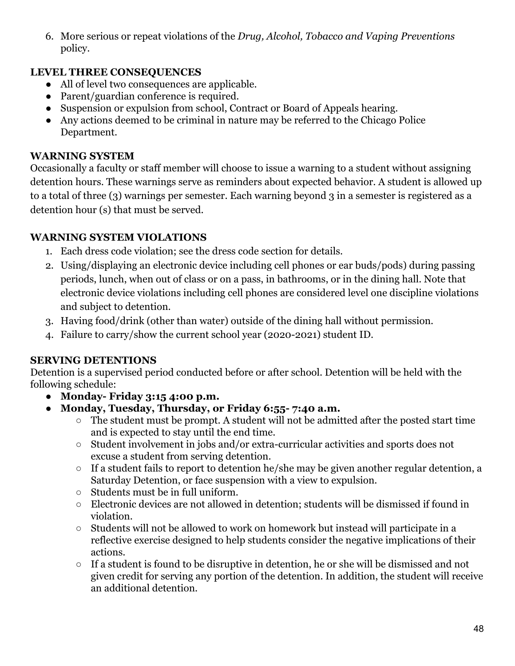6. More serious or repeat violations of the *Drug, Alcohol, Tobacco and Vaping Preventions* policy.

# **LEVEL THREE CONSEQUENCES**

- All of level two consequences are applicable.
- Parent/guardian conference is required.
- Suspension or expulsion from school, Contract or Board of Appeals hearing.
- Any actions deemed to be criminal in nature may be referred to the Chicago Police Department.

#### **WARNING SYSTEM**

Occasionally a faculty or staff member will choose to issue a warning to a student without assigning detention hours. These warnings serve as reminders about expected behavior. A student is allowed up to a total of three (3) warnings per semester. Each warning beyond 3 in a semester is registered as a detention hour (s) that must be served.

# **WARNING SYSTEM VIOLATIONS**

- 1. Each dress code violation; see the dress code section for details.
- 2. Using/displaying an electronic device including cell phones or ear buds/pods) during passing periods, lunch, when out of class or on a pass, in bathrooms, or in the dining hall. Note that electronic device violations including cell phones are considered level one discipline violations and subject to detention.
- 3. Having food/drink (other than water) outside of the dining hall without permission.
- 4. Failure to carry/show the current school year (2020-2021) student ID.

#### <span id="page-48-0"></span>**SERVING DETENTIONS**

Detention is a supervised period conducted before or after school. Detention will be held with the following schedule:

- **● Monday- Friday 3:15 4:00 p.m.**
- **● Monday, Tuesday, Thursday, or Friday 6:55- 7:40 a.m.**
	- $\circ$  The student must be prompt. A student will not be admitted after the posted start time and is expected to stay until the end time.
	- Student involvement in jobs and/or extra-curricular activities and sports does not excuse a student from serving detention.
	- If a student fails to report to detention he/she may be given another regular detention, a Saturday Detention, or face suspension with a view to expulsion.
	- Students must be in full uniform.
	- Electronic devices are not allowed in detention; students will be dismissed if found in violation.
	- $\circ$  Students will not be allowed to work on homework but instead will participate in a reflective exercise designed to help students consider the negative implications of their actions.
	- If a student is found to be disruptive in detention, he or she will be dismissed and not given credit for serving any portion of the detention. In addition, the student will receive an additional detention.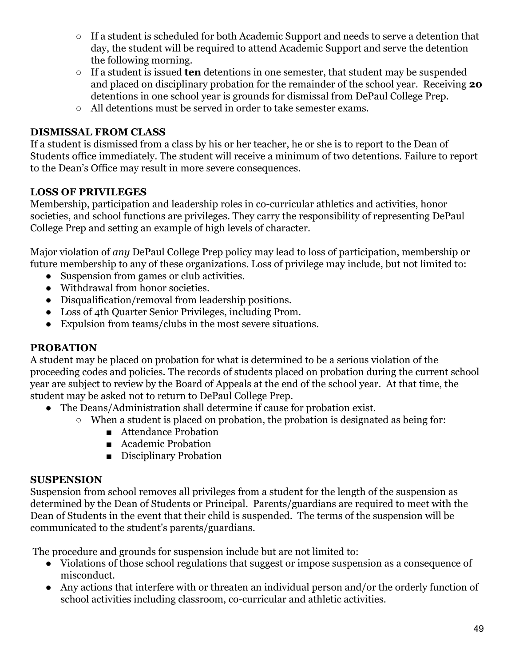- If a student is scheduled for both Academic Support and needs to serve a detention that day, the student will be required to attend Academic Support and serve the detention the following morning.
- If a student is issued **ten** detentions in one semester, that student may be suspended and placed on disciplinary probation for the remainder of the school year. Receiving **20** detentions in one school year is grounds for dismissal from DePaul College Prep.
- All detentions must be served in order to take semester exams.

# <span id="page-49-0"></span>**DISMISSAL FROM CLASS**

If a student is dismissed from a class by his or her teacher, he or she is to report to the Dean of Students office immediately. The student will receive a minimum of two detentions. Failure to report to the Dean's Office may result in more severe consequences.

# <span id="page-49-1"></span>**LOSS OF PRIVILEGES**

Membership, participation and leadership roles in co-curricular athletics and activities, honor societies, and school functions are privileges. They carry the responsibility of representing DePaul College Prep and setting an example of high levels of character.

Major violation of *any* DePaul College Prep policy may lead to loss of participation, membership or future membership to any of these organizations. Loss of privilege may include, but not limited to:

- Suspension from games or club activities.
- Withdrawal from honor societies.
- Disqualification/removal from leadership positions.
- Loss of 4th Quarter Senior Privileges, including Prom.
- Expulsion from teams/clubs in the most severe situations.

#### <span id="page-49-2"></span>**PROBATION**

A student may be placed on probation for what is determined to be a serious violation of the proceeding codes and policies. The records of students placed on probation during the current school year are subject to review by the Board of Appeals at the end of the school year. At that time, the student may be asked not to return to DePaul College Prep.

- The Deans/Administration shall determine if cause for probation exist.
	- When a student is placed on probation, the probation is designated as being for:
		- Attendance Probation
		- Academic Probation
		- Disciplinary Probation

#### <span id="page-49-3"></span>**SUSPENSION**

Suspension from school removes all privileges from a student for the length of the suspension as determined by the Dean of Students or Principal. Parents/guardians are required to meet with the Dean of Students in the event that their child is suspended. The terms of the suspension will be communicated to the student's parents/guardians.

The procedure and grounds for suspension include but are not limited to:

- Violations of those school regulations that suggest or impose suspension as a consequence of misconduct.
- Any actions that interfere with or threaten an individual person and/or the orderly function of school activities including classroom, co-curricular and athletic activities.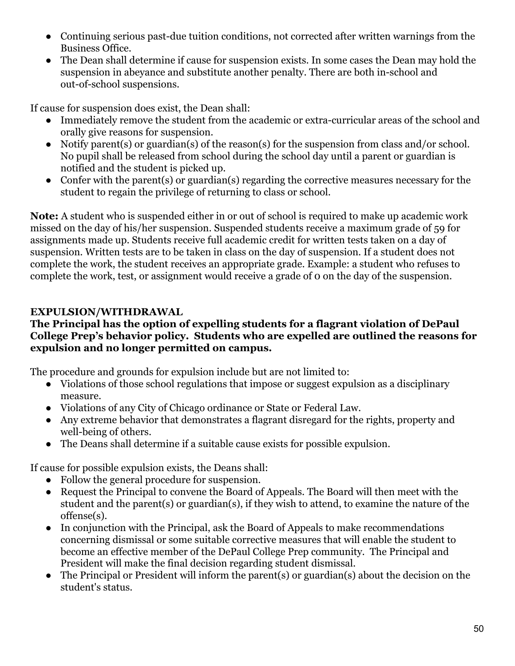- Continuing serious past-due tuition conditions, not corrected after written warnings from the Business Office.
- The Dean shall determine if cause for suspension exists. In some cases the Dean may hold the suspension in abeyance and substitute another penalty. There are both in-school and out-of-school suspensions.

If cause for suspension does exist, the Dean shall:

- Immediately remove the student from the academic or extra-curricular areas of the school and orally give reasons for suspension.
- Notify parent(s) or guardian(s) of the reason(s) for the suspension from class and/or school. No pupil shall be released from school during the school day until a parent or guardian is notified and the student is picked up.
- Confer with the parent(s) or guardian(s) regarding the corrective measures necessary for the student to regain the privilege of returning to class or school.

**Note:** A student who is suspended either in or out of school is required to make up academic work missed on the day of his/her suspension. Suspended students receive a maximum grade of 59 for assignments made up. Students receive full academic credit for written tests taken on a day of suspension. Written tests are to be taken in class on the day of suspension. If a student does not complete the work, the student receives an appropriate grade. Example: a student who refuses to complete the work, test, or assignment would receive a grade of 0 on the day of the suspension.

# <span id="page-50-0"></span>**EXPULSION/WITHDRAWAL**

#### **The Principal has the option of expelling students for a flagrant violation of DePaul College Prep's behavior policy. Students who are expelled are outlined the reasons for expulsion and no longer permitted on campus.**

The procedure and grounds for expulsion include but are not limited to:

- Violations of those school regulations that impose or suggest expulsion as a disciplinary measure.
- Violations of any City of Chicago ordinance or State or Federal Law.
- Any extreme behavior that demonstrates a flagrant disregard for the rights, property and well-being of others.
- The Deans shall determine if a suitable cause exists for possible expulsion.

If cause for possible expulsion exists, the Deans shall:

- Follow the general procedure for suspension.
- Request the Principal to convene the Board of Appeals. The Board will then meet with the student and the parent(s) or guardian(s), if they wish to attend, to examine the nature of the offense(s).
- In conjunction with the Principal, ask the Board of Appeals to make recommendations concerning dismissal or some suitable corrective measures that will enable the student to become an effective member of the DePaul College Prep community. The Principal and President will make the final decision regarding student dismissal.
- $\bullet$  The Principal or President will inform the parent(s) or guardian(s) about the decision on the student's status.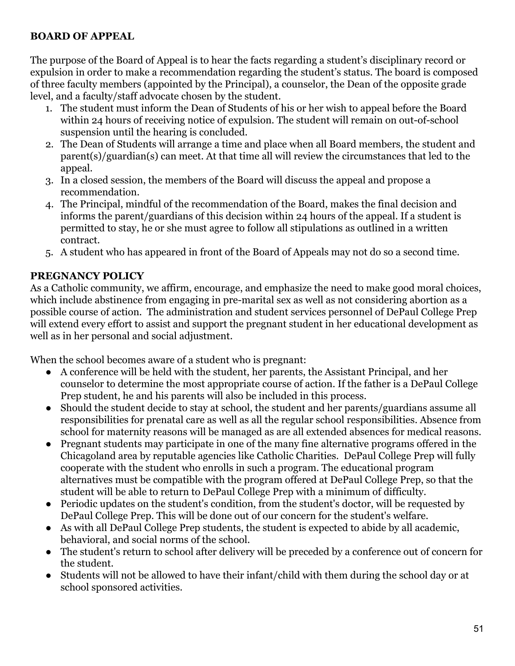#### <span id="page-51-0"></span>**BOARD OF APPEAL**

The purpose of the Board of Appeal is to hear the facts regarding a student's disciplinary record or expulsion in order to make a recommendation regarding the student's status. The board is composed of three faculty members (appointed by the Principal), a counselor, the Dean of the opposite grade level, and a faculty/staff advocate chosen by the student.

- 1. The student must inform the Dean of Students of his or her wish to appeal before the Board within 24 hours of receiving notice of expulsion. The student will remain on out-of-school suspension until the hearing is concluded.
- 2. The Dean of Students will arrange a time and place when all Board members, the student and parent(s)/guardian(s) can meet. At that time all will review the circumstances that led to the appeal.
- 3. In a closed session, the members of the Board will discuss the appeal and propose a recommendation.
- 4. The Principal, mindful of the recommendation of the Board, makes the final decision and informs the parent/guardians of this decision within 24 hours of the appeal. If a student is permitted to stay, he or she must agree to follow all stipulations as outlined in a written contract.
- 5. A student who has appeared in front of the Board of Appeals may not do so a second time.

#### <span id="page-51-1"></span>**PREGNANCY POLICY**

As a Catholic community, we affirm, encourage, and emphasize the need to make good moral choices, which include abstinence from engaging in pre-marital sex as well as not considering abortion as a possible course of action. The administration and student services personnel of DePaul College Prep will extend every effort to assist and support the pregnant student in her educational development as well as in her personal and social adjustment.

When the school becomes aware of a student who is pregnant:

- A conference will be held with the student, her parents, the Assistant Principal, and her counselor to determine the most appropriate course of action. If the father is a DePaul College Prep student, he and his parents will also be included in this process.
- Should the student decide to stay at school, the student and her parents/guardians assume all responsibilities for prenatal care as well as all the regular school responsibilities. Absence from school for maternity reasons will be managed as are all extended absences for medical reasons.
- Pregnant students may participate in one of the many fine alternative programs offered in the Chicagoland area by reputable agencies like Catholic Charities. DePaul College Prep will fully cooperate with the student who enrolls in such a program. The educational program alternatives must be compatible with the program offered at DePaul College Prep, so that the student will be able to return to DePaul College Prep with a minimum of difficulty.
- Periodic updates on the student's condition, from the student's doctor, will be requested by DePaul College Prep. This will be done out of our concern for the student's welfare.
- As with all DePaul College Prep students, the student is expected to abide by all academic, behavioral, and social norms of the school.
- The student's return to school after delivery will be preceded by a conference out of concern for the student.
- Students will not be allowed to have their infant/child with them during the school day or at school sponsored activities.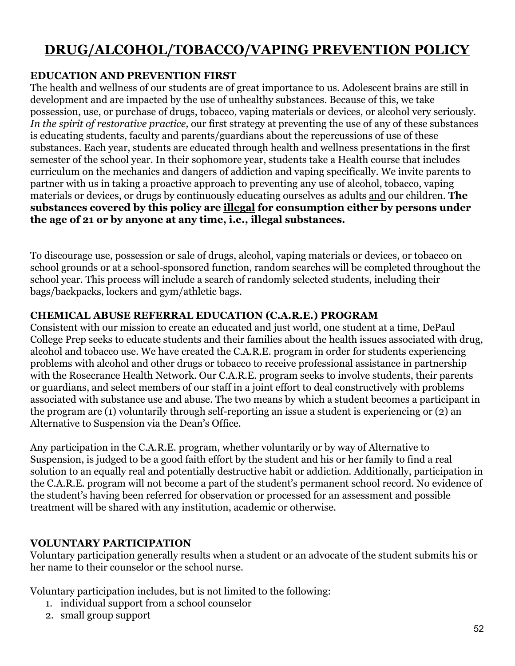# <span id="page-52-0"></span>**DRUG/ALCOHOL/TOBACCO/VAPING PREVENTION POLICY**

#### <span id="page-52-1"></span>**EDUCATION AND PREVENTION FIRST**

The health and wellness of our students are of great importance to us. Adolescent brains are still in development and are impacted by the use of unhealthy substances. Because of this, we take possession, use, or purchase of drugs, tobacco, vaping materials or devices, or alcohol very seriously. *In the spirit of restorative practice,* our first strategy at preventing the use of any of these substances is educating students, faculty and parents/guardians about the repercussions of use of these substances. Each year, students are educated through health and wellness presentations in the first semester of the school year. In their sophomore year, students take a Health course that includes curriculum on the mechanics and dangers of addiction and vaping specifically. We invite parents to partner with us in taking a proactive approach to preventing any use of alcohol, tobacco, vaping materials or devices, or drugs by continuously educating ourselves as adults and our children. **The substances covered by this policy are illegal for consumption either by persons under the age of 21 or by anyone at any time, i.e., illegal substances.**

To discourage use, possession or sale of drugs, alcohol, vaping materials or devices, or tobacco on school grounds or at a school-sponsored function, random searches will be completed throughout the school year. This process will include a search of randomly selected students, including their bags/backpacks, lockers and gym/athletic bags.

#### <span id="page-52-2"></span>**CHEMICAL ABUSE REFERRAL EDUCATION (C.A.R.E.) PROGRAM**

Consistent with our mission to create an educated and just world, one student at a time, DePaul College Prep seeks to educate students and their families about the health issues associated with drug, alcohol and tobacco use. We have created the C.A.R.E. program in order for students experiencing problems with alcohol and other drugs or tobacco to receive professional assistance in partnership with the Rosecrance Health Network. Our C.A.R.E. program seeks to involve students, their parents or guardians, and select members of our staff in a joint effort to deal constructively with problems associated with substance use and abuse. The two means by which a student becomes a participant in the program are (1) voluntarily through self-reporting an issue a student is experiencing or (2) an Alternative to Suspension via the Dean's Office.

Any participation in the C.A.R.E. program, whether voluntarily or by way of Alternative to Suspension, is judged to be a good faith effort by the student and his or her family to find a real solution to an equally real and potentially destructive habit or addiction. Additionally, participation in the C.A.R.E. program will not become a part of the student's permanent school record. No evidence of the student's having been referred for observation or processed for an assessment and possible treatment will be shared with any institution, academic or otherwise.

#### **VOLUNTARY PARTICIPATION**

Voluntary participation generally results when a student or an advocate of the student submits his or her name to their counselor or the school nurse.

Voluntary participation includes, but is not limited to the following:

- 1. individual support from a school counselor
- 2. small group support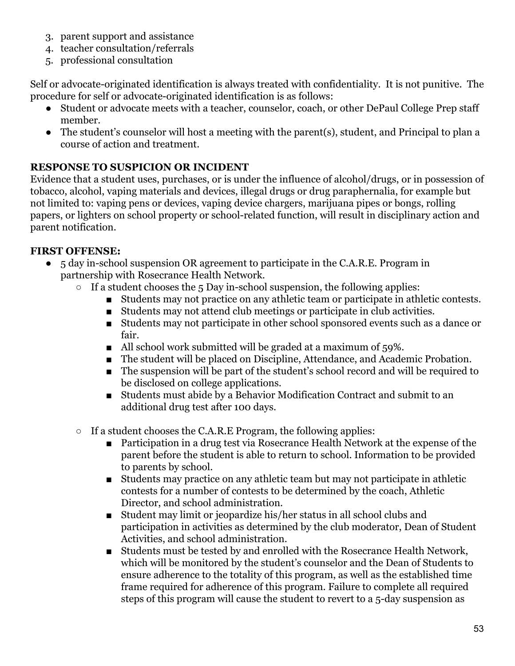- 3. parent support and assistance
- 4. teacher consultation/referrals
- 5. professional consultation

Self or advocate-originated identification is always treated with confidentiality. It is not punitive. The procedure for self or advocate-originated identification is as follows:

- Student or advocate meets with a teacher, counselor, coach, or other DePaul College Prep staff member.
- The student's counselor will host a meeting with the parent(s), student, and Principal to plan a course of action and treatment.

# <span id="page-53-0"></span>**RESPONSE TO SUSPICION OR INCIDENT**

Evidence that a student uses, purchases, or is under the influence of alcohol/drugs, or in possession of tobacco, alcohol, vaping materials and devices, illegal drugs or drug paraphernalia, for example but not limited to: vaping pens or devices, vaping device chargers, marijuana pipes or bongs, rolling papers, or lighters on school property or school-related function, will result in disciplinary action and parent notification.

# **FIRST OFFENSE:**

- 5 day in-school suspension OR agreement to participate in the C.A.R.E. Program in partnership with Rosecrance Health Network.
	- $\circ$  If a student chooses the 5 Day in-school suspension, the following applies:
		- Students may not practice on any athletic team or participate in athletic contests.
		- Students may not attend club meetings or participate in club activities.
		- Students may not participate in other school sponsored events such as a dance or fair.
		- All school work submitted will be graded at a maximum of 59%.
		- The student will be placed on Discipline, Attendance, and Academic Probation.
		- The suspension will be part of the student's school record and will be required to be disclosed on college applications.
		- Students must abide by a Behavior Modification Contract and submit to an additional drug test after 100 days.
	- $\circ$  If a student chooses the C.A.R.E Program, the following applies:
		- Participation in a drug test via Rosecrance Health Network at the expense of the parent before the student is able to return to school. Information to be provided to parents by school.
		- Students may practice on any athletic team but may not participate in athletic contests for a number of contests to be determined by the coach, Athletic Director, and school administration.
		- Student may limit or jeopardize his/her status in all school clubs and participation in activities as determined by the club moderator, Dean of Student Activities, and school administration.
		- Students must be tested by and enrolled with the Rosecrance Health Network, which will be monitored by the student's counselor and the Dean of Students to ensure adherence to the totality of this program, as well as the established time frame required for adherence of this program. Failure to complete all required steps of this program will cause the student to revert to a 5-day suspension as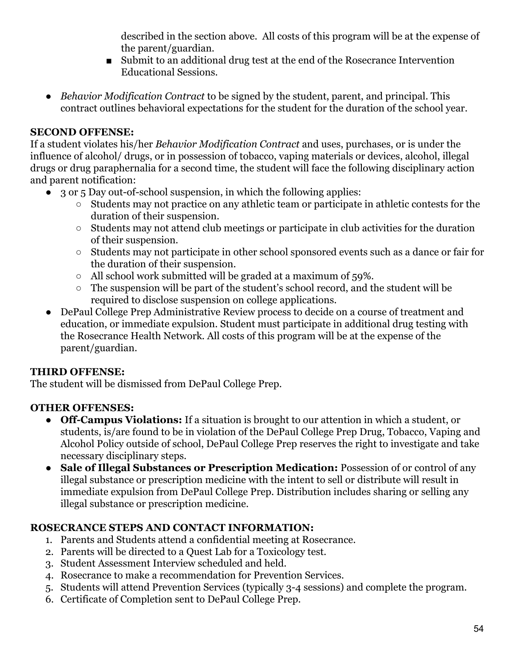described in the section above. All costs of this program will be at the expense of the parent/guardian.

- Submit to an additional drug test at the end of the Rosecrance Intervention Educational Sessions.
- *Behavior Modification Contract* to be signed by the student, parent, and principal. This contract outlines behavioral expectations for the student for the duration of the school year.

# **SECOND OFFENSE:**

If a student violates his/her *Behavior Modification Contract* and uses, purchases, or is under the influence of alcohol/ drugs, or in possession of tobacco, vaping materials or devices, alcohol, illegal drugs or drug paraphernalia for a second time, the student will face the following disciplinary action and parent notification:

- 3 or 5 Day out-of-school suspension, in which the following applies:
	- Students may not practice on any athletic team or participate in athletic contests for the duration of their suspension.
	- Students may not attend club meetings or participate in club activities for the duration of their suspension.
	- Students may not participate in other school sponsored events such as a dance or fair for the duration of their suspension.
	- All school work submitted will be graded at a maximum of 59%.
	- The suspension will be part of the student's school record, and the student will be required to disclose suspension on college applications.
- DePaul College Prep Administrative Review process to decide on a course of treatment and education, or immediate expulsion. Student must participate in additional drug testing with the Rosecrance Health Network. All costs of this program will be at the expense of the parent/guardian.

#### **THIRD OFFENSE:**

The student will be dismissed from DePaul College Prep.

#### **OTHER OFFENSES:**

- **Off-Campus Violations:** If a situation is brought to our attention in which a student, or students, is/are found to be in violation of the DePaul College Prep Drug, Tobacco, Vaping and Alcohol Policy outside of school, DePaul College Prep reserves the right to investigate and take necessary disciplinary steps.
- **Sale of Illegal Substances or Prescription Medication:** Possession of or control of any illegal substance or prescription medicine with the intent to sell or distribute will result in immediate expulsion from DePaul College Prep. Distribution includes sharing or selling any illegal substance or prescription medicine.

# **ROSECRANCE STEPS AND CONTACT INFORMATION:**

- 1. Parents and Students attend a confidential meeting at Rosecrance.
- 2. Parents will be directed to a Quest Lab for a Toxicology test.
- 3. Student Assessment Interview scheduled and held.
- 4. Rosecrance to make a recommendation for Prevention Services.
- 5. Students will attend Prevention Services (typically 3-4 sessions) and complete the program.
- 6. Certificate of Completion sent to DePaul College Prep.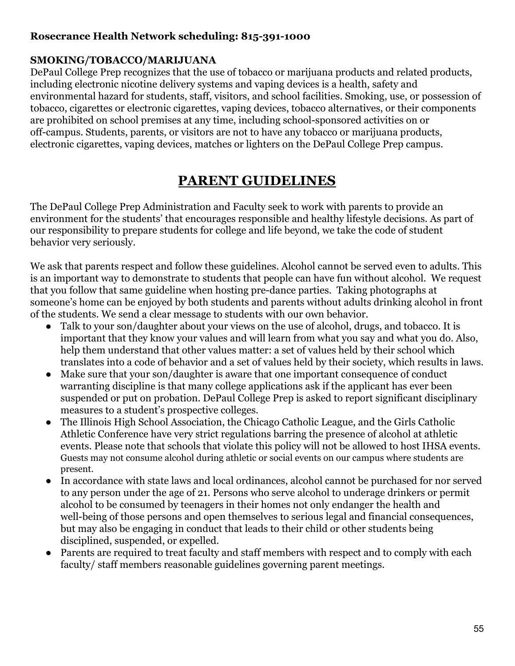# **Rosecrance Health Network scheduling: 815-391-1000**

#### <span id="page-55-0"></span>**SMOKING/TOBACCO/MARIJUANA**

DePaul College Prep recognizes that the use of tobacco or marijuana products and related products, including electronic nicotine delivery systems and vaping devices is a health, safety and environmental hazard for students, staff, visitors, and school facilities. Smoking, use, or possession of tobacco, cigarettes or electronic cigarettes, vaping devices, tobacco alternatives, or their components are prohibited on school premises at any time, including school-sponsored activities on or off-campus. Students, parents, or visitors are not to have any tobacco or marijuana products, electronic cigarettes, vaping devices, matches or lighters on the DePaul College Prep campus.

# **PARENT GUIDELINES**

<span id="page-55-1"></span>The DePaul College Prep Administration and Faculty seek to work with parents to provide an environment for the students' that encourages responsible and healthy lifestyle decisions. As part of our responsibility to prepare students for college and life beyond, we take the code of student behavior very seriously.

We ask that parents respect and follow these guidelines. Alcohol cannot be served even to adults. This is an important way to demonstrate to students that people can have fun without alcohol. We request that you follow that same guideline when hosting pre-dance parties. Taking photographs at someone's home can be enjoyed by both students and parents without adults drinking alcohol in front of the students. We send a clear message to students with our own behavior.

- Talk to your son/daughter about your views on the use of alcohol, drugs, and tobacco. It is important that they know your values and will learn from what you say and what you do. Also, help them understand that other values matter: a set of values held by their school which translates into a code of behavior and a set of values held by their society, which results in laws.
- Make sure that your son/daughter is aware that one important consequence of conduct warranting discipline is that many college applications ask if the applicant has ever been suspended or put on probation. DePaul College Prep is asked to report significant disciplinary measures to a student's prospective colleges.
- The Illinois High School Association, the Chicago Catholic League, and the Girls Catholic Athletic Conference have very strict regulations barring the presence of alcohol at athletic events. Please note that schools that violate this policy will not be allowed to host IHSA events. Guests may not consume alcohol during athletic or social events on our campus where students are present.
- In accordance with state laws and local ordinances, alcohol cannot be purchased for nor served to any person under the age of 21. Persons who serve alcohol to underage drinkers or permit alcohol to be consumed by teenagers in their homes not only endanger the health and well-being of those persons and open themselves to serious legal and financial consequences, but may also be engaging in conduct that leads to their child or other students being disciplined, suspended, or expelled.
- Parents are required to treat faculty and staff members with respect and to comply with each faculty/ staff members reasonable guidelines governing parent meetings.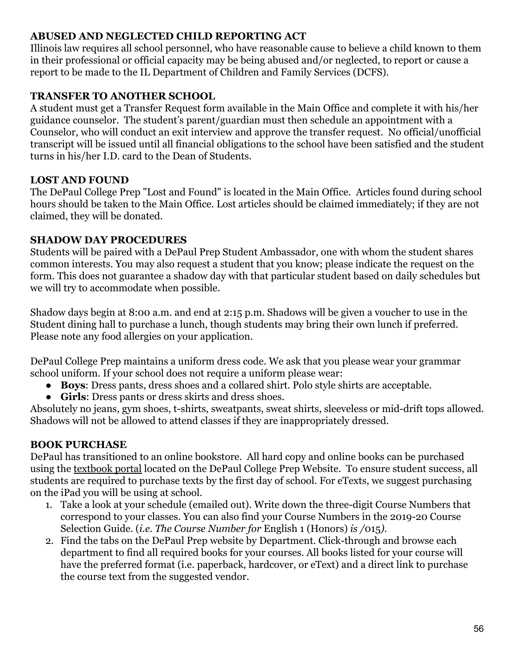#### <span id="page-56-0"></span>**ABUSED AND NEGLECTED CHILD REPORTING ACT**

Illinois law requires all school personnel, who have reasonable cause to believe a child known to them in their professional or official capacity may be being abused and/or neglected, to report or cause a report to be made to the IL Department of Children and Family Services (DCFS).

#### <span id="page-56-1"></span>**TRANSFER TO ANOTHER SCHOOL**

A student must get a Transfer Request form available in the Main Office and complete it with his/her guidance counselor. The student's parent/guardian must then schedule an appointment with a Counselor, who will conduct an exit interview and approve the transfer request. No official/unofficial transcript will be issued until all financial obligations to the school have been satisfied and the student turns in his/her I.D. card to the Dean of Students.

# **LOST AND FOUND**

The DePaul College Prep "Lost and Found" is located in the Main Office. Articles found during school hours should be taken to the Main Office. Lost articles should be claimed immediately; if they are not claimed, they will be donated.

#### **SHADOW DAY PROCEDURES**

Students will be paired with a DePaul Prep Student Ambassador, one with whom the student shares common interests. You may also request a student that you know; please indicate the request on the form. This does not guarantee a shadow day with that particular student based on daily schedules but we will try to accommodate when possible.

Shadow days begin at 8:00 a.m. and end at 2:15 p.m. Shadows will be given a voucher to use in the Student dining hall to purchase a lunch, though students may bring their own lunch if preferred. Please note any food allergies on your application.

DePaul College Prep maintains a uniform dress code. We ask that you please wear your grammar school uniform. If your school does not require a uniform please wear:

- **Boys**: Dress pants, dress shoes and a collared shirt. Polo style shirts are acceptable.
- **Girls**: Dress pants or dress skirts and dress shoes.

Absolutely no jeans, gym shoes, t-shirts, sweatpants, sweat shirts, sleeveless or mid-drift tops allowed. Shadows will not be allowed to attend classes if they are inappropriately dressed.

# **BOOK PURCHASE**

DePaul has transitioned to an online bookstore. All hard copy and online books can be purchased using the [textbook portal](https://www.depaulprep.org/academics/student-ipads-and-textbooks) located on the DePaul College Prep Website. To ensure student success, all students are required to purchase texts by the first day of school. For eTexts, we suggest purchasing on the iPad you will be using at school.

- 1. Take a look at your schedule (emailed out). Write down the three-digit Course Numbers that correspond to your classes. You can also find your Course Numbers in the 2019-20 Course Selection Guide. (*i.e. The Course Number for* English 1 (Honors) *is /*015*).*
- 2. Find the tabs on the DePaul Prep website by Department. Click-through and browse each department to find all required books for your courses. All books listed for your course will have the preferred format (i.e. paperback, hardcover, or eText) and a direct link to purchase the course text from the suggested vendor.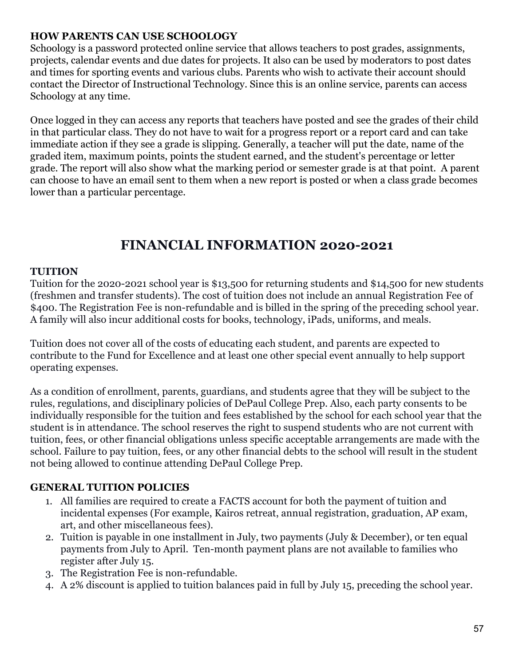#### **HOW PARENTS CAN USE SCHOOLOGY**

Schoology is a password protected online service that allows teachers to post grades, assignments, projects, calendar events and due dates for projects. It also can be used by moderators to post dates and times for sporting events and various clubs. Parents who wish to activate their account should contact the Director of Instructional Technology. Since this is an online service, parents can access Schoology at any time.

Once logged in they can access any reports that teachers have posted and see the grades of their child in that particular class. They do not have to wait for a progress report or a report card and can take immediate action if they see a grade is slipping. Generally, a teacher will put the date, name of the graded item, maximum points, points the student earned, and the student's percentage or letter grade. The report will also show what the marking period or semester grade is at that point. A parent can choose to have an email sent to them when a new report is posted or when a class grade becomes lower than a particular percentage.

# **FINANCIAL INFORMATION 2020-2021**

#### <span id="page-57-1"></span><span id="page-57-0"></span>**TUITION**

Tuition for the 2020-2021 school year is \$13,500 for returning students and \$14,500 for new students (freshmen and transfer students). The cost of tuition does not include an annual Registration Fee of \$400. The Registration Fee is non-refundable and is billed in the spring of the preceding school year. A family will also incur additional costs for books, technology, iPads, uniforms, and meals.

Tuition does not cover all of the costs of educating each student, and parents are expected to contribute to the Fund for Excellence and at least one other special event annually to help support operating expenses.

As a condition of enrollment, parents, guardians, and students agree that they will be subject to the rules, regulations, and disciplinary policies of DePaul College Prep. Also, each party consents to be individually responsible for the tuition and fees established by the school for each school year that the student is in attendance. The school reserves the right to suspend students who are not current with tuition, fees, or other financial obligations unless specific acceptable arrangements are made with the school. Failure to pay tuition, fees, or any other financial debts to the school will result in the student not being allowed to continue attending DePaul College Prep.

#### <span id="page-57-2"></span>**GENERAL TUITION POLICIES**

- 1. All families are required to create a FACTS account for both the payment of tuition and incidental expenses (For example, Kairos retreat, annual registration, graduation, AP exam, art, and other miscellaneous fees).
- 2. Tuition is payable in one installment in July, two payments (July & December), or ten equal payments from July to April. Ten-month payment plans are not available to families who register after July 15.
- 3. The Registration Fee is non-refundable.
- 4. A 2% discount is applied to tuition balances paid in full by July 15, preceding the school year.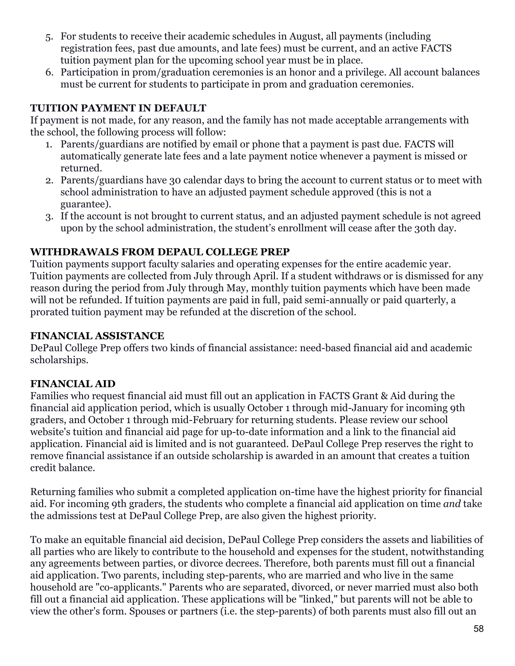- 5. For students to receive their academic schedules in August, all payments (including registration fees, past due amounts, and late fees) must be current, and an active FACTS tuition payment plan for the upcoming school year must be in place.
- 6. Participation in prom/graduation ceremonies is an honor and a privilege. All account balances must be current for students to participate in prom and graduation ceremonies.

# <span id="page-58-0"></span>**TUITION PAYMENT IN DEFAULT**

If payment is not made, for any reason, and the family has not made acceptable arrangements with the school, the following process will follow:

- 1. Parents/guardians are notified by email or phone that a payment is past due. FACTS will automatically generate late fees and a late payment notice whenever a payment is missed or returned.
- 2. Parents/guardians have 30 calendar days to bring the account to current status or to meet with school administration to have an adjusted payment schedule approved (this is not a guarantee).
- 3. If the account is not brought to current status, and an adjusted payment schedule is not agreed upon by the school administration, the student's enrollment will cease after the 30th day.

#### <span id="page-58-1"></span>**WITHDRAWALS FROM DEPAUL COLLEGE PREP**

Tuition payments support faculty salaries and operating expenses for the entire academic year. Tuition payments are collected from July through April. If a student withdraws or is dismissed for any reason during the period from July through May, monthly tuition payments which have been made will not be refunded. If tuition payments are paid in full, paid semi-annually or paid quarterly, a prorated tuition payment may be refunded at the discretion of the school.

#### <span id="page-58-2"></span>**FINANCIAL ASSISTANCE**

DePaul College Prep offers two kinds of financial assistance: need-based financial aid and academic scholarships.

# <span id="page-58-3"></span>**FINANCIAL AID**

Families who request financial aid must fill out an application in FACTS Grant & Aid during the financial aid application period, which is usually October 1 through mid-January for incoming 9th graders, and October 1 through mid-February for returning students. Please review our school website's tuition and financial aid page for up-to-date information and a link to the financial aid application. Financial aid is limited and is not guaranteed. DePaul College Prep reserves the right to remove financial assistance if an outside scholarship is awarded in an amount that creates a tuition credit balance.

Returning families who submit a completed application on-time have the highest priority for financial aid. For incoming 9th graders, the students who complete a financial aid application on time *and* take the admissions test at DePaul College Prep, are also given the highest priority.

To make an equitable financial aid decision, DePaul College Prep considers the assets and liabilities of all parties who are likely to contribute to the household and expenses for the student, notwithstanding any agreements between parties, or divorce decrees. Therefore, both parents must fill out a financial aid application. Two parents, including step-parents, who are married and who live in the same household are "co-applicants." Parents who are separated, divorced, or never married must also both fill out a financial aid application. These applications will be "linked," but parents will not be able to view the other's form. Spouses or partners (i.e. the step-parents) of both parents must also fill out an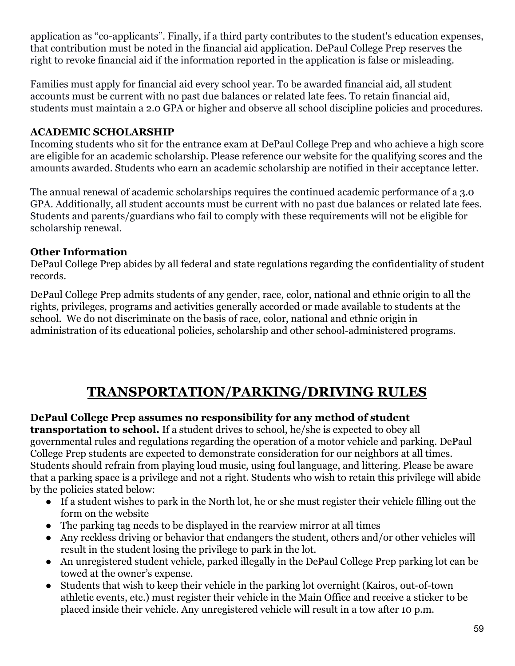application as "co-applicants". Finally, if a third party contributes to the student's education expenses, that contribution must be noted in the financial aid application. DePaul College Prep reserves the right to revoke financial aid if the information reported in the application is false or misleading.

Families must apply for financial aid every school year. To be awarded financial aid, all student accounts must be current with no past due balances or related late fees. To retain financial aid, students must maintain a 2.0 GPA or higher and observe all school discipline policies and procedures.

# <span id="page-59-0"></span>**ACADEMIC SCHOLARSHIP**

Incoming students who sit for the entrance exam at DePaul College Prep and who achieve a high score are eligible for an academic scholarship. Please reference our website for the qualifying scores and the amounts awarded. Students who earn an academic scholarship are notified in their acceptance letter.

The annual renewal of academic scholarships requires the continued academic performance of a 3.0 GPA. Additionally, all student accounts must be current with no past due balances or related late fees. Students and parents/guardians who fail to comply with these requirements will not be eligible for scholarship renewal.

# **Other Information**

DePaul College Prep abides by all federal and state regulations regarding the confidentiality of student records.

DePaul College Prep admits students of any gender, race, color, national and ethnic origin to all the rights, privileges, programs and activities generally accorded or made available to students at the school. We do not discriminate on the basis of race, color, national and ethnic origin in administration of its educational policies, scholarship and other school-administered programs.

# **TRANSPORTATION/PARKING/DRIVING RULES**

# <span id="page-59-1"></span>**DePaul College Prep assumes no responsibility for any method of student**

**transportation to school.** If a student drives to school, he/she is expected to obey all governmental rules and regulations regarding the operation of a motor vehicle and parking. DePaul College Prep students are expected to demonstrate consideration for our neighbors at all times. Students should refrain from playing loud music, using foul language, and littering. Please be aware that a parking space is a privilege and not a right. Students who wish to retain this privilege will abide by the policies stated below:

- If a student wishes to park in the North lot, he or she must register their vehicle filling out the form on the website
- The parking tag needs to be displayed in the rearview mirror at all times
- Any reckless driving or behavior that endangers the student, others and/or other vehicles will result in the student losing the privilege to park in the lot.
- An unregistered student vehicle, parked illegally in the DePaul College Prep parking lot can be towed at the owner's expense.
- Students that wish to keep their vehicle in the parking lot overnight (Kairos, out-of-town athletic events, etc.) must register their vehicle in the Main Office and receive a sticker to be placed inside their vehicle. Any unregistered vehicle will result in a tow after 10 p.m.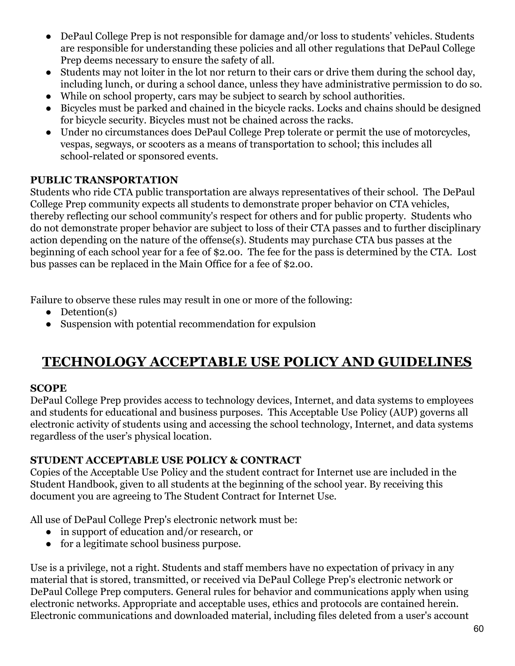- DePaul College Prep is not responsible for damage and/or loss to students' vehicles. Students are responsible for understanding these policies and all other regulations that DePaul College Prep deems necessary to ensure the safety of all.
- Students may not loiter in the lot nor return to their cars or drive them during the school day, including lunch, or during a school dance, unless they have administrative permission to do so.
- While on school property, cars may be subject to search by school authorities.
- Bicycles must be parked and chained in the bicycle racks. Locks and chains should be designed for bicycle security. Bicycles must not be chained across the racks.
- Under no circumstances does DePaul College Prep tolerate or permit the use of motorcycles, vespas, segways, or scooters as a means of transportation to school; this includes all school-related or sponsored events.

# <span id="page-60-0"></span>**PUBLIC TRANSPORTATION**

Students who ride CTA public transportation are always representatives of their school. The DePaul College Prep community expects all students to demonstrate proper behavior on CTA vehicles, thereby reflecting our school community's respect for others and for public property. Students who do not demonstrate proper behavior are subject to loss of their CTA passes and to further disciplinary action depending on the nature of the offense(s). Students may purchase CTA bus passes at the beginning of each school year for a fee of \$2.00. The fee for the pass is determined by the CTA. Lost bus passes can be replaced in the Main Office for a fee of \$2.00.

Failure to observe these rules may result in one or more of the following:

- Detention(s)
- Suspension with potential recommendation for expulsion

# <span id="page-60-1"></span>**TECHNOLOGY ACCEPTABLE USE POLICY AND GUIDELINES**

# **SCOPE**

DePaul College Prep provides access to technology devices, Internet, and data systems to employees and students for educational and business purposes. This Acceptable Use Policy (AUP) governs all electronic activity of students using and accessing the school technology, Internet, and data systems regardless of the user's physical location.

#### <span id="page-60-2"></span>**STUDENT ACCEPTABLE USE POLICY & CONTRACT**

Copies of the Acceptable Use Policy and the student contract for Internet use are included in the Student Handbook, given to all students at the beginning of the school year. By receiving this document you are agreeing to The Student Contract for Internet Use.

All use of DePaul College Prep's electronic network must be:

- in support of education and/or research, or
- for a legitimate school business purpose.

Use is a privilege, not a right. Students and staff members have no expectation of privacy in any material that is stored, transmitted, or received via DePaul College Prep's electronic network or DePaul College Prep computers. General rules for behavior and communications apply when using electronic networks. Appropriate and acceptable uses, ethics and protocols are contained herein. Electronic communications and downloaded material, including files deleted from a user's account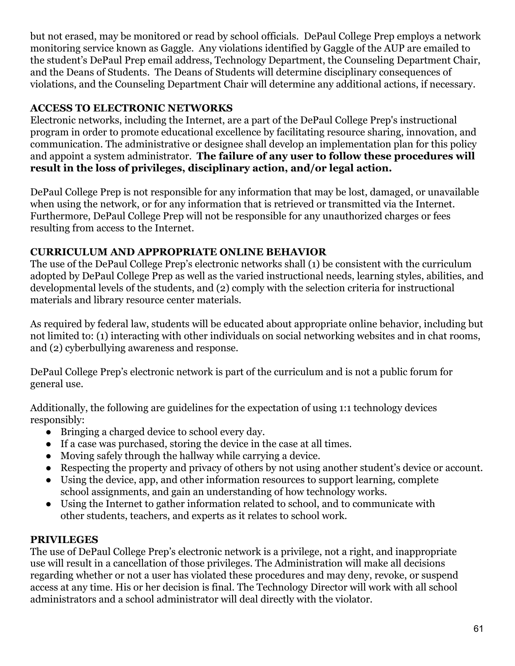but not erased, may be monitored or read by school officials. DePaul College Prep employs a network monitoring service known as Gaggle. Any violations identified by Gaggle of the AUP are emailed to the student's DePaul Prep email address, Technology Department, the Counseling Department Chair, and the Deans of Students. The Deans of Students will determine disciplinary consequences of violations, and the Counseling Department Chair will determine any additional actions, if necessary.

# <span id="page-61-0"></span>**ACCESS TO ELECTRONIC NETWORKS**

Electronic networks, including the Internet, are a part of the DePaul College Prep's instructional program in order to promote educational excellence by facilitating resource sharing, innovation, and communication. The administrative or designee shall develop an implementation plan for this policy and appoint a system administrator. **The failure of any user to follow these procedures will result in the loss of privileges, disciplinary action, and/or legal action.**

DePaul College Prep is not responsible for any information that may be lost, damaged, or unavailable when using the network, or for any information that is retrieved or transmitted via the Internet. Furthermore, DePaul College Prep will not be responsible for any unauthorized charges or fees resulting from access to the Internet.

# <span id="page-61-1"></span>**CURRICULUM AND APPROPRIATE ONLINE BEHAVIOR**

The use of the DePaul College Prep's electronic networks shall (1) be consistent with the curriculum adopted by DePaul College Prep as well as the varied instructional needs, learning styles, abilities, and developmental levels of the students, and (2) comply with the selection criteria for instructional materials and library resource center materials.

As required by federal law, students will be educated about appropriate online behavior, including but not limited to: (1) interacting with other individuals on social networking websites and in chat rooms, and (2) cyberbullying awareness and response.

DePaul College Prep's electronic network is part of the curriculum and is not a public forum for general use.

Additionally, the following are guidelines for the expectation of using 1:1 technology devices responsibly:

- Bringing a charged device to school every day.
- If a case was purchased, storing the device in the case at all times.
- Moving safely through the hallway while carrying a device.
- Respecting the property and privacy of others by not using another student's device or account.
- Using the device, app, and other information resources to support learning, complete school assignments, and gain an understanding of how technology works.
- Using the Internet to gather information related to school, and to communicate with other students, teachers, and experts as it relates to school work.

# <span id="page-61-2"></span>**PRIVILEGES**

The use of DePaul College Prep's electronic network is a privilege, not a right, and inappropriate use will result in a cancellation of those privileges. The Administration will make all decisions regarding whether or not a user has violated these procedures and may deny, revoke, or suspend access at any time. His or her decision is final. The Technology Director will work with all school administrators and a school administrator will deal directly with the violator.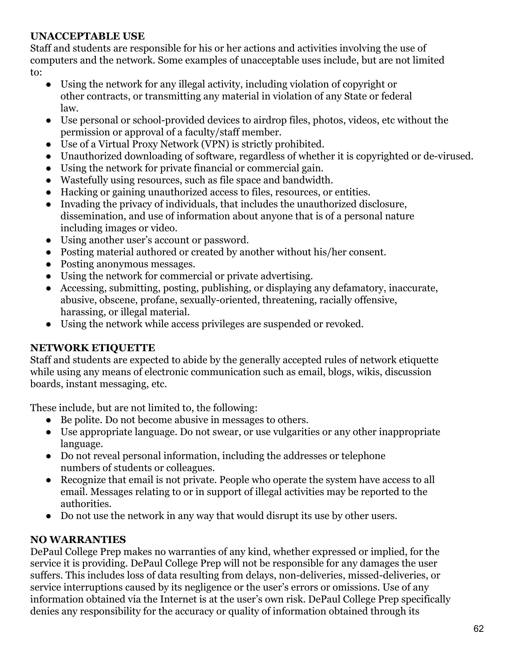#### <span id="page-62-0"></span>**UNACCEPTABLE USE**

Staff and students are responsible for his or her actions and activities involving the use of computers and the network. Some examples of unacceptable uses include, but are not limited to:

- Using the network for any illegal activity, including violation of copyright or other contracts, or transmitting any material in violation of any State or federal law.
- Use personal or school-provided devices to airdrop files, photos, videos, etc without the permission or approval of a faculty/staff member.
- Use of a Virtual Proxy Network (VPN) is strictly prohibited.
- Unauthorized downloading of software, regardless of whether it is copyrighted or de-virused.
- Using the network for private financial or commercial gain.
- Wastefully using resources, such as file space and bandwidth.
- Hacking or gaining unauthorized access to files, resources, or entities.
- Invading the privacy of individuals, that includes the unauthorized disclosure, dissemination, and use of information about anyone that is of a personal nature including images or video.
- Using another user's account or password.
- Posting material authored or created by another without his/her consent.
- Posting anonymous messages.
- Using the network for commercial or private advertising.
- Accessing, submitting, posting, publishing, or displaying any defamatory, inaccurate, abusive, obscene, profane, sexually-oriented, threatening, racially offensive, harassing, or illegal material.
- Using the network while access privileges are suspended or revoked.

#### <span id="page-62-1"></span>**NETWORK ETIQUETTE**

Staff and students are expected to abide by the generally accepted rules of network etiquette while using any means of electronic communication such as email, blogs, wikis, discussion boards, instant messaging, etc.

These include, but are not limited to, the following:

- Be polite. Do not become abusive in messages to others.
- Use appropriate language. Do not swear, or use vulgarities or any other inappropriate language.
- Do not reveal personal information, including the addresses or telephone numbers of students or colleagues.
- Recognize that email is not private. People who operate the system have access to all email. Messages relating to or in support of illegal activities may be reported to the authorities.
- Do not use the network in any way that would disrupt its use by other users.

#### **NO WARRANTIES**

DePaul College Prep makes no warranties of any kind, whether expressed or implied, for the service it is providing. DePaul College Prep will not be responsible for any damages the user suffers. This includes loss of data resulting from delays, non-deliveries, missed-deliveries, or service interruptions caused by its negligence or the user's errors or omissions. Use of any information obtained via the Internet is at the user's own risk. DePaul College Prep specifically denies any responsibility for the accuracy or quality of information obtained through its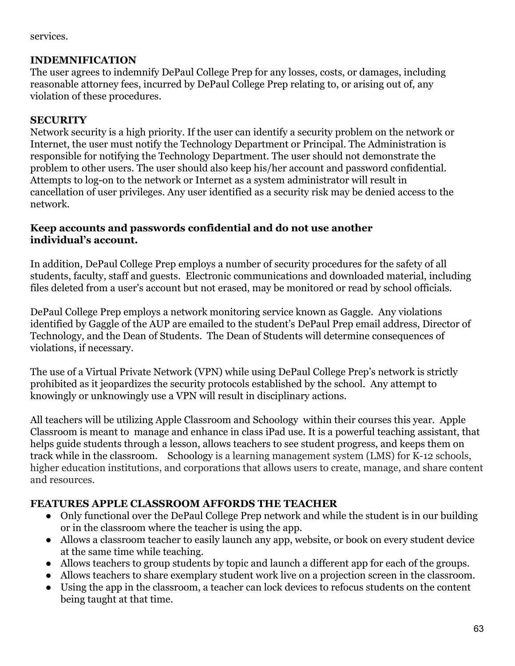services.

#### **INDEMNIFICATION**

The user agrees to indemnify DePaul College Prep for any losses, costs, or damages, including reasonable attorney fees, incurred by DePaul College Prep relating to, or arising out of, any violation of these procedures.

#### <span id="page-63-0"></span>**SECURITY**

Network security is a high priority. If the user can identify a security problem on the network or Internet, the user must notify the Technology Department or Principal. The Administration is responsible for notifying the Technology Department. The user should not demonstrate the problem to other users. The user should also keep his/her account and password confidential. Attempts to log-on to the network or Internet as a system administrator will result in cancellation of user privileges. Any user identified as a security risk may be denied access to the network.

#### **Keep accounts and passwords confidential and do not use another individual's account.**

In addition, DePaul College Prep employs a number of security procedures for the safety of all students, faculty, staff and guests. Electronic communications and downloaded material, including files deleted from a user's account but not erased, may be monitored or read by school officials.

DePaul College Prep employs a network monitoring service known as Gaggle. Any violations identified by Gaggle of the AUP are emailed to the student's DePaul Prep email address, Director of Technology, and the Dean of Students. The Dean of Students will determine consequences of violations, if necessary.

The use of a Virtual Private Network (VPN) while using DePaul College Prep's network is strictly prohibited as it jeopardizes the security protocols established by the school. Any attempt to knowingly or unknowingly use a VPN will result in disciplinary actions.

All teachers will be utilizing Apple Classroom and Schoology within their courses this year. Apple Classroom is meant to manage and enhance in class iPad use. It is a powerful teaching assistant, that helps guide students through a lesson, allows teachers to see student progress, and keeps them on track while in the classroom. Schoology is a learning management system (LMS) for K-12 schools, higher education institutions, and corporations that allows users to create, manage, and share content and resources.

#### **FEATURES APPLE CLASSROOM AFFORDS THE TEACHER**

- Only functional over the DePaul College Prep network and while the student is in our building or in the classroom where the teacher is using the app.
- Allows a classroom teacher to easily launch any app, website, or book on every student device at the same time while teaching.
- Allows teachers to group students by topic and launch a different app for each of the groups.
- Allows teachers to share exemplary student work live on a projection screen in the classroom.
- Using the app in the classroom, a teacher can lock devices to refocus students on the content being taught at that time.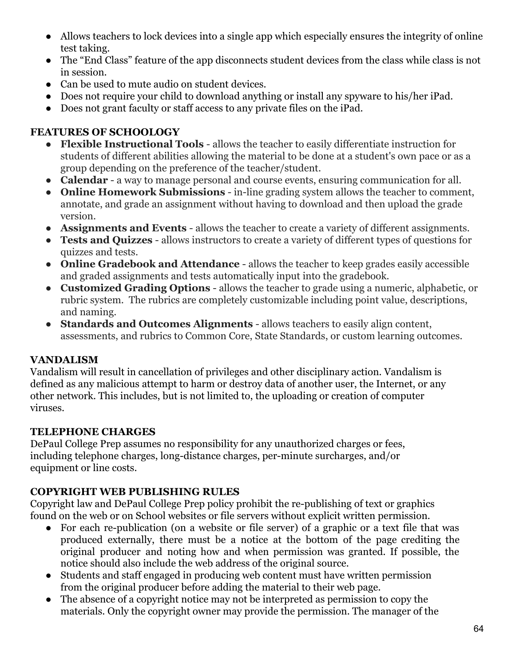- Allows teachers to lock devices into a single app which especially ensures the integrity of online test taking.
- The "End Class" feature of the app disconnects student devices from the class while class is not in session.
- Can be used to mute audio on student devices.
- Does not require your child to download anything or install any spyware to his/her iPad.
- Does not grant faculty or staff access to any private files on the iPad.

# **FEATURES OF SCHOOLOGY**

- **Flexible Instructional Tools allows the teacher to easily differentiate instruction for** students of different abilities allowing the material to be done at a student's own pace or as a group depending on the preference of the teacher/student.
- **Calendar**  a way to manage personal and course events, ensuring communication for all.
- **Online Homework Submissions** in-line grading system allows the teacher to comment, annotate, and grade an assignment without having to download and then upload the grade version.
- **Assignments and Events**  allows the teacher to create a variety of different assignments.
- **Tests and Quizzes**  allows instructors to create a variety of different types of questions for quizzes and tests.
- **Online Gradebook and Attendance**  allows the teacher to keep grades easily accessible and graded assignments and tests automatically input into the gradebook.
- **Customized Grading Options** allows the teacher to grade using a numeric, alphabetic, or rubric system. The rubrics are completely customizable including point value, descriptions, and naming.
- **Standards and Outcomes Alignments**  allows teachers to easily align content, assessments, and rubrics to Common Core, State Standards, or custom learning outcomes.

# <span id="page-64-0"></span>**VANDALISM**

Vandalism will result in cancellation of privileges and other disciplinary action. Vandalism is defined as any malicious attempt to harm or destroy data of another user, the Internet, or any other network. This includes, but is not limited to, the uploading or creation of computer viruses.

# <span id="page-64-1"></span>**TELEPHONE CHARGES**

DePaul College Prep assumes no responsibility for any unauthorized charges or fees, including telephone charges, long-distance charges, per-minute surcharges, and/or equipment or line costs.

# <span id="page-64-2"></span>**COPYRIGHT WEB PUBLISHING RULES**

Copyright law and DePaul College Prep policy prohibit the re-publishing of text or graphics found on the web or on School websites or file servers without explicit written permission.

- For each re-publication (on a website or file server) of a graphic or a text file that was produced externally, there must be a notice at the bottom of the page crediting the original producer and noting how and when permission was granted. If possible, the notice should also include the web address of the original source.
- Students and staff engaged in producing web content must have written permission from the original producer before adding the material to their web page.
- The absence of a copyright notice may not be interpreted as permission to copy the materials. Only the copyright owner may provide the permission. The manager of the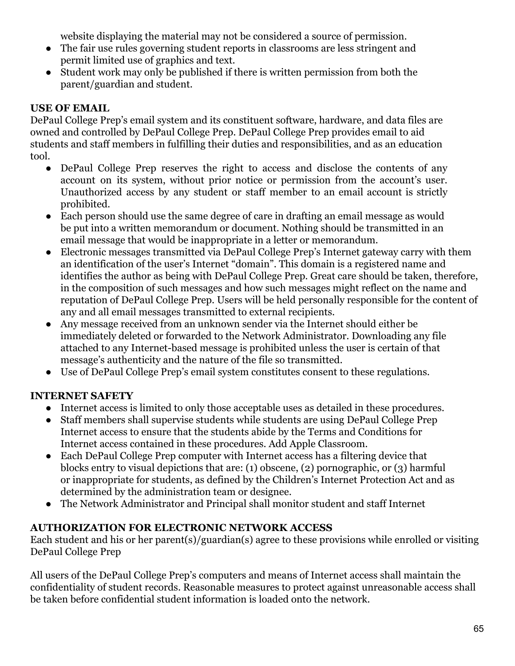website displaying the material may not be considered a source of permission.

- The fair use rules governing student reports in classrooms are less stringent and permit limited use of graphics and text.
- Student work may only be published if there is written permission from both the parent/guardian and student.

# <span id="page-65-0"></span>**USE OF EMAIL**

DePaul College Prep's email system and its constituent software, hardware, and data files are owned and controlled by DePaul College Prep. DePaul College Prep provides email to aid students and staff members in fulfilling their duties and responsibilities, and as an education tool.

- DePaul College Prep reserves the right to access and disclose the contents of any account on its system, without prior notice or permission from the account's user. Unauthorized access by any student or staff member to an email account is strictly prohibited.
- Each person should use the same degree of care in drafting an email message as would be put into a written memorandum or document. Nothing should be transmitted in an email message that would be inappropriate in a letter or memorandum.
- Electronic messages transmitted via DePaul College Prep's Internet gateway carry with them an identification of the user's Internet "domain". This domain is a registered name and identifies the author as being with DePaul College Prep. Great care should be taken, therefore, in the composition of such messages and how such messages might reflect on the name and reputation of DePaul College Prep. Users will be held personally responsible for the content of any and all email messages transmitted to external recipients.
- Any message received from an unknown sender via the Internet should either be immediately deleted or forwarded to the Network Administrator. Downloading any file attached to any Internet-based message is prohibited unless the user is certain of that message's authenticity and the nature of the file so transmitted.
- Use of DePaul College Prep's email system constitutes consent to these regulations.

# <span id="page-65-1"></span>**INTERNET SAFETY**

- Internet access is limited to only those acceptable uses as detailed in these procedures.
- Staff members shall supervise students while students are using DePaul College Prep Internet access to ensure that the students abide by the Terms and Conditions for Internet access contained in these procedures. Add Apple Classroom.
- Each DePaul College Prep computer with Internet access has a filtering device that blocks entry to visual depictions that are: (1) obscene, (2) pornographic, or (3) harmful or inappropriate for students, as defined by the Children's Internet Protection Act and as determined by the administration team or designee.
- The Network Administrator and Principal shall monitor student and staff Internet

# <span id="page-65-2"></span>**AUTHORIZATION FOR ELECTRONIC NETWORK ACCESS**

Each student and his or her parent(s)/guardian(s) agree to these provisions while enrolled or visiting DePaul College Prep

All users of the DePaul College Prep's computers and means of Internet access shall maintain the confidentiality of student records. Reasonable measures to protect against unreasonable access shall be taken before confidential student information is loaded onto the network.